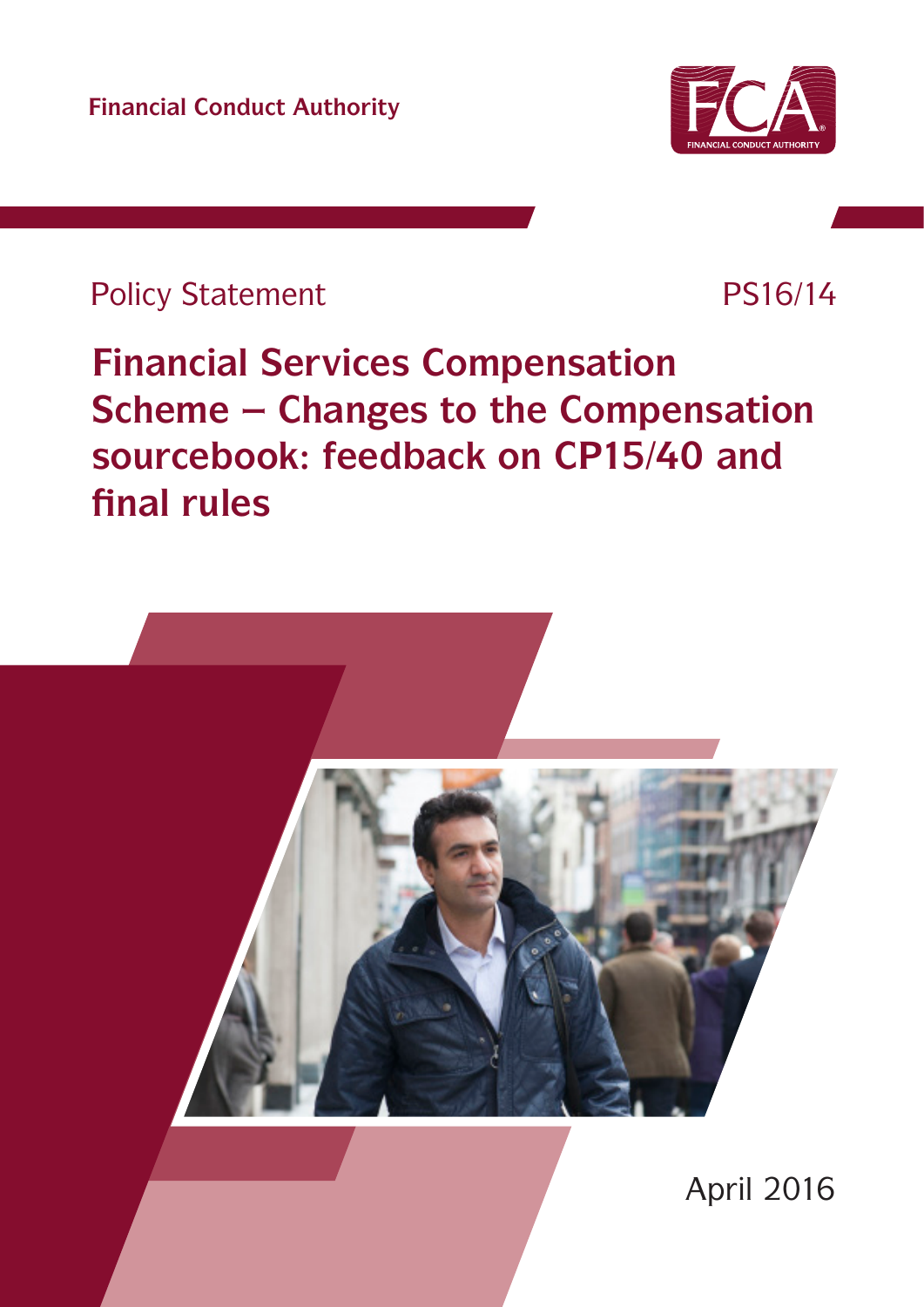**Financial Conduct Authority**



## Policy Statement PS16/14

# **Financial Services Compensation Scheme – Changes to the Compensation sourcebook: feedback on CP15/40 and final rules**

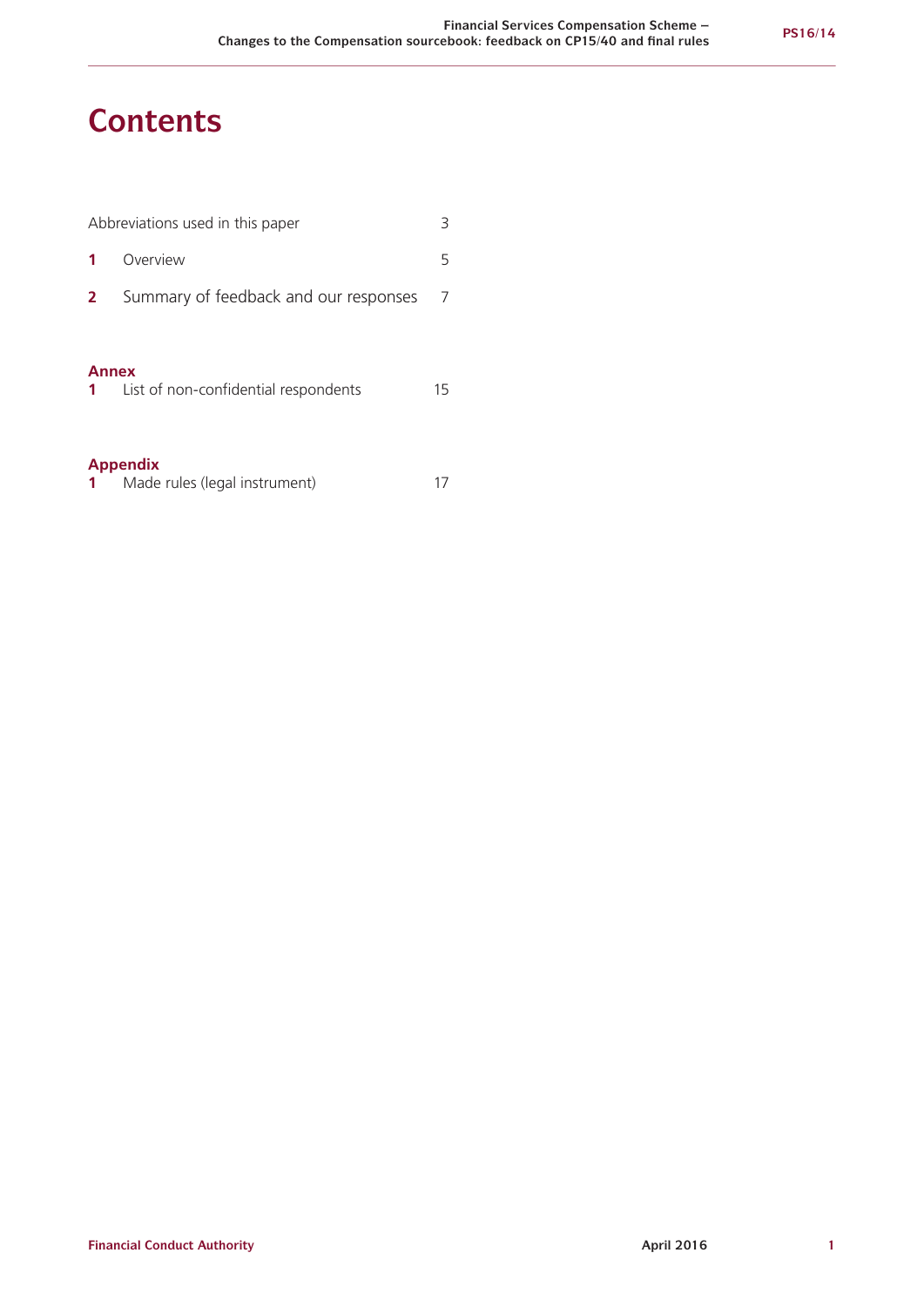## **Contents**

| 3<br>Abbreviations used in this paper |                                       |    |  |  |
|---------------------------------------|---------------------------------------|----|--|--|
|                                       | Overview                              | 5  |  |  |
| 2                                     | Summary of feedback and our responses | 7  |  |  |
| <b>Annex</b><br>1                     | List of non-confidential respondents  | 15 |  |  |
| <b>Appendix</b>                       |                                       |    |  |  |

| . |                               |  |
|---|-------------------------------|--|
|   | Made rules (legal instrument) |  |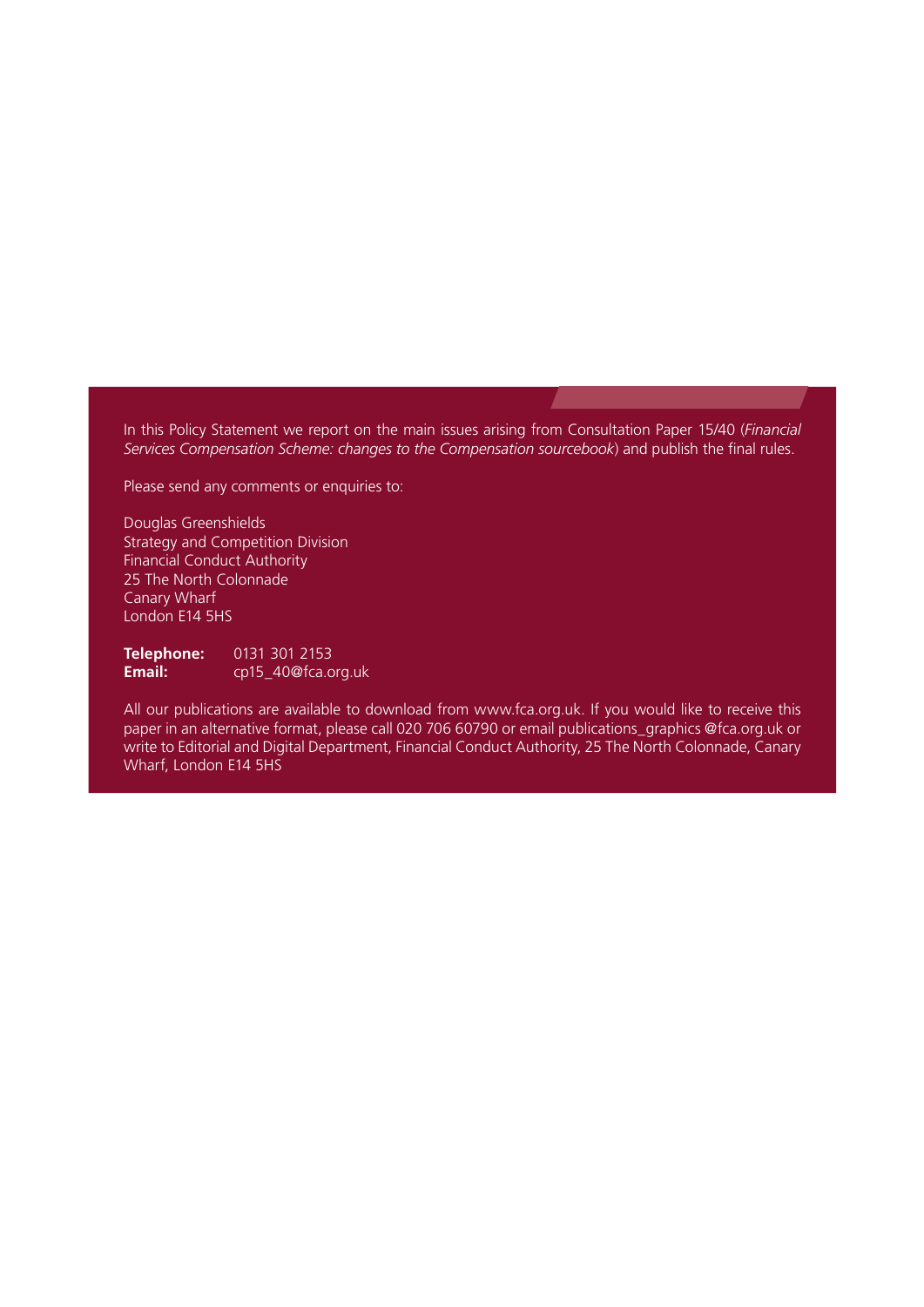In this Policy Statement we report on the main issues arising from Consultation Paper 15/40 (*Financial Services Compensation Scheme: changes to the Compensation sourcebook*) and publish the final rules.

Please send any comments or enquiries to:

Douglas Greenshields Strategy and Competition Division Financial Conduct Authority 25 The North Colonnade Canary Wharf London E14 5HS

**Telephone:** 0131 301 2153<br> **Email:** cp15 40@fca.c **Email:** [cp15\\_40@fca.org.uk](mailto:cp15_40@fca.org.uk)

All our publications are available to download from www.fca.org.uk. If you would like to receive this paper in an alternative format, please call 020 706 60790 or email publications\_graphics @fca.org.uk or write to Editorial and Digital Department, Financial Conduct Authority, 25 The North Colonnade, Canary Wharf, London E14 5HS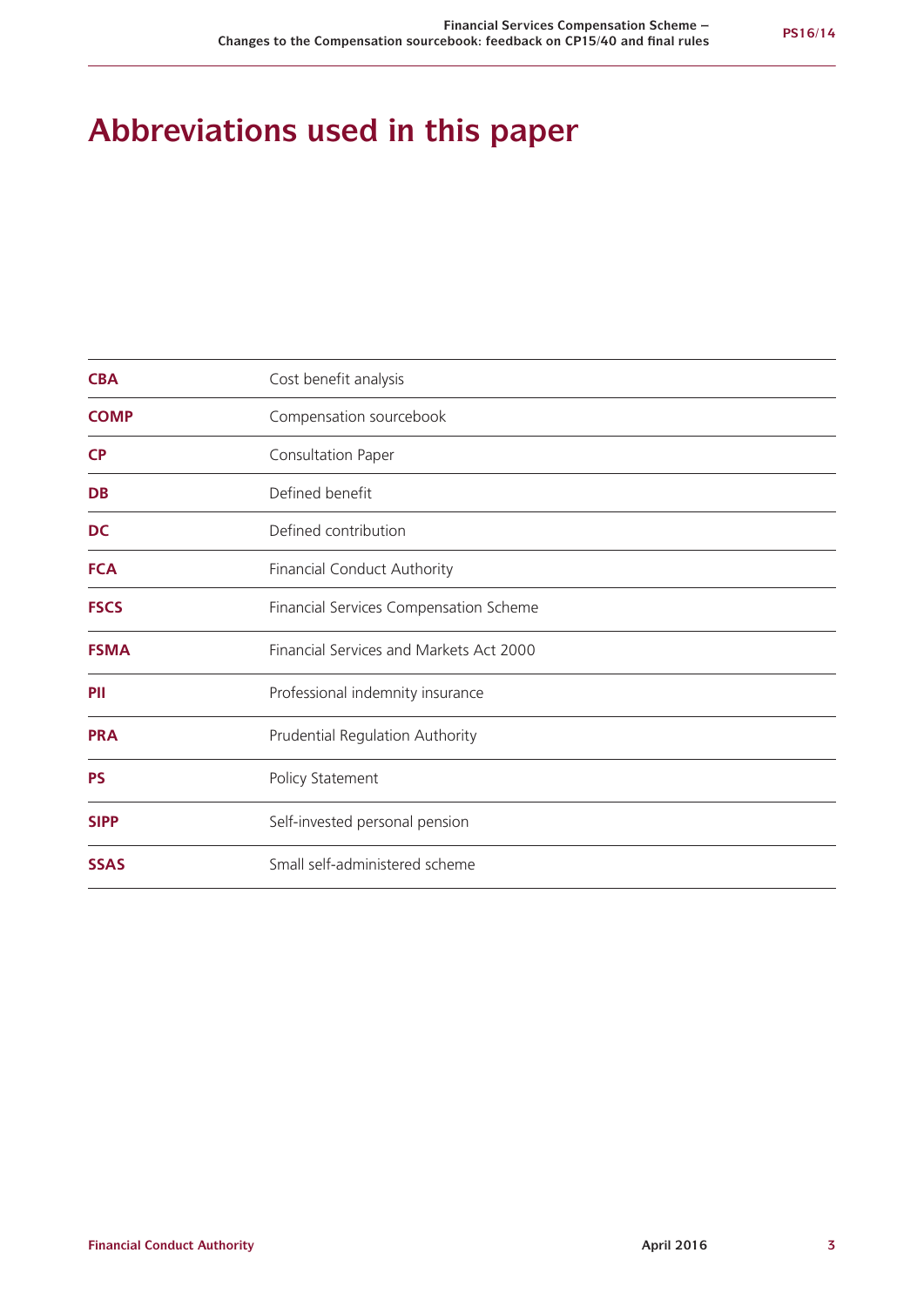## **Abbreviations used in this paper**

| <b>CBA</b>  | Cost benefit analysis                   |
|-------------|-----------------------------------------|
| <b>COMP</b> | Compensation sourcebook                 |
| <b>CP</b>   | Consultation Paper                      |
| <b>DB</b>   | Defined benefit                         |
| <b>DC</b>   | Defined contribution                    |
| <b>FCA</b>  | Financial Conduct Authority             |
| <b>FSCS</b> | Financial Services Compensation Scheme  |
| <b>FSMA</b> | Financial Services and Markets Act 2000 |
| PII         | Professional indemnity insurance        |
| <b>PRA</b>  | Prudential Regulation Authority         |
| <b>PS</b>   | Policy Statement                        |
| <b>SIPP</b> | Self-invested personal pension          |
| <b>SSAS</b> | Small self-administered scheme          |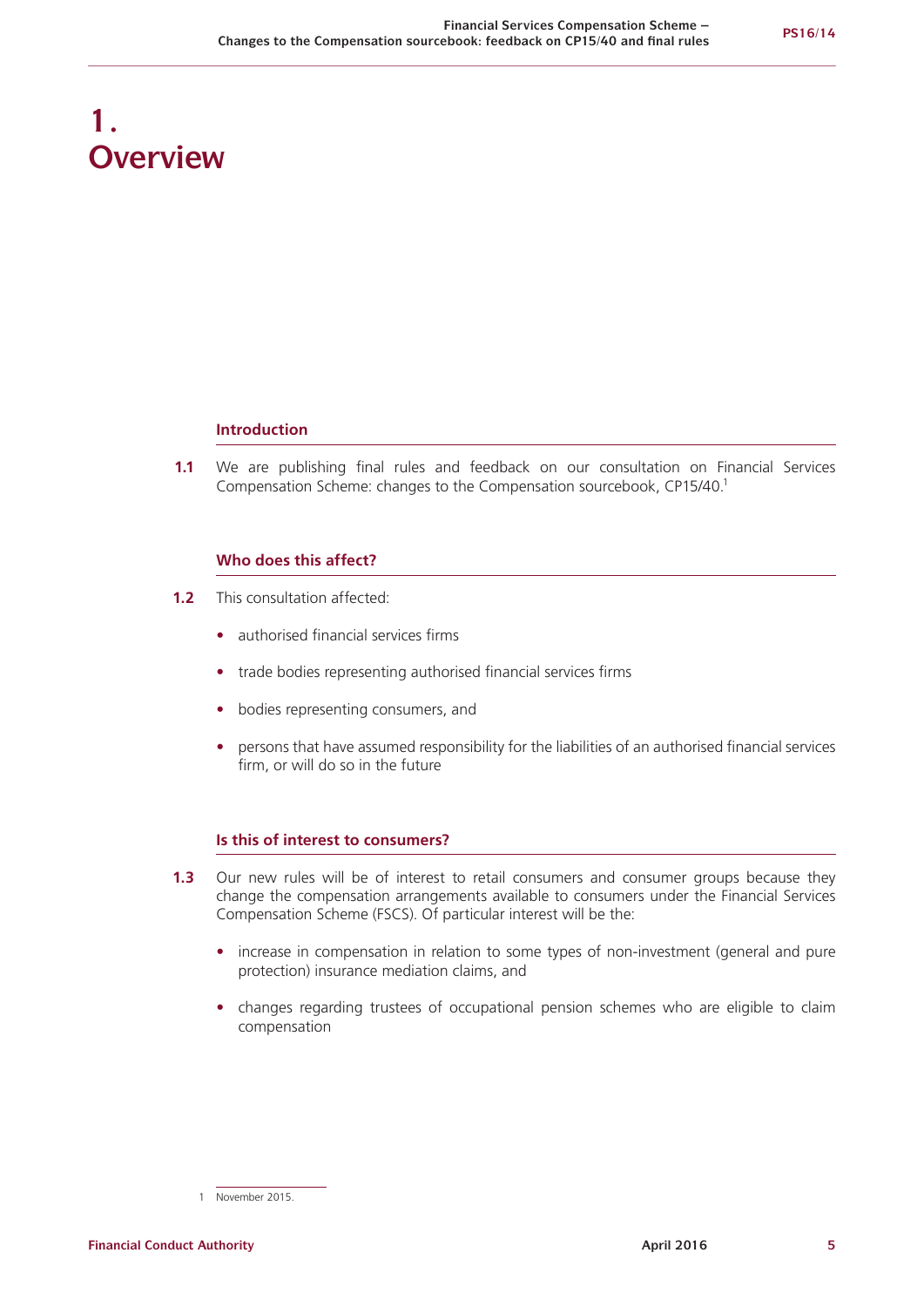## **1. Overview**

#### **Introduction**

**1.1** We are publishing final rules and feedback on our consultation on Financial Services Compensation Scheme: changes to the Compensation sourcebook, CP15/40.1

## **Who does this affect?**

- **1.2** This consultation affected:
	- **•** authorised financial services firms
	- **•** trade bodies representing authorised financial services firms
	- **•** bodies representing consumers, and
	- persons that have assumed responsibility for the liabilities of an authorised financial services firm, or will do so in the future

## **Is this of interest to consumers?**

- **1.3** Our new rules will be of interest to retail consumers and consumer groups because they change the compensation arrangements available to consumers under the Financial Services Compensation Scheme (FSCS). Of particular interest will be the:
	- **•** increase in compensation in relation to some types of non-investment (general and pure protection) insurance mediation claims, and
	- **•** changes regarding trustees of occupational pension schemes who are eligible to claim compensation

<sup>1</sup> November 2015.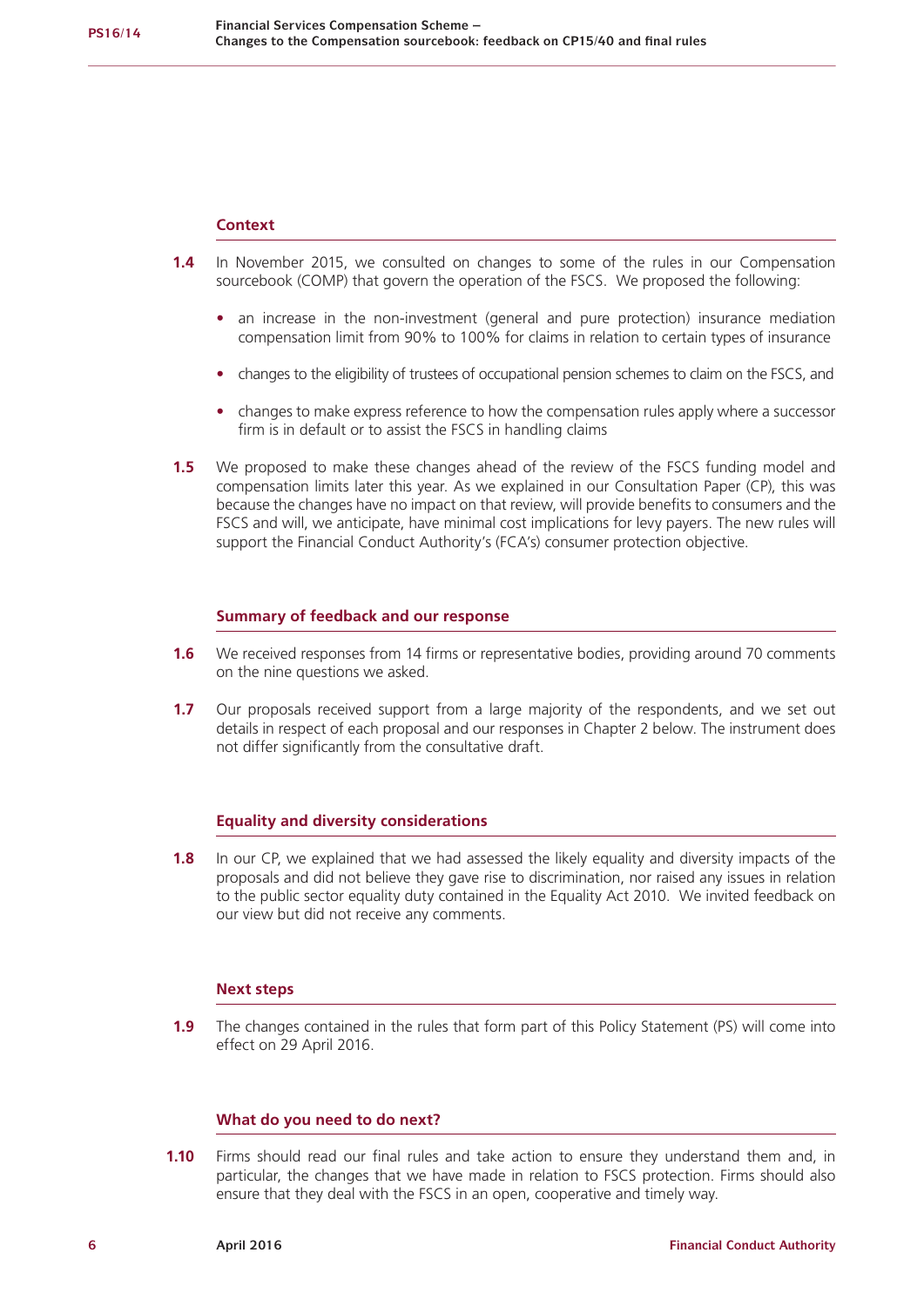#### **Context**

- **1.4** In November 2015, we consulted on changes to some of the rules in our Compensation sourcebook (COMP) that govern the operation of the FSCS. We proposed the following:
	- **•** an increase in the non-investment (general and pure protection) insurance mediation compensation limit from 90% to 100% for claims in relation to certain types of insurance
	- **•** changes to the eligibility of trustees of occupational pension schemes to claim on the FSCS, and
	- **•** changes to make express reference to how the compensation rules apply where a successor firm is in default or to assist the FSCS in handling claims
- **1.5** We proposed to make these changes ahead of the review of the FSCS funding model and compensation limits later this year. As we explained in our Consultation Paper (CP), this was because the changes have no impact on that review, will provide benefits to consumers and the FSCS and will, we anticipate, have minimal cost implications for levy payers. The new rules will support the Financial Conduct Authority's (FCA's) consumer protection objective.

#### **Summary of feedback and our response**

- **1.6** We received responses from 14 firms or representative bodies, providing around 70 comments on the nine questions we asked.
- **1.7** Our proposals received support from a large majority of the respondents, and we set out details in respect of each proposal and our responses in Chapter 2 below. The instrument does not differ significantly from the consultative draft.

#### **Equality and diversity considerations**

**1.8** In our CP, we explained that we had assessed the likely equality and diversity impacts of the proposals and did not believe they gave rise to discrimination, nor raised any issues in relation to the public sector equality duty contained in the Equality Act 2010. We invited feedback on our view but did not receive any comments.

#### **Next steps**

**1.9** The changes contained in the rules that form part of this Policy Statement (PS) will come into effect on 29 April 2016.

## **What do you need to do next?**

**1.10** Firms should read our final rules and take action to ensure they understand them and, in particular, the changes that we have made in relation to FSCS protection. Firms should also ensure that they deal with the FSCS in an open, cooperative and timely way.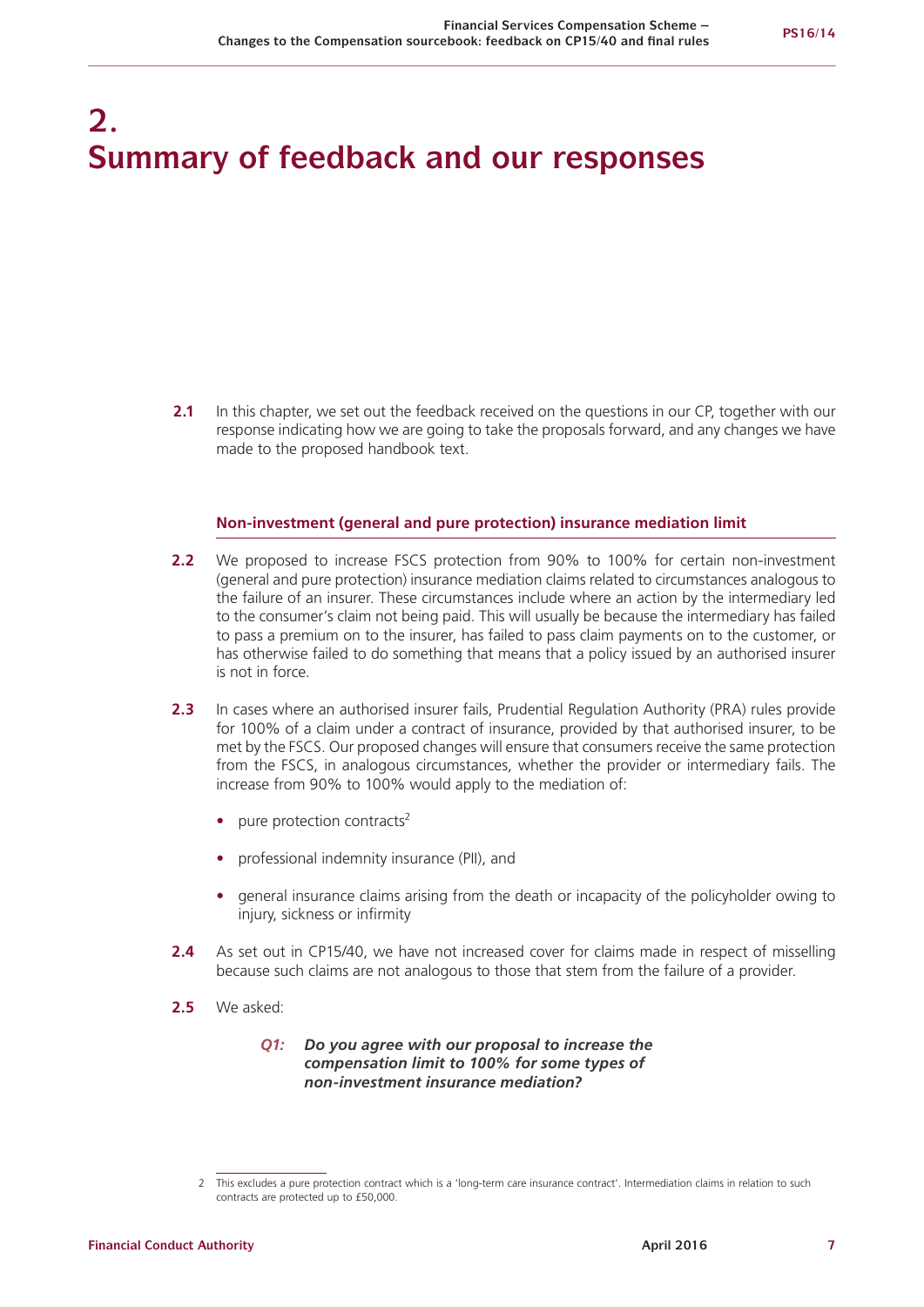## **2. Summary of feedback and our responses**

**2.1** In this chapter, we set out the feedback received on the questions in our CP, together with our response indicating how we are going to take the proposals forward, and any changes we have made to the proposed handbook text.

#### **Non-investment (general and pure protection) insurance mediation limit**

- **2.2** We proposed to increase FSCS protection from 90% to 100% for certain non-investment (general and pure protection) insurance mediation claims related to circumstances analogous to the failure of an insurer. These circumstances include where an action by the intermediary led to the consumer's claim not being paid. This will usually be because the intermediary has failed to pass a premium on to the insurer, has failed to pass claim payments on to the customer, or has otherwise failed to do something that means that a policy issued by an authorised insurer is not in force.
- **2.3** In cases where an authorised insurer fails, Prudential Regulation Authority (PRA) rules provide for 100% of a claim under a contract of insurance, provided by that authorised insurer, to be met by the FSCS. Our proposed changes will ensure that consumers receive the same protection from the FSCS, in analogous circumstances, whether the provider or intermediary fails. The increase from 90% to 100% would apply to the mediation of:
	- pure protection contracts<sup>2</sup>
	- **•** professional indemnity insurance (PII), and
	- **•** general insurance claims arising from the death or incapacity of the policyholder owing to injury, sickness or infirmity
- **2.4** As set out in CP15/40, we have not increased cover for claims made in respect of misselling because such claims are not analogous to those that stem from the failure of a provider.
- **2.5** We asked:

#### *Q1: Do you agree with our proposal to increase the compensation limit to 100% for some types of non-investment insurance mediation?*

<sup>2</sup> This excludes a pure protection contract which is a 'long-term care insurance contract'. Intermediation claims in relation to such contracts are protected up to £50,000.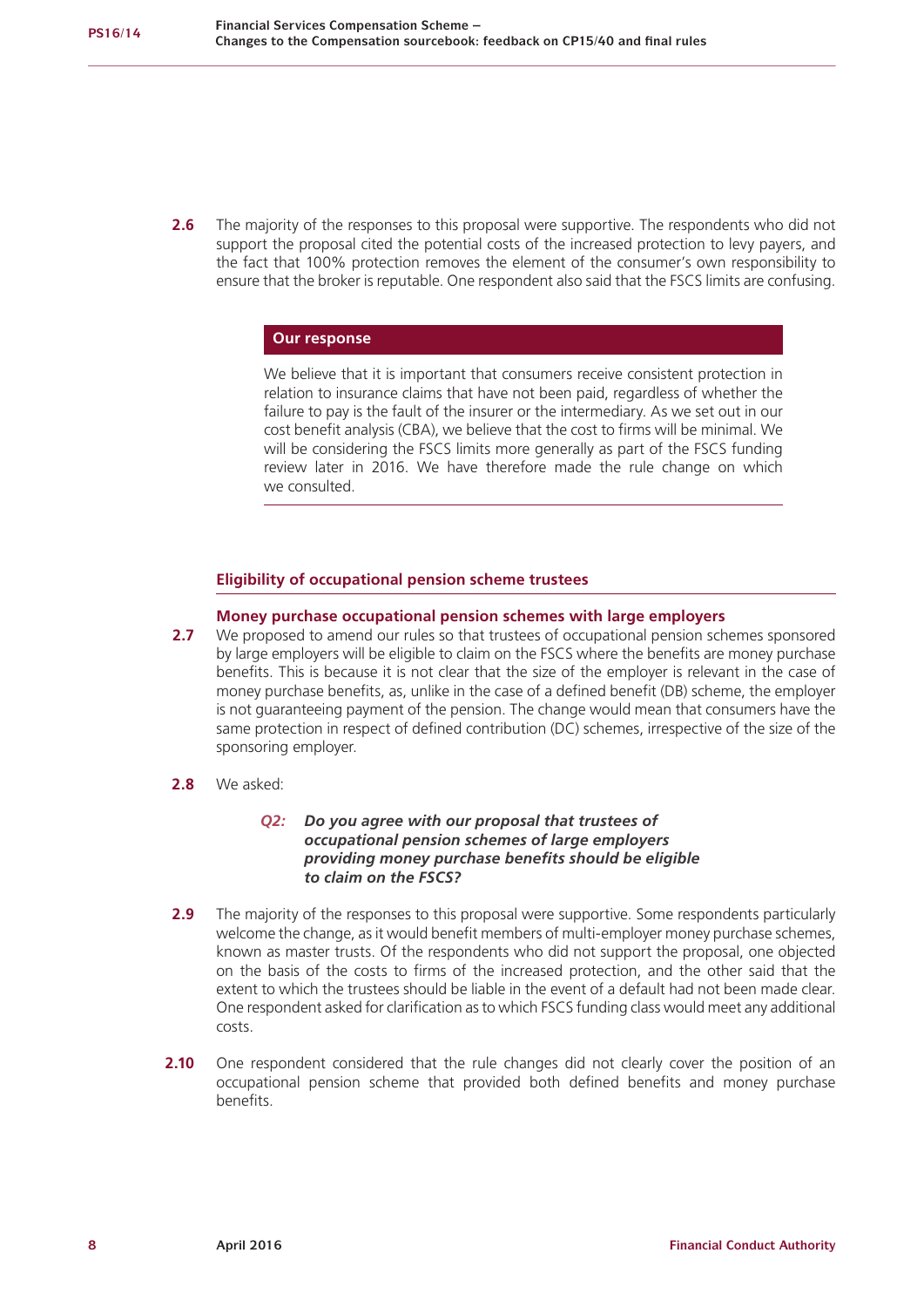**2.6** The majority of the responses to this proposal were supportive. The respondents who did not support the proposal cited the potential costs of the increased protection to levy payers, and the fact that 100% protection removes the element of the consumer's own responsibility to ensure that the broker is reputable. One respondent also said that the FSCS limits are confusing.

#### **Our response**

We believe that it is important that consumers receive consistent protection in relation to insurance claims that have not been paid, regardless of whether the failure to pay is the fault of the insurer or the intermediary. As we set out in our cost benefit analysis (CBA), we believe that the cost to firms will be minimal. We will be considering the FSCS limits more generally as part of the FSCS funding review later in 2016. We have therefore made the rule change on which we consulted.

### **Eligibility of occupational pension scheme trustees**

#### **Money purchase occupational pension schemes with large employers**

- **2.7** We proposed to amend our rules so that trustees of occupational pension schemes sponsored by large employers will be eligible to claim on the FSCS where the benefits are money purchase benefits. This is because it is not clear that the size of the employer is relevant in the case of money purchase benefits, as, unlike in the case of a defined benefit (DB) scheme, the employer is not guaranteeing payment of the pension. The change would mean that consumers have the same protection in respect of defined contribution (DC) schemes, irrespective of the size of the sponsoring employer.
- **2.8** We asked:

#### *Q2: Do you agree with our proposal that trustees of occupational pension schemes of large employers providing money purchase benefits should be eligible to claim on the FSCS?*

- **2.9** The majority of the responses to this proposal were supportive. Some respondents particularly welcome the change, as it would benefit members of multi-employer money purchase schemes, known as master trusts. Of the respondents who did not support the proposal, one objected on the basis of the costs to firms of the increased protection, and the other said that the extent to which the trustees should be liable in the event of a default had not been made clear. One respondent asked for clarification as to which FSCS funding class would meet any additional costs.
- **2.10** One respondent considered that the rule changes did not clearly cover the position of an occupational pension scheme that provided both defined benefits and money purchase benefits.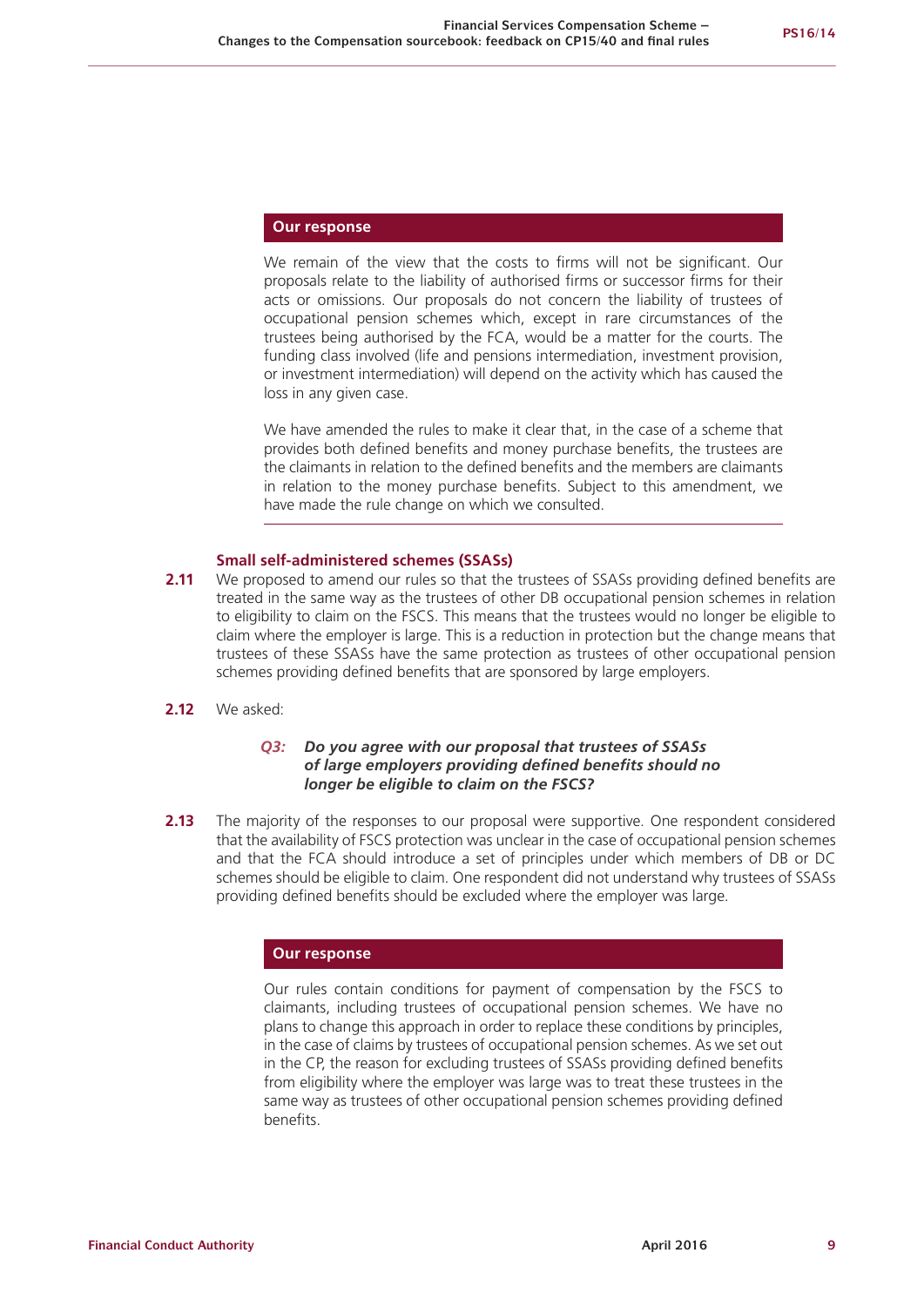#### **Our response**

We remain of the view that the costs to firms will not be significant. Our proposals relate to the liability of authorised firms or successor firms for their acts or omissions. Our proposals do not concern the liability of trustees of occupational pension schemes which, except in rare circumstances of the trustees being authorised by the FCA, would be a matter for the courts. The funding class involved (life and pensions intermediation, investment provision, or investment intermediation) will depend on the activity which has caused the loss in any given case.

We have amended the rules to make it clear that, in the case of a scheme that provides both defined benefits and money purchase benefits, the trustees are the claimants in relation to the defined benefits and the members are claimants in relation to the money purchase benefits. Subject to this amendment, we have made the rule change on which we consulted.

#### **Small self-administered schemes (SSASs)**

- **2.11** We proposed to amend our rules so that the trustees of SSASs providing defined benefits are treated in the same way as the trustees of other DB occupational pension schemes in relation to eligibility to claim on the FSCS. This means that the trustees would no longer be eligible to claim where the employer is large. This is a reduction in protection but the change means that trustees of these SSASs have the same protection as trustees of other occupational pension schemes providing defined benefits that are sponsored by large employers.
- **2.12** We asked:

#### *Q3: Do you agree with our proposal that trustees of SSASs of large employers providing defined benefits should no longer be eligible to claim on the FSCS?*

**2.13** The majority of the responses to our proposal were supportive. One respondent considered that the availability of FSCS protection was unclear in the case of occupational pension schemes and that the FCA should introduce a set of principles under which members of DB or DC schemes should be eligible to claim. One respondent did not understand why trustees of SSASs providing defined benefits should be excluded where the employer was large.

#### **Our response**

Our rules contain conditions for payment of compensation by the FSCS to claimants, including trustees of occupational pension schemes. We have no plans to change this approach in order to replace these conditions by principles, in the case of claims by trustees of occupational pension schemes. As we set out in the CP, the reason for excluding trustees of SSASs providing defined benefits from eligibility where the employer was large was to treat these trustees in the same way as trustees of other occupational pension schemes providing defined benefits.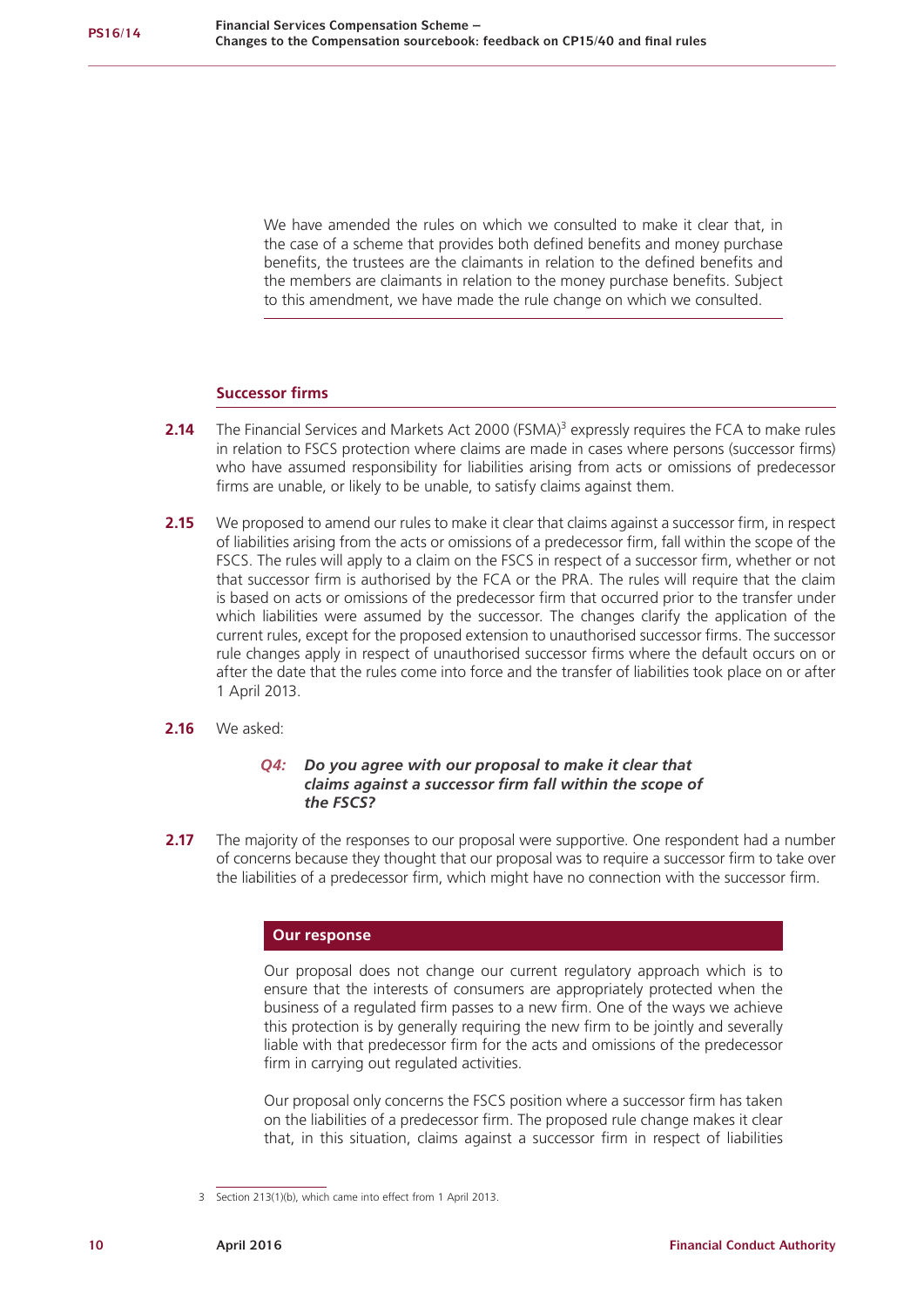We have amended the rules on which we consulted to make it clear that, in the case of a scheme that provides both defined benefits and money purchase benefits, the trustees are the claimants in relation to the defined benefits and the members are claimants in relation to the money purchase benefits. Subject to this amendment, we have made the rule change on which we consulted.

#### **Successor firms**

- **2.14** The Financial Services and Markets Act 2000 (FSMA)<sup>3</sup> expressly requires the FCA to make rules in relation to FSCS protection where claims are made in cases where persons (successor firms) who have assumed responsibility for liabilities arising from acts or omissions of predecessor firms are unable, or likely to be unable, to satisfy claims against them.
- **2.15** We proposed to amend our rules to make it clear that claims against a successor firm, in respect of liabilities arising from the acts or omissions of a predecessor firm, fall within the scope of the FSCS. The rules will apply to a claim on the FSCS in respect of a successor firm, whether or not that successor firm is authorised by the FCA or the PRA. The rules will require that the claim is based on acts or omissions of the predecessor firm that occurred prior to the transfer under which liabilities were assumed by the successor. The changes clarify the application of the current rules, except for the proposed extension to unauthorised successor firms. The successor rule changes apply in respect of unauthorised successor firms where the default occurs on or after the date that the rules come into force and the transfer of liabilities took place on or after 1 April 2013.
- **2.16** We asked:

#### *Q4: Do you agree with our proposal to make it clear that claims against a successor firm fall within the scope of the FSCS?*

**2.17** The majority of the responses to our proposal were supportive. One respondent had a number of concerns because they thought that our proposal was to require a successor firm to take over the liabilities of a predecessor firm, which might have no connection with the successor firm.

#### **Our response**

Our proposal does not change our current regulatory approach which is to ensure that the interests of consumers are appropriately protected when the business of a regulated firm passes to a new firm. One of the ways we achieve this protection is by generally requiring the new firm to be jointly and severally liable with that predecessor firm for the acts and omissions of the predecessor firm in carrying out regulated activities.

Our proposal only concerns the FSCS position where a successor firm has taken on the liabilities of a predecessor firm. The proposed rule change makes it clear that, in this situation, claims against a successor firm in respect of liabilities

<sup>3</sup> Section 213(1)(b), which came into effect from 1 April 2013.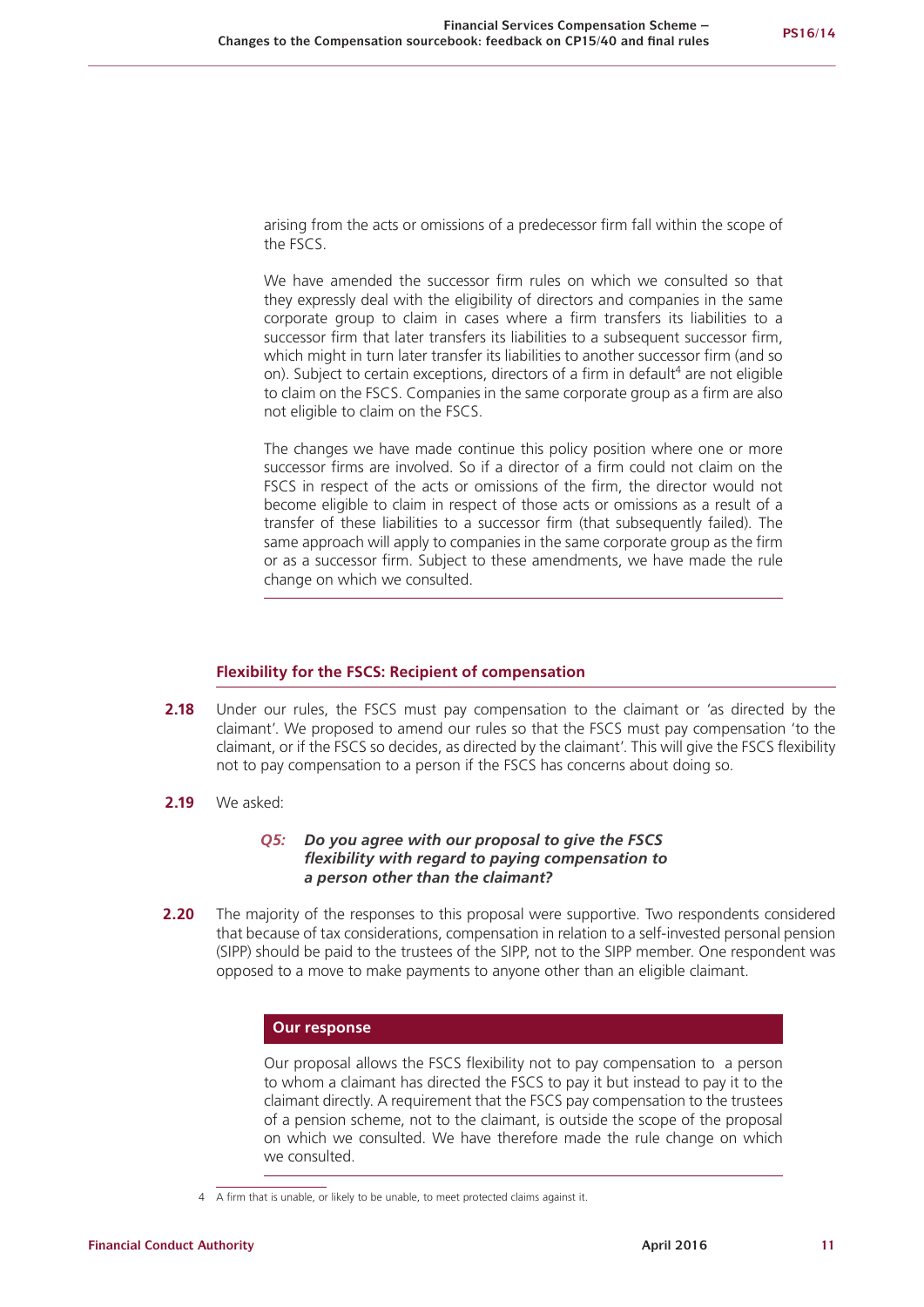arising from the acts or omissions of a predecessor firm fall within the scope of the FSCS.

We have amended the successor firm rules on which we consulted so that they expressly deal with the eligibility of directors and companies in the same corporate group to claim in cases where a firm transfers its liabilities to a successor firm that later transfers its liabilities to a subsequent successor firm, which might in turn later transfer its liabilities to another successor firm (and so on). Subject to certain exceptions, directors of a firm in default<sup>4</sup> are not eligible to claim on the FSCS. Companies in the same corporate group as a firm are also not eligible to claim on the FSCS.

The changes we have made continue this policy position where one or more successor firms are involved. So if a director of a firm could not claim on the FSCS in respect of the acts or omissions of the firm, the director would not become eligible to claim in respect of those acts or omissions as a result of a transfer of these liabilities to a successor firm (that subsequently failed). The same approach will apply to companies in the same corporate group as the firm or as a successor firm. Subject to these amendments, we have made the rule change on which we consulted.

#### **Flexibility for the FSCS: Recipient of compensation**

- **2.18** Under our rules, the FSCS must pay compensation to the claimant or 'as directed by the claimant'. We proposed to amend our rules so that the FSCS must pay compensation 'to the claimant, or if the FSCS so decides, as directed by the claimant'. This will give the FSCS flexibility not to pay compensation to a person if the FSCS has concerns about doing so.
- **2.19** We asked:

#### *Q5: Do you agree with our proposal to give the FSCS flexibility with regard to paying compensation to a person other than the claimant?*

**2.20** The majority of the responses to this proposal were supportive. Two respondents considered that because of tax considerations, compensation in relation to a self-invested personal pension (SIPP) should be paid to the trustees of the SIPP, not to the SIPP member. One respondent was opposed to a move to make payments to anyone other than an eligible claimant.

### **Our response**

Our proposal allows the FSCS flexibility not to pay compensation to a person to whom a claimant has directed the FSCS to pay it but instead to pay it to the claimant directly. A requirement that the FSCS pay compensation to the trustees of a pension scheme, not to the claimant, is outside the scope of the proposal on which we consulted. We have therefore made the rule change on which we consulted.

<sup>4</sup> A firm that is unable, or likely to be unable, to meet protected claims against it.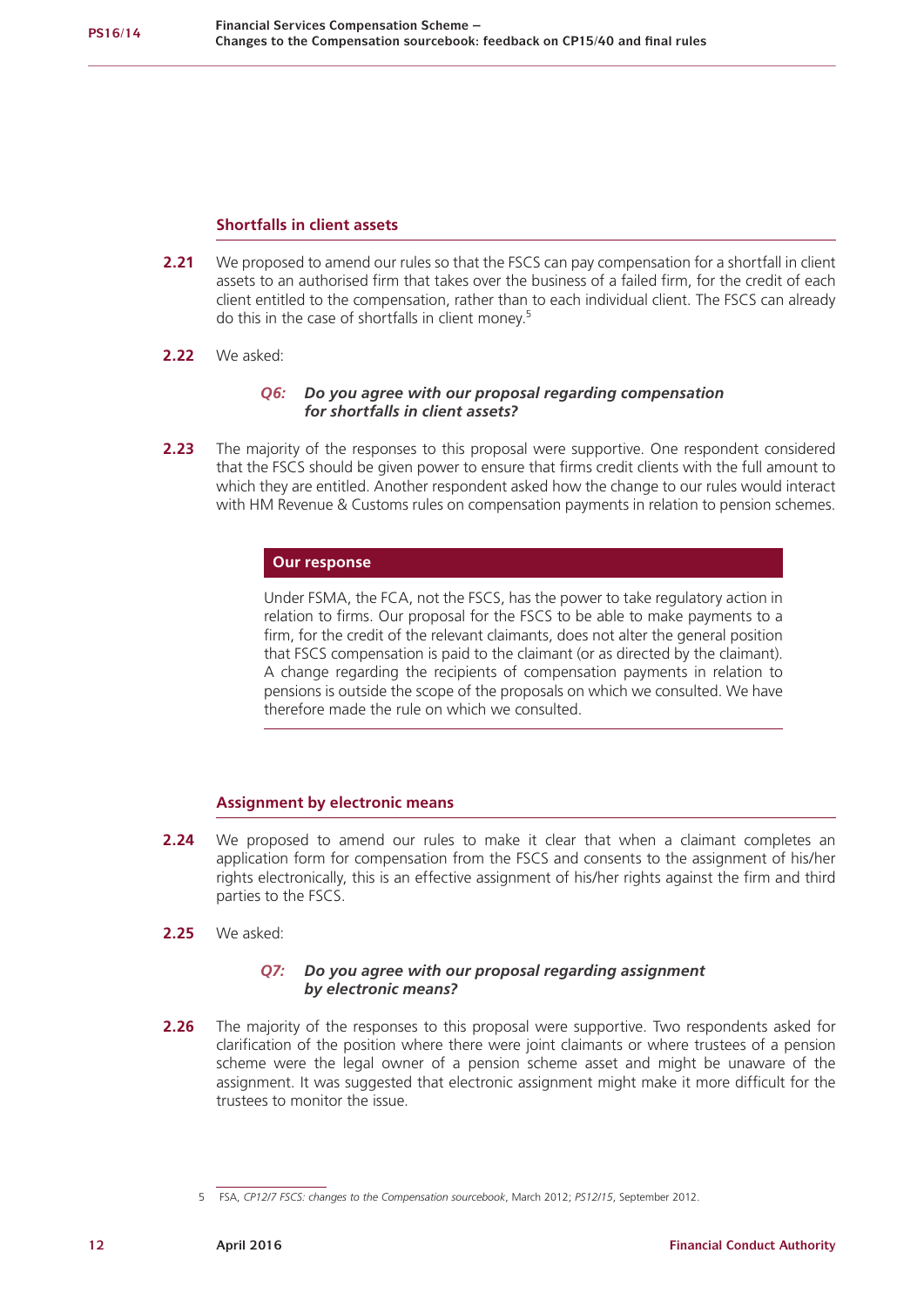### **Shortfalls in client assets**

- **2.21** We proposed to amend our rules so that the FSCS can pay compensation for a shortfall in client assets to an authorised firm that takes over the business of a failed firm, for the credit of each client entitled to the compensation, rather than to each individual client. The FSCS can already do this in the case of shortfalls in client money.<sup>5</sup>
- **2.22** We asked:

### *Q6: Do you agree with our proposal regarding compensation for shortfalls in client assets?*

**2.23** The majority of the responses to this proposal were supportive. One respondent considered that the FSCS should be given power to ensure that firms credit clients with the full amount to which they are entitled. Another respondent asked how the change to our rules would interact with HM Revenue & Customs rules on compensation payments in relation to pension schemes.

#### **Our response**

Under FSMA, the FCA, not the FSCS, has the power to take regulatory action in relation to firms. Our proposal for the FSCS to be able to make payments to a firm, for the credit of the relevant claimants, does not alter the general position that FSCS compensation is paid to the claimant (or as directed by the claimant). A change regarding the recipients of compensation payments in relation to pensions is outside the scope of the proposals on which we consulted. We have therefore made the rule on which we consulted.

## **Assignment by electronic means**

- **2.24** We proposed to amend our rules to make it clear that when a claimant completes an application form for compensation from the FSCS and consents to the assignment of his/her rights electronically, this is an effective assignment of his/her rights against the firm and third parties to the FSCS.
- **2.25** We asked:

### *Q7: Do you agree with our proposal regarding assignment by electronic means?*

**2.26** The majority of the responses to this proposal were supportive. Two respondents asked for clarification of the position where there were joint claimants or where trustees of a pension scheme were the legal owner of a pension scheme asset and might be unaware of the assignment. It was suggested that electronic assignment might make it more difficult for the trustees to monitor the issue.

<sup>5</sup> FSA, *CP12/7 FSCS: changes to the Compensation sourcebook*, March 2012; *PS12/15*, September 2012.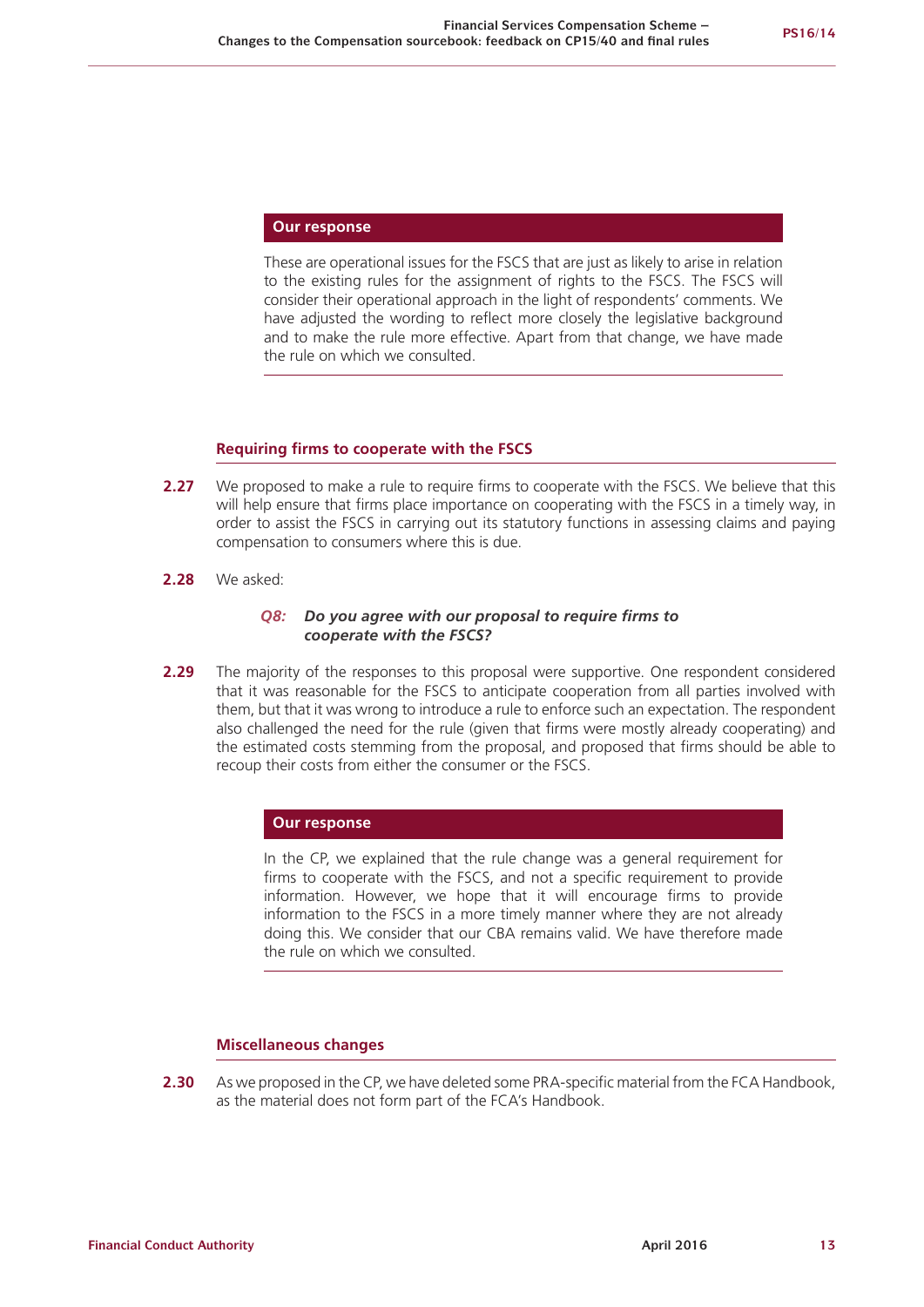#### **Our response**

These are operational issues for the FSCS that are just as likely to arise in relation to the existing rules for the assignment of rights to the FSCS. The FSCS will consider their operational approach in the light of respondents' comments. We have adjusted the wording to reflect more closely the legislative background and to make the rule more effective. Apart from that change, we have made the rule on which we consulted.

#### **Requiring firms to cooperate with the FSCS**

- **2.27** We proposed to make a rule to require firms to cooperate with the FSCS. We believe that this will help ensure that firms place importance on cooperating with the FSCS in a timely way, in order to assist the FSCS in carrying out its statutory functions in assessing claims and paying compensation to consumers where this is due.
- **2.28** We asked:

#### *Q8: Do you agree with our proposal to require firms to cooperate with the FSCS?*

**2.29** The majority of the responses to this proposal were supportive. One respondent considered that it was reasonable for the FSCS to anticipate cooperation from all parties involved with them, but that it was wrong to introduce a rule to enforce such an expectation. The respondent also challenged the need for the rule (given that firms were mostly already cooperating) and the estimated costs stemming from the proposal, and proposed that firms should be able to recoup their costs from either the consumer or the FSCS.

#### **Our response**

In the CP, we explained that the rule change was a general requirement for firms to cooperate with the FSCS, and not a specific requirement to provide information. However, we hope that it will encourage firms to provide information to the FSCS in a more timely manner where they are not already doing this. We consider that our CBA remains valid. We have therefore made the rule on which we consulted.

### **Miscellaneous changes**

**2.30** As we proposed in the CP, we have deleted some PRA-specific material from the FCA Handbook, as the material does not form part of the FCA's Handbook.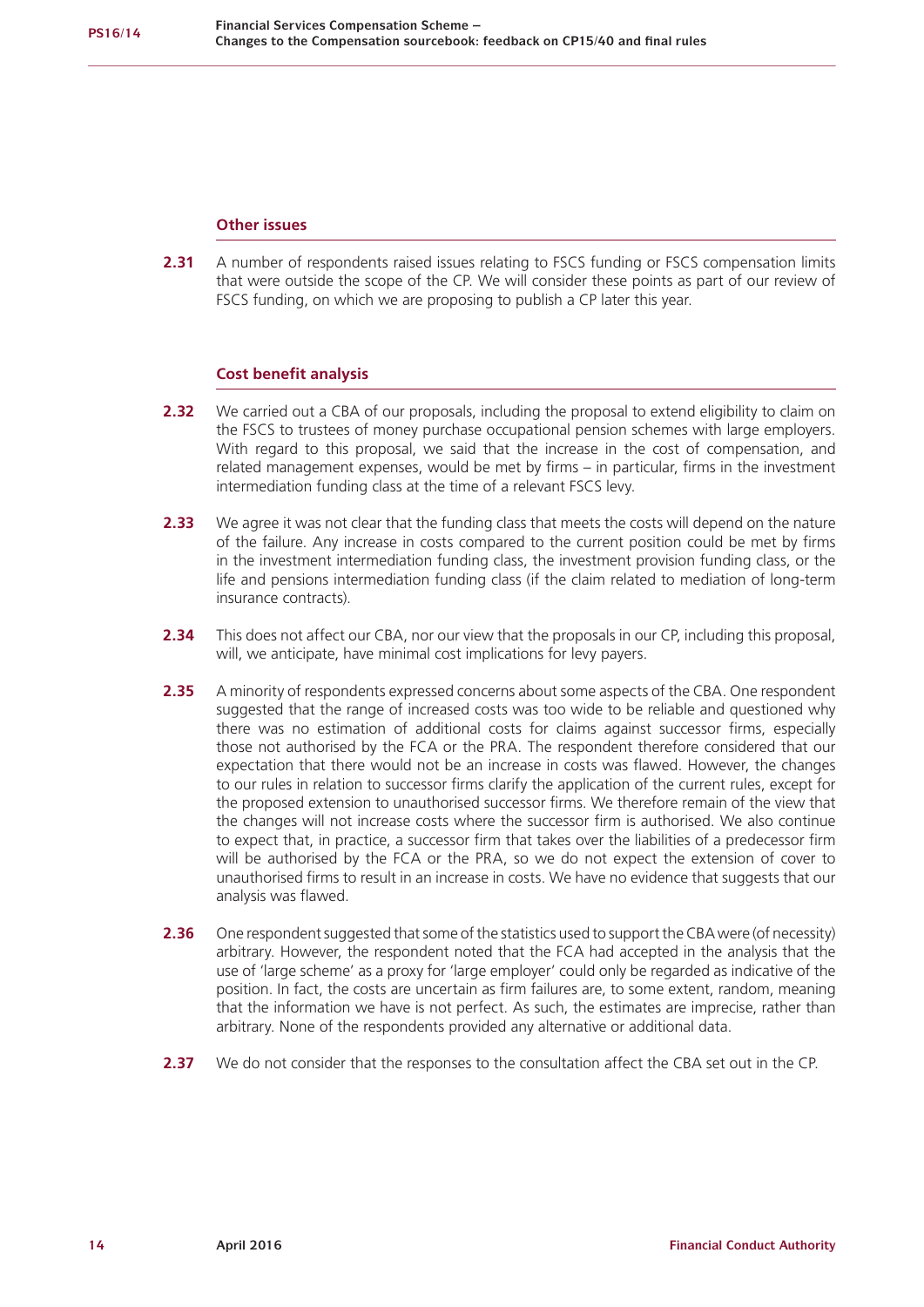### **Other issues**

2.31 A number of respondents raised issues relating to FSCS funding or FSCS compensation limits that were outside the scope of the CP. We will consider these points as part of our review of FSCS funding, on which we are proposing to publish a CP later this year.

## **Cost benefit analysis**

- **2.32** We carried out a CBA of our proposals, including the proposal to extend eligibility to claim on the FSCS to trustees of money purchase occupational pension schemes with large employers. With regard to this proposal, we said that the increase in the cost of compensation, and related management expenses, would be met by firms – in particular, firms in the investment intermediation funding class at the time of a relevant FSCS levy.
- **2.33** We agree it was not clear that the funding class that meets the costs will depend on the nature of the failure. Any increase in costs compared to the current position could be met by firms in the investment intermediation funding class, the investment provision funding class, or the life and pensions intermediation funding class (if the claim related to mediation of long-term insurance contracts).
- **2.34** This does not affect our CBA, nor our view that the proposals in our CP, including this proposal, will, we anticipate, have minimal cost implications for levy payers.
- 2.35 A minority of respondents expressed concerns about some aspects of the CBA. One respondent suggested that the range of increased costs was too wide to be reliable and questioned why there was no estimation of additional costs for claims against successor firms, especially those not authorised by the FCA or the PRA. The respondent therefore considered that our expectation that there would not be an increase in costs was flawed. However, the changes to our rules in relation to successor firms clarify the application of the current rules, except for the proposed extension to unauthorised successor firms. We therefore remain of the view that the changes will not increase costs where the successor firm is authorised. We also continue to expect that, in practice, a successor firm that takes over the liabilities of a predecessor firm will be authorised by the FCA or the PRA, so we do not expect the extension of cover to unauthorised firms to result in an increase in costs. We have no evidence that suggests that our analysis was flawed.
- **2.36** One respondent suggested that some of the statistics used to support the CBA were (of necessity) arbitrary. However, the respondent noted that the FCA had accepted in the analysis that the use of 'large scheme' as a proxy for 'large employer' could only be regarded as indicative of the position. In fact, the costs are uncertain as firm failures are, to some extent, random, meaning that the information we have is not perfect. As such, the estimates are imprecise, rather than arbitrary. None of the respondents provided any alternative or additional data.
- **2.37** We do not consider that the responses to the consultation affect the CBA set out in the CP.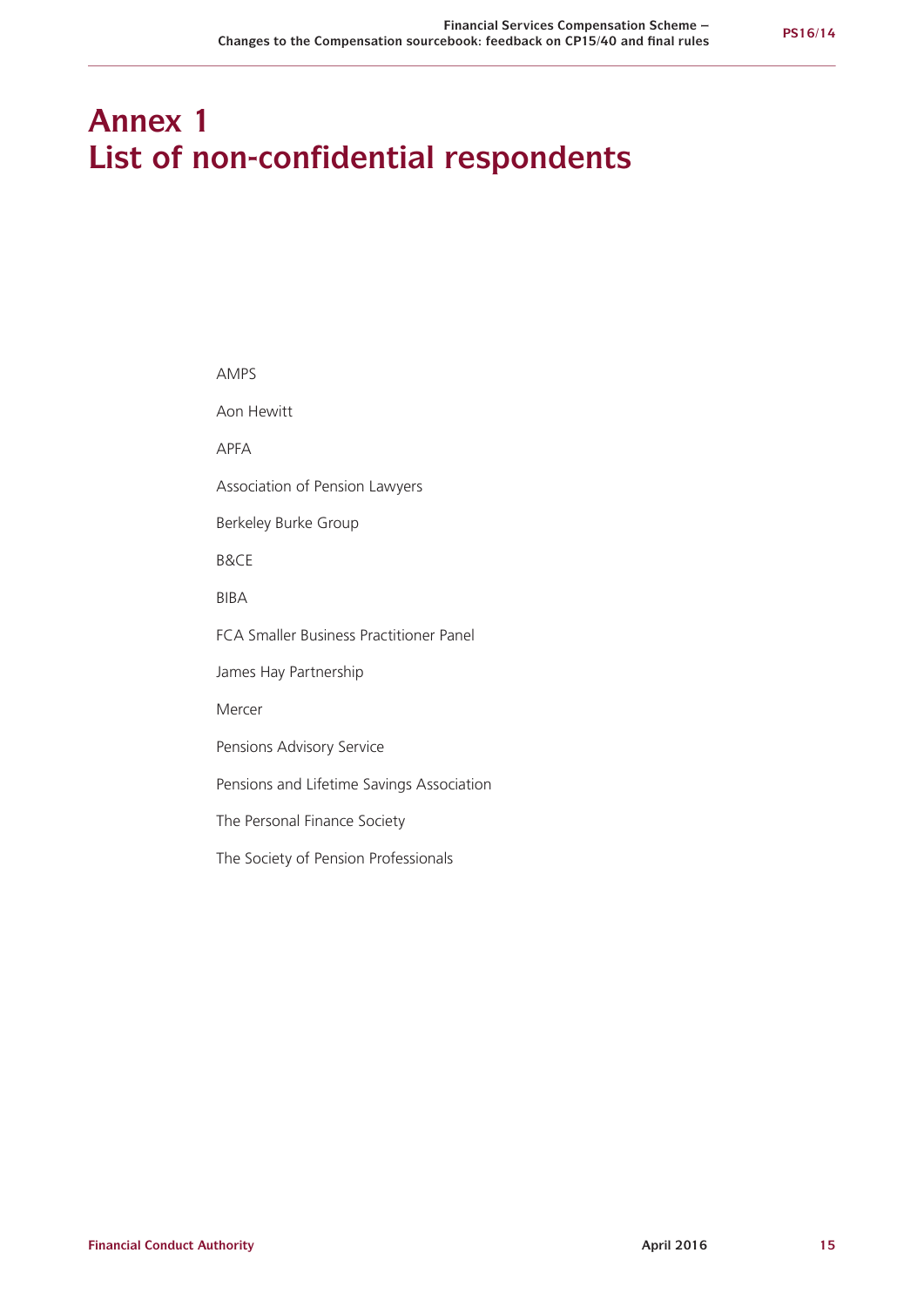## **Annex 1 List of non-confidential respondents**

AMPS Aon Hewitt APFA Association of Pension Lawyers Berkeley Burke Group B&CE BIBA FCA Smaller Business Practitioner Panel James Hay Partnership Mercer Pensions Advisory Service Pensions and Lifetime Savings Association The Personal Finance Society The Society of Pension Professionals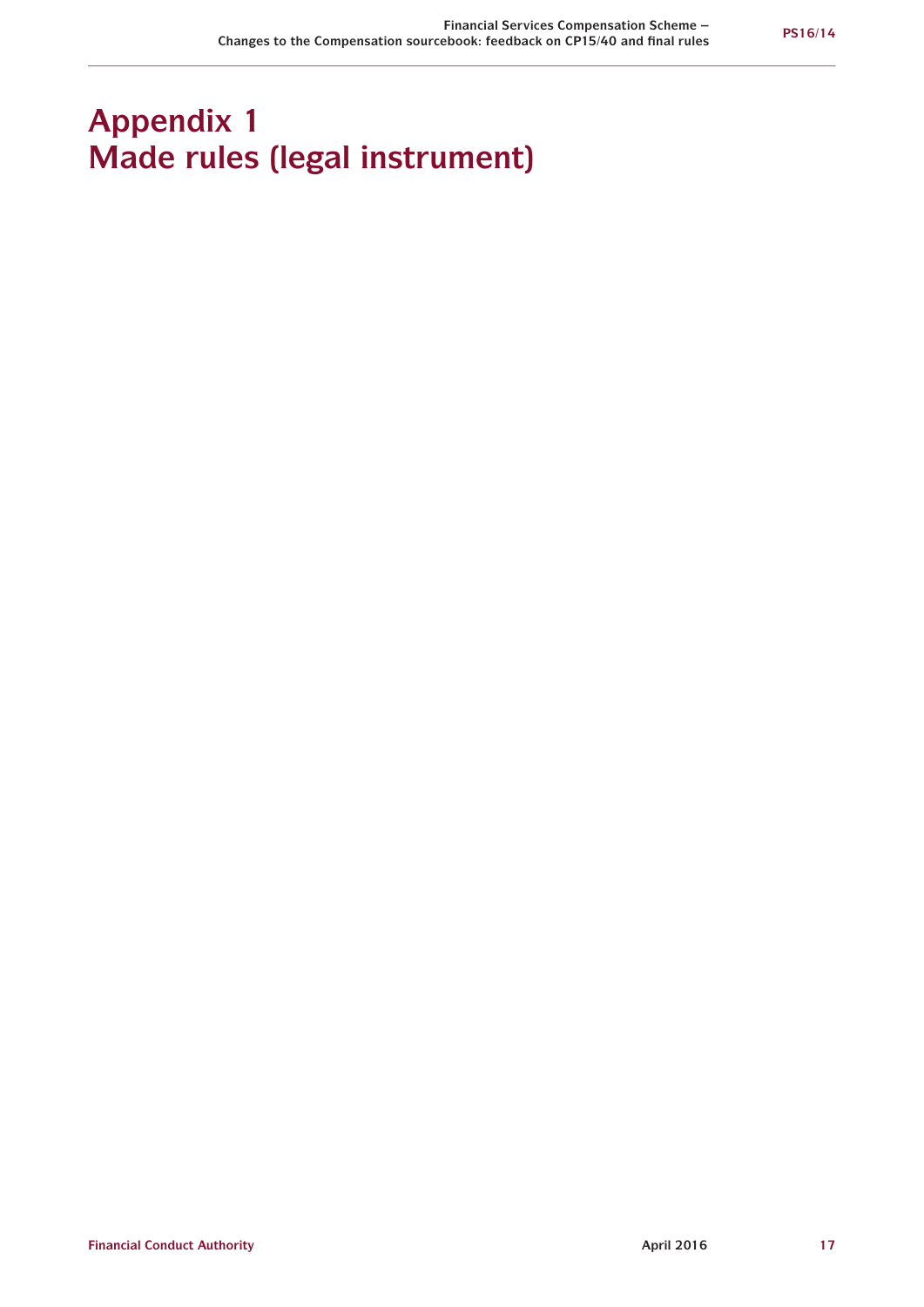## **Appendix 1 Made rules (legal instrument)**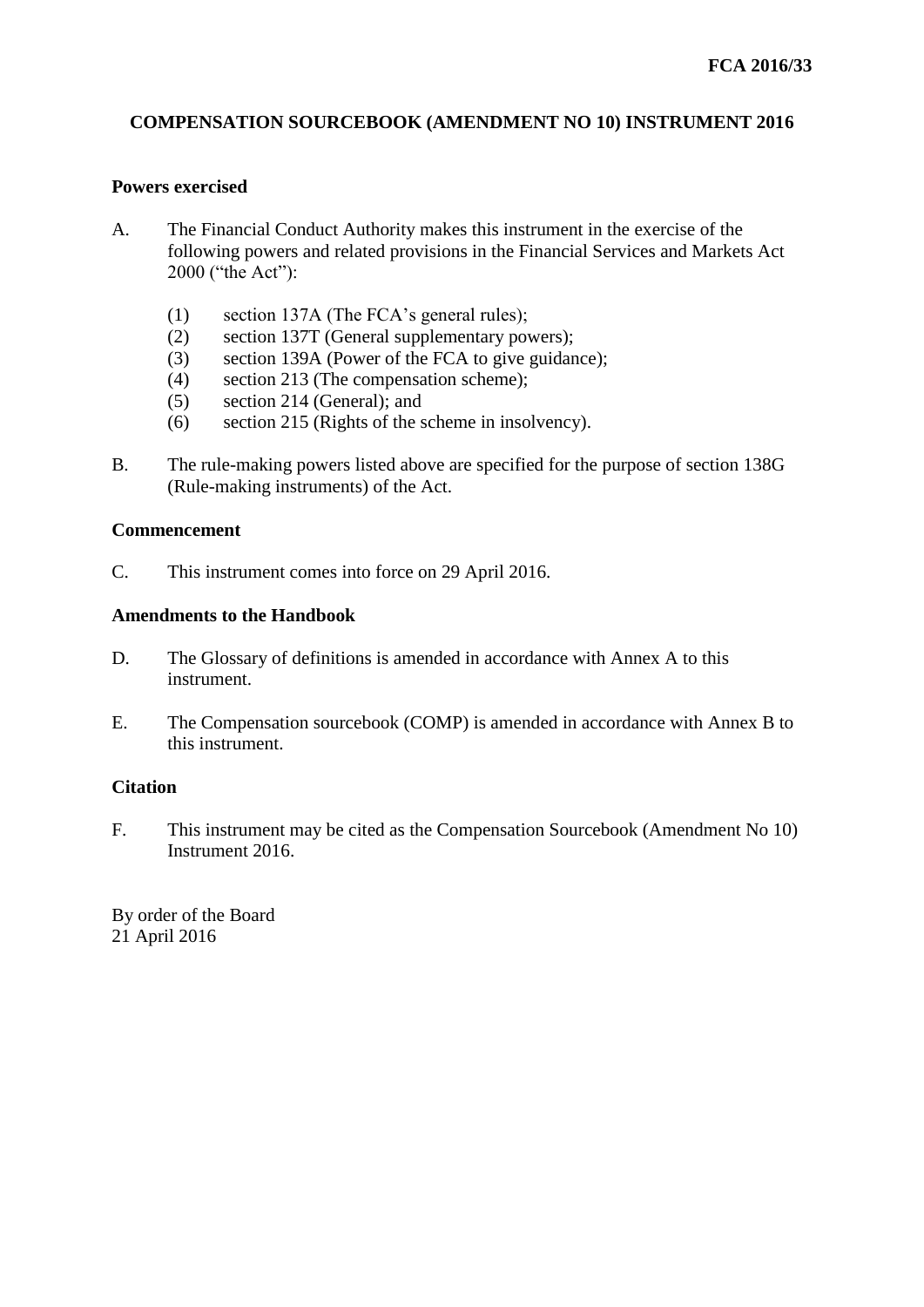## **COMPENSATION SOURCEBOOK (AMENDMENT NO 10) INSTRUMENT 2016**

## **Powers exercised**

- A. The Financial Conduct Authority makes this instrument in the exercise of the following powers and related provisions in the Financial Services and Markets Act 2000 ("the Act"):
	- (1) section 137A (The FCA's general rules);
	- (2) section 137T (General supplementary powers);
	- (3) section 139A (Power of the FCA to give guidance);
	- (4) section 213 (The compensation scheme);
	- (5) section 214 (General); and
	- (6) section 215 (Rights of the scheme in insolvency).
- B. The rule-making powers listed above are specified for the purpose of section 138G (Rule-making instruments) of the Act.

## **Commencement**

C. This instrument comes into force on 29 April 2016.

## **Amendments to the Handbook**

- D. The Glossary of definitions is amended in accordance with Annex A to this instrument.
- E. The Compensation sourcebook (COMP) is amended in accordance with Annex B to this instrument.

## **Citation**

F. This instrument may be cited as the Compensation Sourcebook (Amendment No 10) Instrument 2016.

By order of the Board 21 April 2016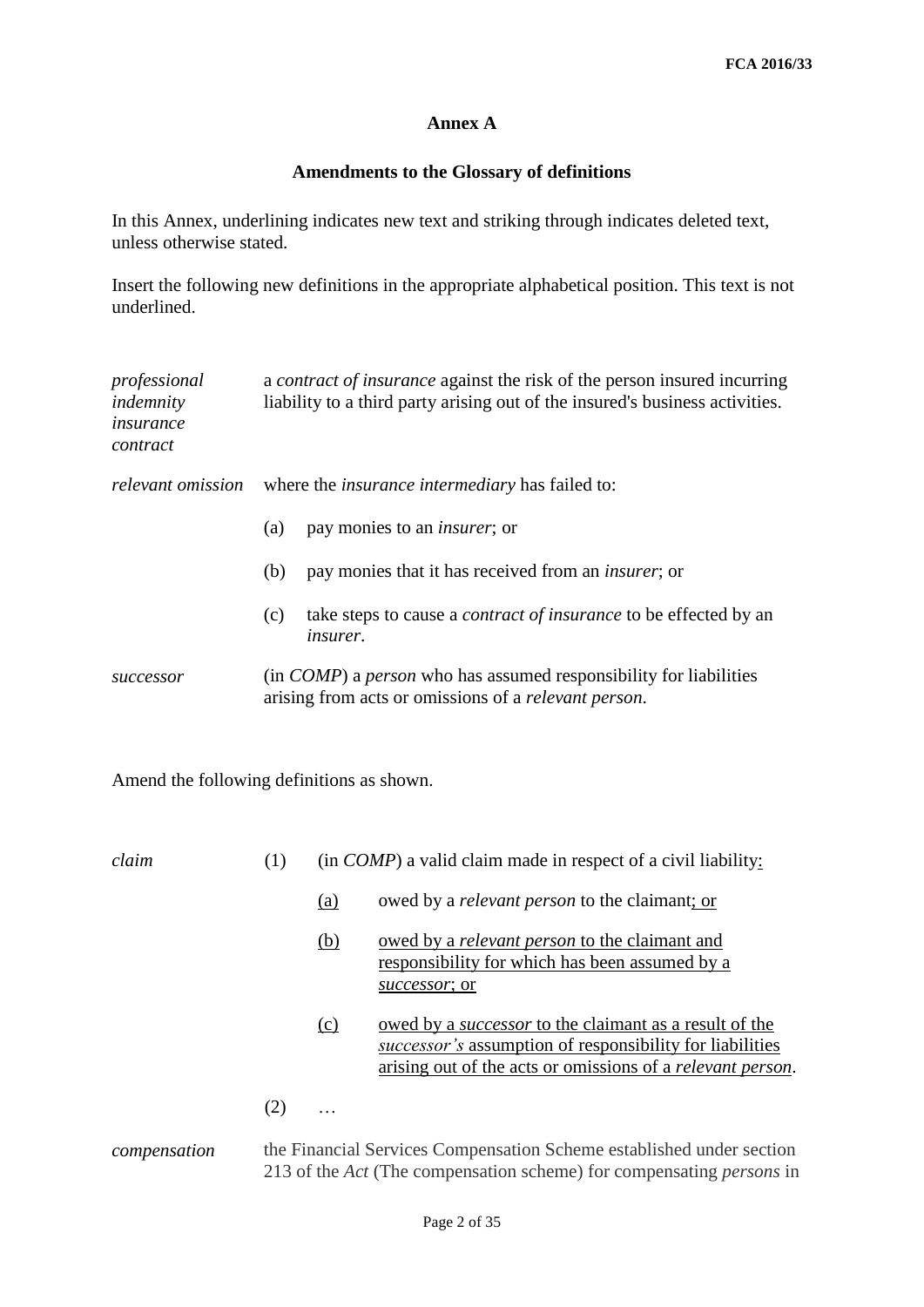## **Annex A**

## **Amendments to the Glossary of definitions**

In this Annex, underlining indicates new text and striking through indicates deleted text, unless otherwise stated.

Insert the following new definitions in the appropriate alphabetical position. This text is not underlined.

| professional<br>indemnity<br>insurance<br>contract |     | a <i>contract of insurance</i> against the risk of the person insured incurring<br>liability to a third party arising out of the insured's business activities. |
|----------------------------------------------------|-----|-----------------------------------------------------------------------------------------------------------------------------------------------------------------|
|                                                    |     | <i>relevant omission</i> where the <i>insurance intermediary</i> has failed to:                                                                                 |
|                                                    | (a) | pay monies to an <i>insurer</i> ; or                                                                                                                            |
|                                                    | (b) | pay monies that it has received from an <i>insurer</i> ; or                                                                                                     |
|                                                    | (c) | take steps to cause a <i>contract of insurance</i> to be effected by an<br><i>insurer.</i>                                                                      |
| successor                                          |     | (in <i>COMP</i> ) a <i>person</i> who has assumed responsibility for liabilities<br>arising from acts or omissions of a relevant person.                        |
| $\blacksquare$                                     |     |                                                                                                                                                                 |

Amend the following definitions as shown.

| claim        | (1) | (in <i>COMP</i> ) a valid claim made in respect of a civil liability: |                                                                                                                                                                                         |  |  |  |
|--------------|-----|-----------------------------------------------------------------------|-----------------------------------------------------------------------------------------------------------------------------------------------------------------------------------------|--|--|--|
|              |     | (a)                                                                   | owed by a <i>relevant person</i> to the claimant; or                                                                                                                                    |  |  |  |
|              |     | (b)                                                                   | owed by a <i>relevant person</i> to the claimant and<br>responsibility for which has been assumed by a<br>successor; or                                                                 |  |  |  |
|              |     | $\Omega$                                                              | owed by a <i>successor</i> to the claimant as a result of the<br>successor's assumption of responsibility for liabilities<br>arising out of the acts or omissions of a relevant person. |  |  |  |
|              | (2) |                                                                       |                                                                                                                                                                                         |  |  |  |
| compensation |     |                                                                       | the Financial Services Compensation Scheme established under section<br>213 of the Act (The compensation scheme) for compensating <i>persons</i> in                                     |  |  |  |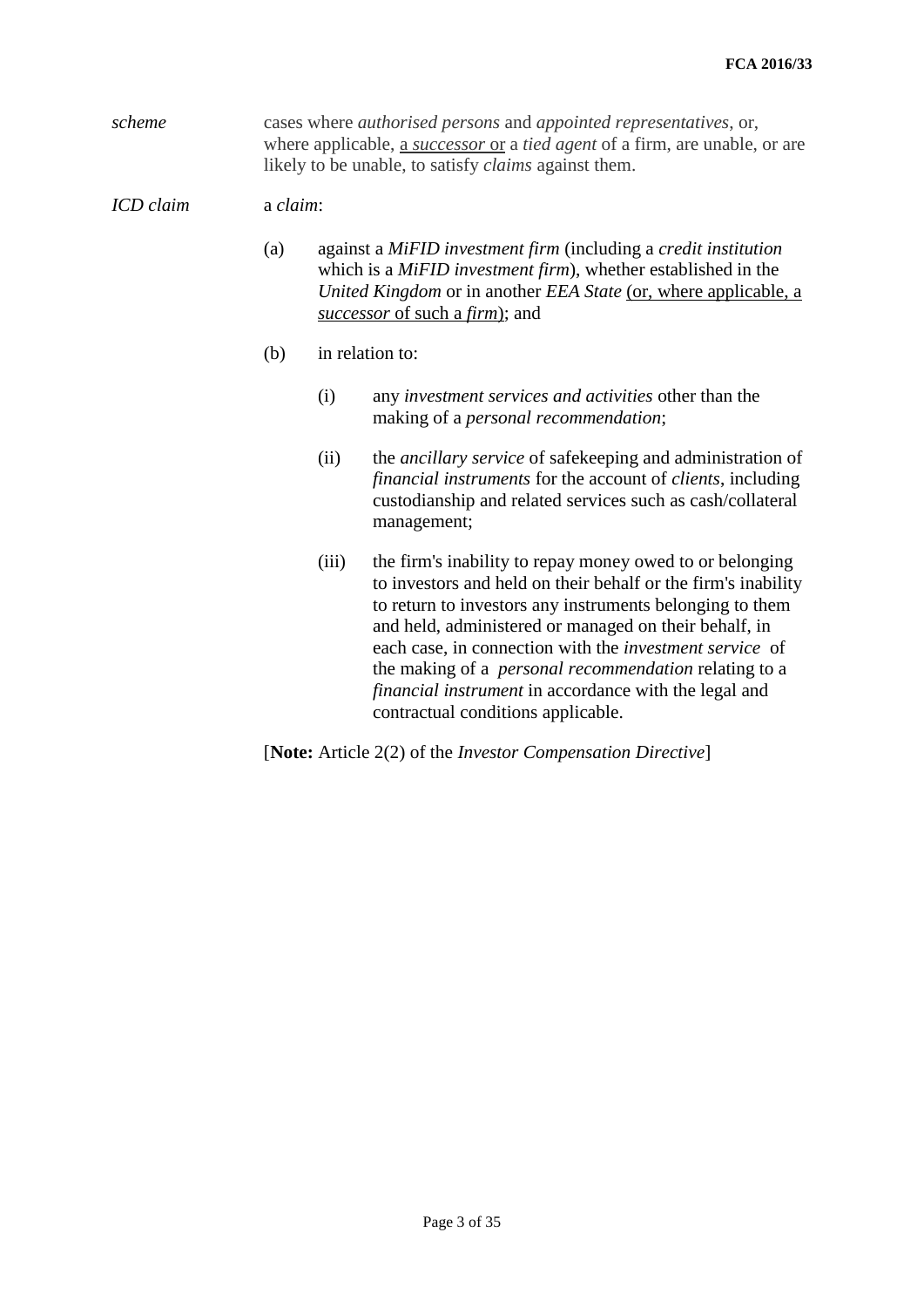*scheme* cases where *authorised persons* and *appointed representatives*, or, where applicable, a *successor* or a *tied agent* of a firm, are unable, or are likely to be unable, to satisfy *claims* against them.

## *ICD claim* a *claim*:

- (a) against a *MiFID investment firm* (including a *credit institution* which is a *MiFID investment firm*), whether established in the *United Kingdom* or in another *EEA State* (or, where applicable, a *successor* of such a *firm*); and
- (b) in relation to:
	- (i) any *investment services and activities* other than the making of a *personal recommendation*;
	- (ii) the *ancillary service* of safekeeping and administration of *financial instruments* for the account of *clients*, including custodianship and related services such as cash/collateral management;
	- (iii) the firm's inability to repay money owed to or belonging to investors and held on their behalf or the firm's inability to return to investors any instruments belonging to them and held, administered or managed on their behalf, in each case, in connection with the *investment service* of the making of a *personal recommendation* relating to a *financial instrument* in accordance with the legal and contractual conditions applicable.

[**Note:** Article 2(2) of the *Investor Compensation Directive*]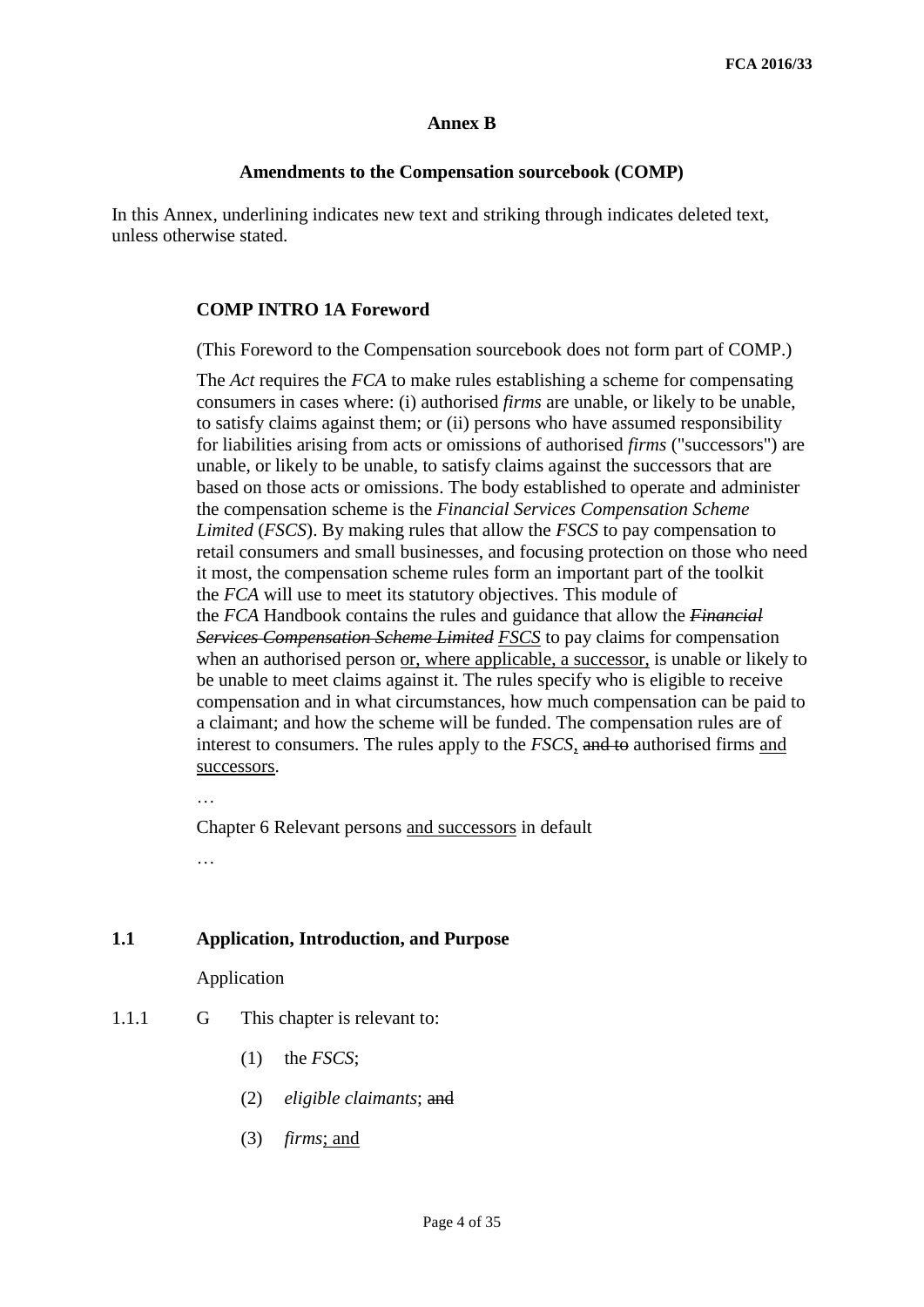## **Annex B**

## **Amendments to the Compensation sourcebook (COMP)**

In this Annex, underlining indicates new text and striking through indicates deleted text, unless otherwise stated.

## **COMP INTRO 1A Foreword**

(This Foreword to the Compensation sourcebook does not form part of COMP.)

The *Act* requires the *FCA* to make rules establishing a scheme for compensating consumers in cases where: (i) authorised *firms* are unable, or likely to be unable, to satisfy claims against them; or (ii) persons who have assumed responsibility for liabilities arising from acts or omissions of authorised *firms* ("successors") are unable, or likely to be unable, to satisfy claims against the successors that are based on those acts or omissions. The body established to operate and administer the compensation scheme is the *Financial Services Compensation Scheme Limited* (*FSCS*). By making rules that allow the *FSCS* to pay compensation to retail consumers and small businesses, and focusing protection on those who need it most, the compensation scheme rules form an important part of the toolkit the *FCA* will use to meet its statutory objectives. This module of the *FCA* Handbook contains the rules and guidance that allow the *Financial Services Compensation Scheme Limited FSCS* to pay claims for compensation when an authorised person or, where applicable, a successor, is unable or likely to be unable to meet claims against it. The rules specify who is eligible to receive compensation and in what circumstances, how much compensation can be paid to a claimant; and how the scheme will be funded. The compensation rules are of interest to consumers. The rules apply to the *FSCS*, and to authorised firms and successors.

Chapter 6 Relevant persons and successors in default

…

## **1.1 Application, Introduction, and Purpose**

Application

- 1.1.1 G This chapter is relevant to:
	- (1) the *FSCS*;
	- (2) *eligible claimants*; and
	- (3) *firms*; and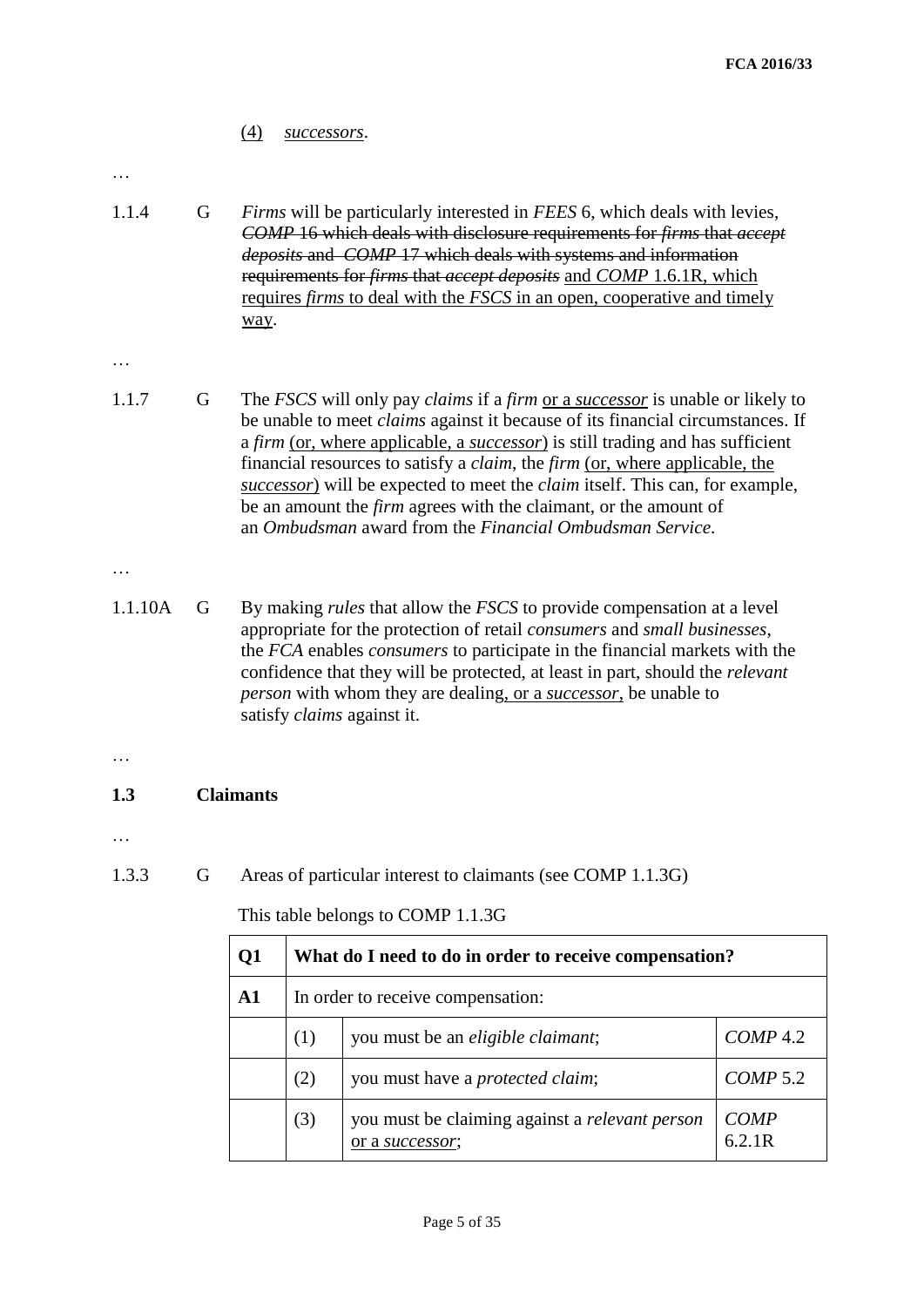## (4) *successors*.

#### …

1.1.4 G *Firms* will be particularly interested in *[FEES](https://www.handbook.fca.org.uk/handbook/FEES/6/#DES1)* 6, which deals with levies, *COMP* 16 which deals with disclosure requirements for *firms* that *accept deposits* and *[COMP](https://www.handbook.fca.org.uk/handbook/COMP/17/#DES1)* 17 which deals with systems and information requirements for *firms* that *accept deposits* and *COMP* 1.6.1R, which requires *firms* to deal with the *FSCS* in an open, cooperative and timely way.

#### …

1.1.7 G The *FSCS* will only pay *claims* if a *firm* or a *successor* is unable or likely to be unable to meet *claims* against it because of its financial circumstances. If a *firm* (or, where applicable, a *successor*) is still trading and has sufficient financial resources to satisfy a *claim*, the *firm* (or, where applicable, the *successor*) will be expected to meet the *claim* itself. This can, for example, be an amount the *firm* agrees with the claimant, or the amount of an *Ombudsman* award from the *Financial Ombudsman Service*.

#### …

1.1.10A G By making *rules* that allow the *FSCS* to provide compensation at a level appropriate for the protection of retail *consumers* and *small businesses*, the *FCA* enables *consumers* to participate in the financial markets with the confidence that they will be protected, at least in part, should the *relevant person* with whom they are dealing, or a *successor*, be unable to satisfy *claims* against it.

#### …

## **1.3 Claimants**

#### …

1.3.3 G Areas of particular interest to claimants (see COMP 1.1.3G)

| Q1            |                                                                | What do I need to do in order to receive compensation?                   |                       |  |  |  |
|---------------|----------------------------------------------------------------|--------------------------------------------------------------------------|-----------------------|--|--|--|
| $\mathbf{A1}$ |                                                                | In order to receive compensation:                                        |                       |  |  |  |
|               | $COMP$ 4.2<br>you must be an <i>eligible claimant</i> ;<br>(1) |                                                                          |                       |  |  |  |
|               | (2)                                                            | you must have a <i>protected claim</i> ;                                 | COMP 5.2              |  |  |  |
|               | (3)                                                            | you must be claiming against a <i>relevant person</i><br>or a successor; | <b>COMP</b><br>6.2.1R |  |  |  |

This table belongs to COMP 1.1.3G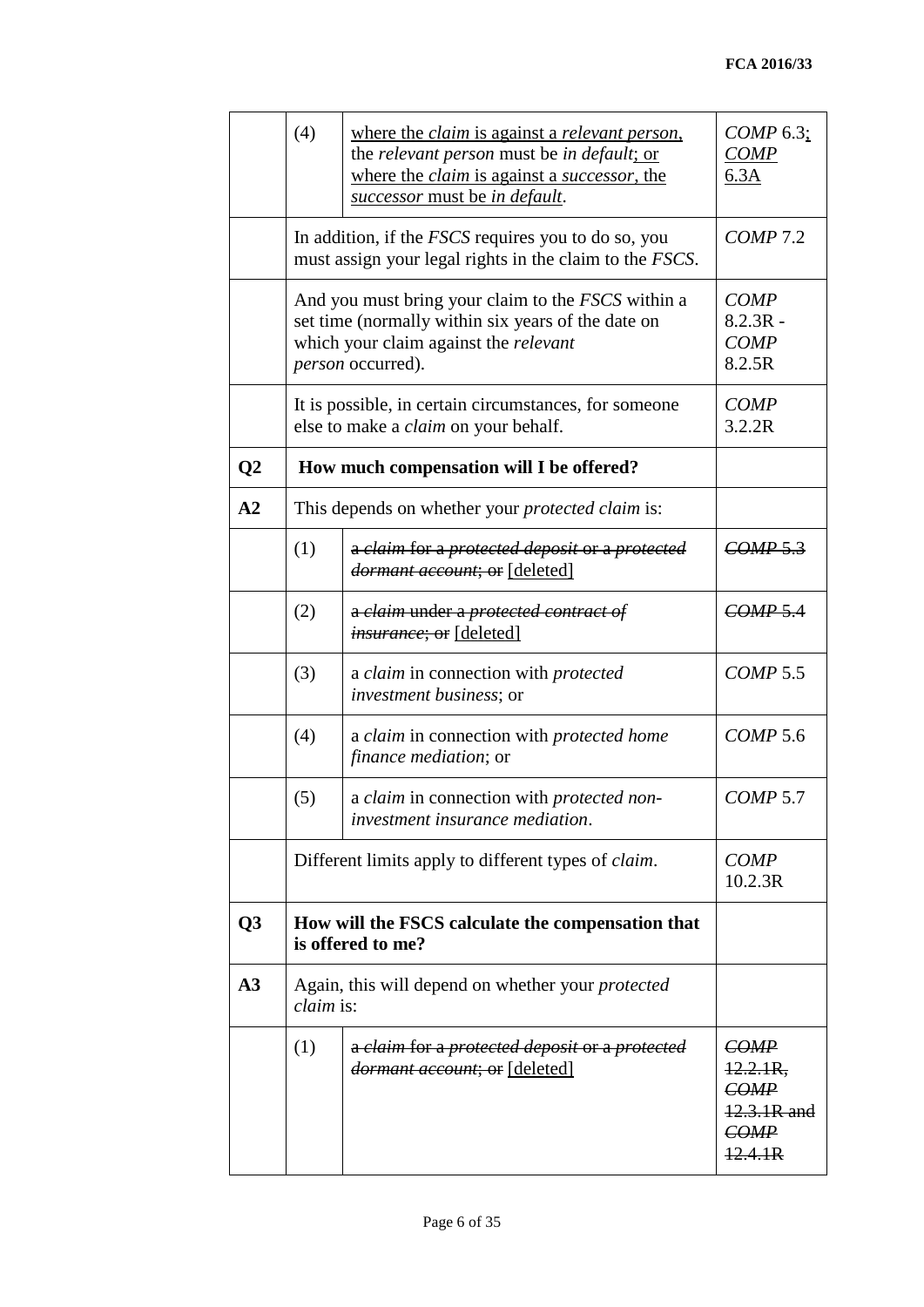|                  | (4)                                                                                                                                                                           | where the <i>claim</i> is against a <i>relevant person</i> ,<br>the relevant person must be in default; or<br>where the <i>claim</i> is against a <i>successor</i> , the<br>successor must be in default. | $COMP$ 6.3;<br><b>COMP</b><br>6.3A                                   |
|------------------|-------------------------------------------------------------------------------------------------------------------------------------------------------------------------------|-----------------------------------------------------------------------------------------------------------------------------------------------------------------------------------------------------------|----------------------------------------------------------------------|
|                  |                                                                                                                                                                               | In addition, if the <i>FSCS</i> requires you to do so, you<br>must assign your legal rights in the claim to the <i>FSCS</i> .                                                                             | $COMP$ 7.2                                                           |
|                  | And you must bring your claim to the <i>FSCS</i> within a<br>set time (normally within six years of the date on<br>which your claim against the relevant<br>person occurred). | <b>COMP</b><br>$8.2.3R -$<br><b>COMP</b><br>8.2.5R                                                                                                                                                        |                                                                      |
|                  |                                                                                                                                                                               | It is possible, in certain circumstances, for someone<br>else to make a <i>claim</i> on your behalf.                                                                                                      | <b>COMP</b><br>3.2.2R                                                |
| $\overline{Q^2}$ |                                                                                                                                                                               | How much compensation will I be offered?                                                                                                                                                                  |                                                                      |
| A2               |                                                                                                                                                                               | This depends on whether your <i>protected claim</i> is:                                                                                                                                                   |                                                                      |
|                  | (1)                                                                                                                                                                           | a claim for a protected deposit or a protected<br>dormant account; or [deleted]                                                                                                                           | COMP 5.3                                                             |
|                  | (2)                                                                                                                                                                           | a claim under a protected contract of<br><i>insurance</i> ; or [deleted]                                                                                                                                  | COMP 5.4                                                             |
|                  | (3)                                                                                                                                                                           | a claim in connection with protected<br><i>investment business; or</i>                                                                                                                                    | <b>COMP 5.5</b>                                                      |
|                  | (4)                                                                                                                                                                           | a claim in connection with protected home<br><i>finance mediation</i> ; or                                                                                                                                | $COMP$ 5.6                                                           |
|                  | (5)                                                                                                                                                                           | a claim in connection with protected non-<br>investment insurance mediation.                                                                                                                              | COMP 5.7                                                             |
|                  |                                                                                                                                                                               | Different limits apply to different types of <i>claim</i> .                                                                                                                                               | <b>COMP</b><br>10.2.3R                                               |
| Q3               | How will the FSCS calculate the compensation that<br>is offered to me?                                                                                                        |                                                                                                                                                                                                           |                                                                      |
| A3               | <i>claim</i> is:                                                                                                                                                              | Again, this will depend on whether your <i>protected</i>                                                                                                                                                  |                                                                      |
|                  | (1)                                                                                                                                                                           | a claim for a protected deposit or a protected<br><i>dormant account</i> ; or [deleted]                                                                                                                   | <b>COMP</b><br>$12.2.1R$ ,<br>COMP<br>12.3.1R and<br>COMP<br>12.4.1R |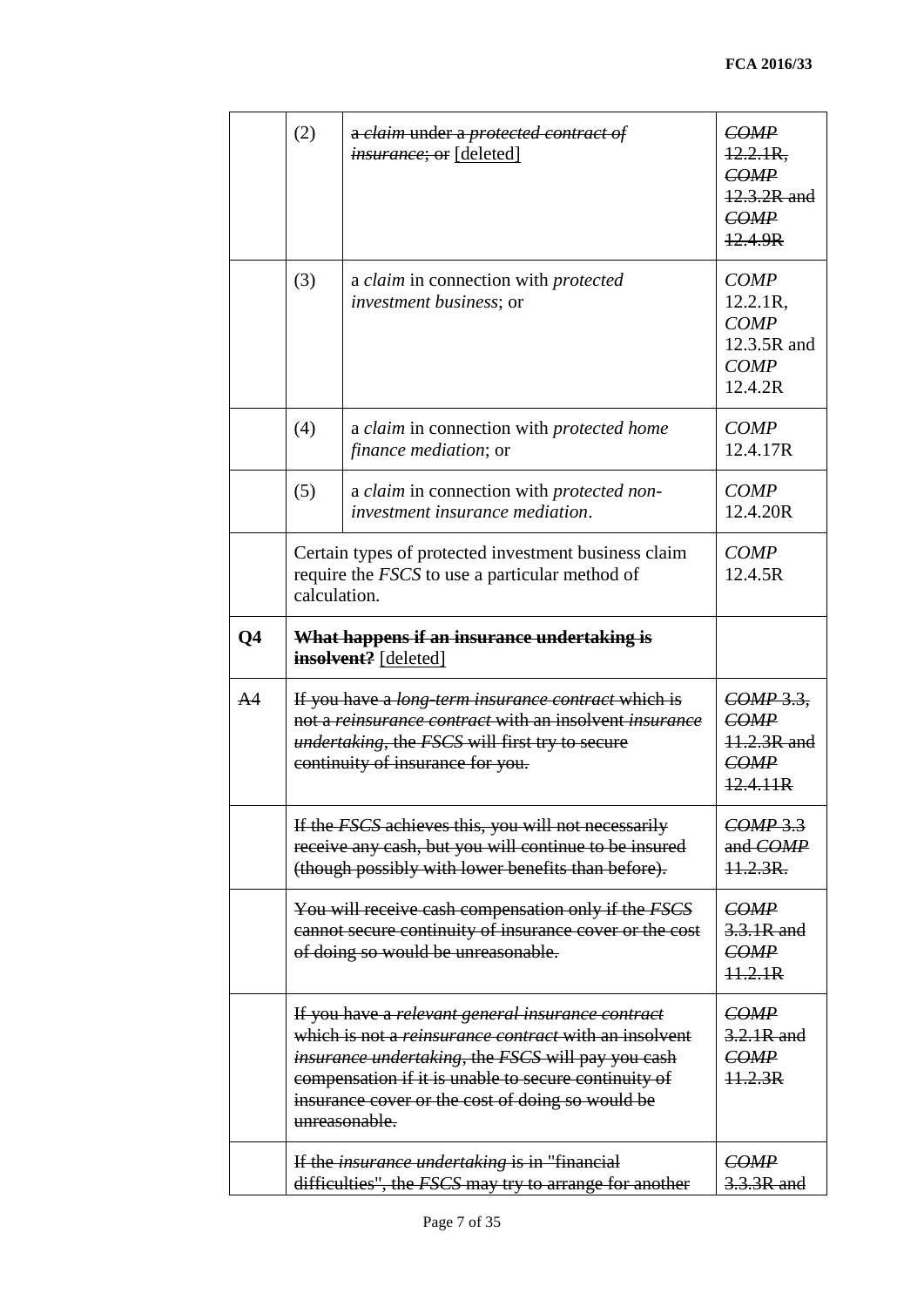|                | (2)                                                                                                                                                                | a claim under a protected contract of<br><i>insurance</i> ; or [deleted]                                                                                                                                                                                                                            | COMP<br>12.2.1R,<br>COMP<br>12.3.2R and<br>COMP<br>12.4.9R                      |  |  |  |
|----------------|--------------------------------------------------------------------------------------------------------------------------------------------------------------------|-----------------------------------------------------------------------------------------------------------------------------------------------------------------------------------------------------------------------------------------------------------------------------------------------------|---------------------------------------------------------------------------------|--|--|--|
|                | (3)                                                                                                                                                                | a <i>claim</i> in connection with <i>protected</i><br><i>investment business; or</i>                                                                                                                                                                                                                | <b>COMP</b><br>12.2.1R,<br><b>COMP</b><br>12.3.5R and<br><b>COMP</b><br>12.4.2R |  |  |  |
|                | (4)                                                                                                                                                                | a claim in connection with <i>protected</i> home<br><i>finance mediation</i> ; or                                                                                                                                                                                                                   | <b>COMP</b><br>12.4.17R                                                         |  |  |  |
|                | (5)                                                                                                                                                                | a claim in connection with protected non-<br>investment insurance mediation.                                                                                                                                                                                                                        | <b>COMP</b><br>12.4.20R                                                         |  |  |  |
|                | calculation.                                                                                                                                                       | Certain types of protected investment business claim<br>require the <i>FSCS</i> to use a particular method of                                                                                                                                                                                       | <b>COMP</b><br>12.4.5R                                                          |  |  |  |
| Q <sub>4</sub> |                                                                                                                                                                    | What happens if an insurance undertaking is<br>insolvent? [deleted]                                                                                                                                                                                                                                 |                                                                                 |  |  |  |
| A <sup>4</sup> |                                                                                                                                                                    | If you have a <i>long-term insurance contract</i> which is<br>not a <i>reinsurance contract</i> with an insolvent <i>insurance</i><br><i>undertaking</i> , the <i>FSCS</i> will first try to secure<br>continuity of insurance for you.                                                             | COMP 3.3,<br>COMP<br>11.2.3R and<br>COMP<br>12.4.11R                            |  |  |  |
|                | If the FSCS achieves this, you will not necessarily<br>receive any cash, but you will continue to be insured<br>(though possibly with lower benefits than before). | $COMP$ 3.3<br>and COMP<br>$11.2.3R$ .                                                                                                                                                                                                                                                               |                                                                                 |  |  |  |
|                | You will receive cash compensation only if the FSCS<br>cannot secure continuity of insurance cover or the cost<br>of doing so would be unreasonable.               | <b>COMP</b><br>3.3.1R and<br>COMP<br>11.2.1R                                                                                                                                                                                                                                                        |                                                                                 |  |  |  |
|                |                                                                                                                                                                    | If you have a relevant general insurance contract<br>which is not a <i>reinsurance contract</i> with an insolvent<br>insurance undertaking, the FSCS will pay you cash<br>compensation if it is unable to secure continuity of<br>insurance cover or the cost of doing so would be<br>unreasonable. | <b>COMP</b><br>3.2.1R and<br>COMP<br>11.2.3R                                    |  |  |  |
|                |                                                                                                                                                                    | If the <i>insurance undertaking</i> is in "financial<br>difficulties", the FSCS may try to arrange for another                                                                                                                                                                                      | <b>COMP</b><br>3.3.3R and                                                       |  |  |  |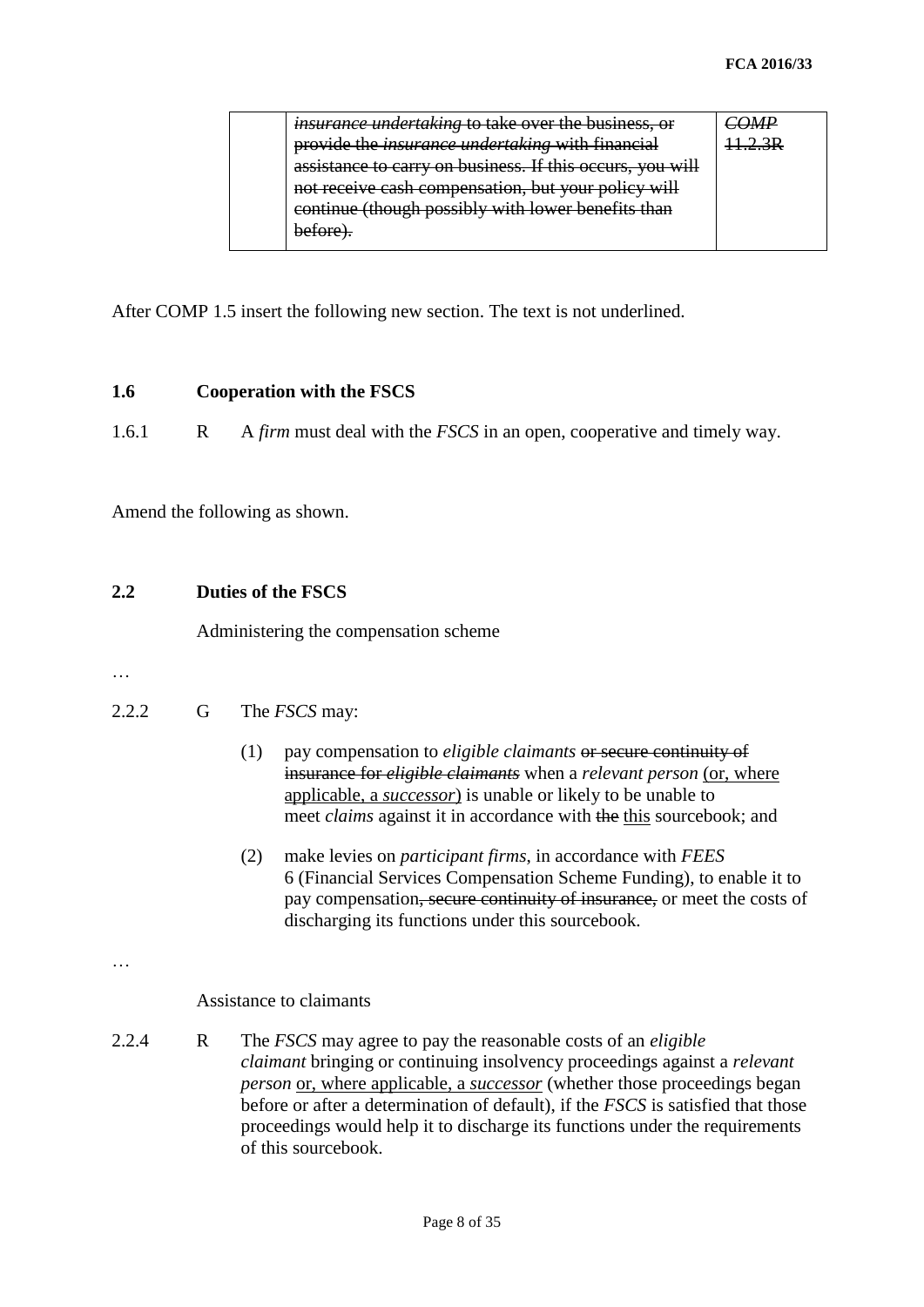| <i>insurance undertaking</i> to take over the business or<br><del>une over</del>    |  |
|-------------------------------------------------------------------------------------|--|
| <i>insurance undertaking</i> with financial<br>nrovide the<br>warder and runder     |  |
| assistance to carry on business. If this occurs, you will                           |  |
| not receive cash compensation, but your policy will                                 |  |
| continue (though possibly with lower benefits than<br><del>(urougn possibly )</del> |  |
| n≙±∩re                                                                              |  |
|                                                                                     |  |

After COMP 1.5 insert the following new section. The text is not underlined.

## **1.6 Cooperation with the FSCS**

1.6.1 R A *firm* must deal with the *FSCS* in an open, cooperative and timely way.

Amend the following as shown.

## **2.2 Duties of the FSCS**

Administering the compensation scheme

…

## 2.2.2 G The *FSCS* may:

- (1) pay compensation to *eligible claimants* or secure continuity of insurance for *eligible claimants* when a *relevant person* (or, where applicable, a *successor*) is unable or likely to be unable to meet *claims* against it in accordance with the this sourcebook; and
- (2) make levies on *participant firms*, in accordance with *FEES*  6 (Financial Services Compensation Scheme Funding), to enable it to pay compensation, secure continuity of insurance, or meet the costs of discharging its functions under this sourcebook.

…

Assistance to claimants

2.2.4 R The *FSCS* may agree to pay the reasonable costs of an *eligible claimant* bringing or continuing insolvency proceedings against a *relevant person* or, where applicable, a *successor* (whether those proceedings began before or after a determination of default), if the *FSCS* is satisfied that those proceedings would help it to discharge its functions under the requirements of this sourcebook.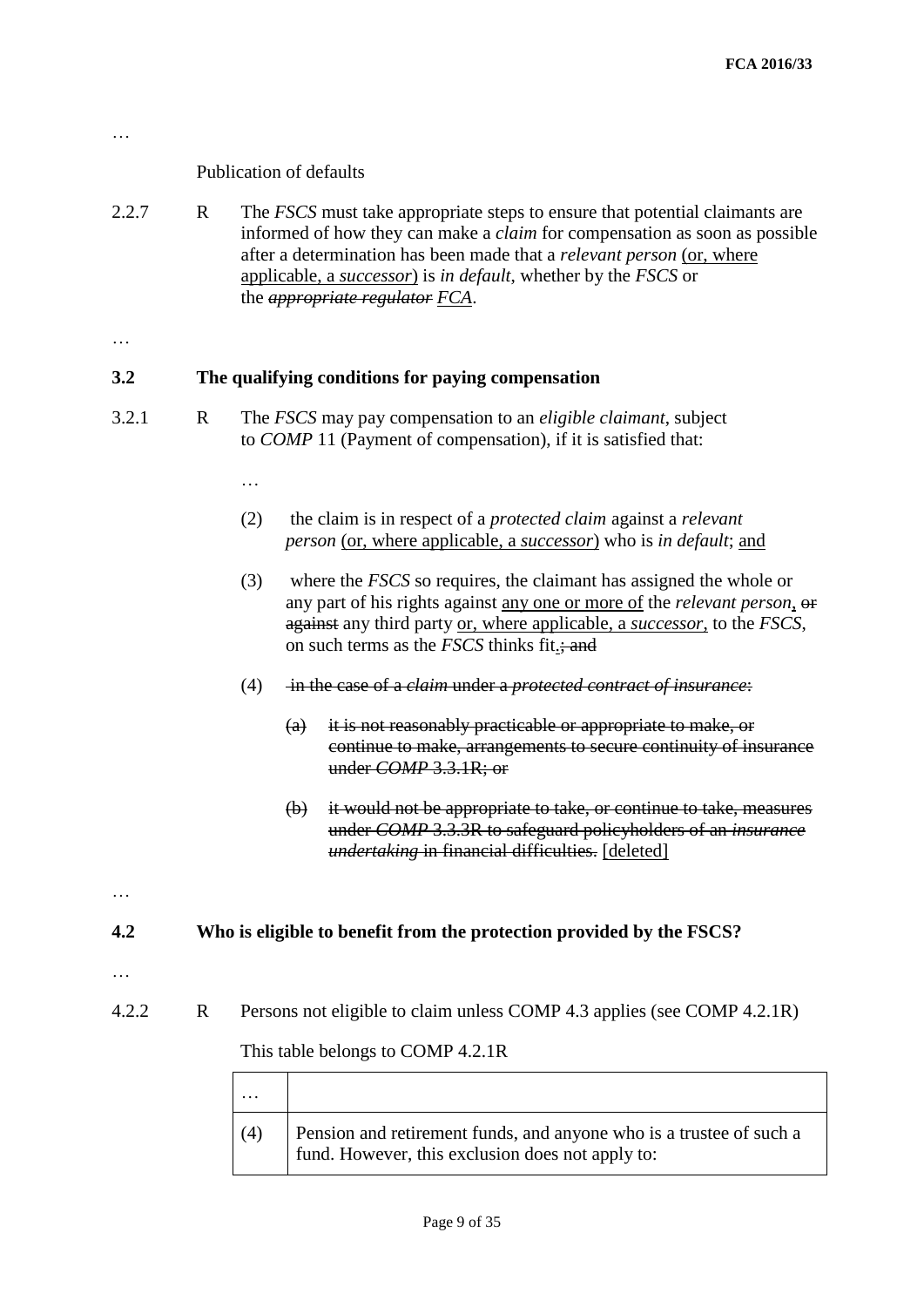## Publication of defaults

2.2.7 R The *FSCS* must take appropriate steps to ensure that potential claimants are informed of how they can make a *claim* for compensation as soon as possible after a determination has been made that a *relevant person* (or, where applicable, a *successor*) is *in default*, whether by the *FSCS* or the *appropriate regulator FCA*.

…

…

## **3.2 The qualifying conditions for paying compensation**

- 3.2.1 R The *FSCS* may pay compensation to an *eligible claimant*, subject to *COMP* 11 (Payment of compensation), if it is satisfied that:
	- …
	- (2) the claim is in respect of a *protected claim* against a *relevant person* (or, where applicable, a *successor*) who is *in default*; and
	- (3) where the *FSCS* so requires, the claimant has assigned the whole or any part of his rights against any one or more of the *relevant person*, or against any third party or, where applicable, a *successor*, to the *FSCS*, on such terms as the *FSCS* thinks fit.; and
	- (4) in the case of a *claim* under a *protected contract of insurance*:
		- (a) it is not reasonably practicable or appropriate to make, or continue to make, arrangements to secure continuity of insurance under *COMP* 3.3.1R; or
		- (b) it would not be appropriate to take, or continue to take, measures under *COMP* 3.3.3R to safeguard policyholders of an *insurance undertaking* in financial difficulties. [deleted]

**4.2 Who is eligible to benefit from the protection provided by the FSCS?**

…

…

4.2.2 R Persons not eligible to claim unless COMP 4.3 applies (see COMP 4.2.1R)

This table belongs to COMP 4.2.1R

| (4) | Pension and retirement funds, and anyone who is a trustee of such a<br>fund. However, this exclusion does not apply to: |
|-----|-------------------------------------------------------------------------------------------------------------------------|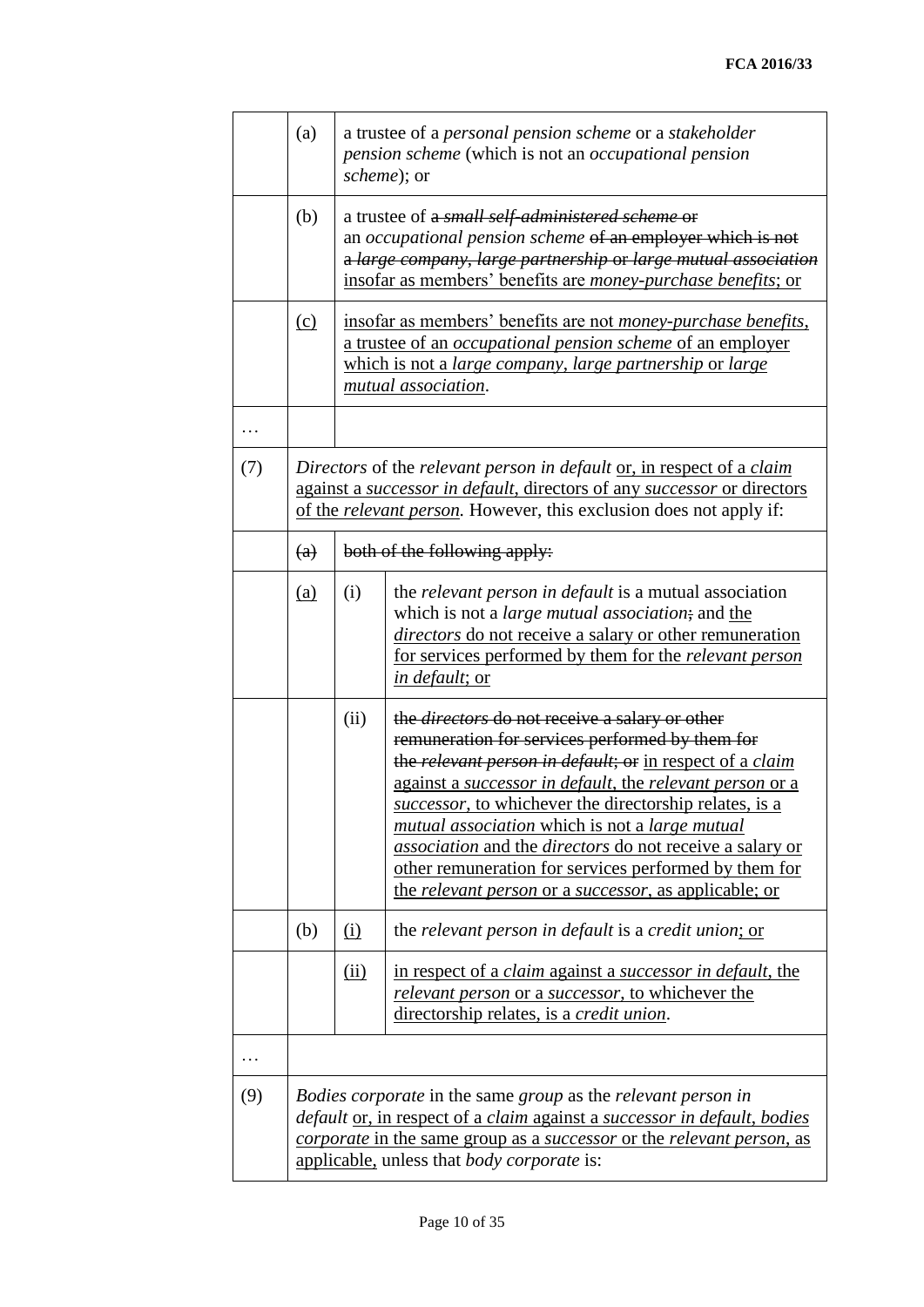|          | (a)                                                                                                                                                                                                                                                                                                 |                                                                                                                                                                                                                                | a trustee of a personal pension scheme or a stakeholder<br>pension scheme (which is not an occupational pension<br>scheme); or                                                                                                                                                                                                                                                                                                                                                                                                                                        |  |  |  |  |
|----------|-----------------------------------------------------------------------------------------------------------------------------------------------------------------------------------------------------------------------------------------------------------------------------------------------------|--------------------------------------------------------------------------------------------------------------------------------------------------------------------------------------------------------------------------------|-----------------------------------------------------------------------------------------------------------------------------------------------------------------------------------------------------------------------------------------------------------------------------------------------------------------------------------------------------------------------------------------------------------------------------------------------------------------------------------------------------------------------------------------------------------------------|--|--|--|--|
|          | (b)                                                                                                                                                                                                                                                                                                 |                                                                                                                                                                                                                                | a trustee of a <i>small self-administered scheme</i> or<br>an occupational pension scheme of an employer which is not<br>a large company, large partnership or large mutual association<br>insofar as members' benefits are <i>money-purchase benefits</i> ; or                                                                                                                                                                                                                                                                                                       |  |  |  |  |
|          | (c)                                                                                                                                                                                                                                                                                                 |                                                                                                                                                                                                                                | insofar as members' benefits are not <i>money-purchase benefits</i> ,<br>a trustee of an <i>occupational pension scheme</i> of an employer<br>which is not a large company, large partnership or large<br>mutual association.                                                                                                                                                                                                                                                                                                                                         |  |  |  |  |
| $\cdots$ |                                                                                                                                                                                                                                                                                                     |                                                                                                                                                                                                                                |                                                                                                                                                                                                                                                                                                                                                                                                                                                                                                                                                                       |  |  |  |  |
| (7)      |                                                                                                                                                                                                                                                                                                     | Directors of the relevant person in default or, in respect of a claim<br>against a successor in default, directors of any successor or directors<br>of the <i>relevant person</i> . However, this exclusion does not apply if: |                                                                                                                                                                                                                                                                                                                                                                                                                                                                                                                                                                       |  |  |  |  |
|          | $\left(\mathrm{a}\right)$                                                                                                                                                                                                                                                                           |                                                                                                                                                                                                                                | both of the following apply:                                                                                                                                                                                                                                                                                                                                                                                                                                                                                                                                          |  |  |  |  |
|          | <u>(a)</u>                                                                                                                                                                                                                                                                                          | (i)                                                                                                                                                                                                                            | the relevant person in default is a mutual association<br>which is not a <i>large mutual association</i> ; and the<br>directors do not receive a salary or other remuneration<br>for services performed by them for the <i>relevant person</i><br>in default; or                                                                                                                                                                                                                                                                                                      |  |  |  |  |
|          |                                                                                                                                                                                                                                                                                                     | (ii)                                                                                                                                                                                                                           | the <i>directors</i> do not receive a salary or other<br>remuneration for services performed by them for<br>the relevant person in default; or in respect of a claim<br>against a successor in default, the relevant person or a<br>successor, to whichever the directorship relates, is a<br><i>mutual association</i> which is not a <i>large mutual</i><br><i>association</i> and the <i>directors</i> do not receive a salary or<br>other remuneration for services performed by them for<br>the <i>relevant person</i> or a <i>successor</i> , as applicable; or |  |  |  |  |
|          | (b)                                                                                                                                                                                                                                                                                                 | <u>(i)</u>                                                                                                                                                                                                                     | the relevant person in default is a credit union; or                                                                                                                                                                                                                                                                                                                                                                                                                                                                                                                  |  |  |  |  |
|          |                                                                                                                                                                                                                                                                                                     | (ii)                                                                                                                                                                                                                           | in respect of a claim against a successor in default, the<br><i>relevant person</i> or a <i>successor</i> , to whichever the<br>directorship relates, is a <i>credit union</i> .                                                                                                                                                                                                                                                                                                                                                                                      |  |  |  |  |
| .        |                                                                                                                                                                                                                                                                                                     |                                                                                                                                                                                                                                |                                                                                                                                                                                                                                                                                                                                                                                                                                                                                                                                                                       |  |  |  |  |
| (9)      | Bodies corporate in the same group as the relevant person in<br><i>default</i> or, in respect of a claim against a successor in default, bodies<br><i>corporate</i> in the same group as a <i>successor</i> or the <i>relevant person</i> , as<br>applicable, unless that <i>body corporate</i> is: |                                                                                                                                                                                                                                |                                                                                                                                                                                                                                                                                                                                                                                                                                                                                                                                                                       |  |  |  |  |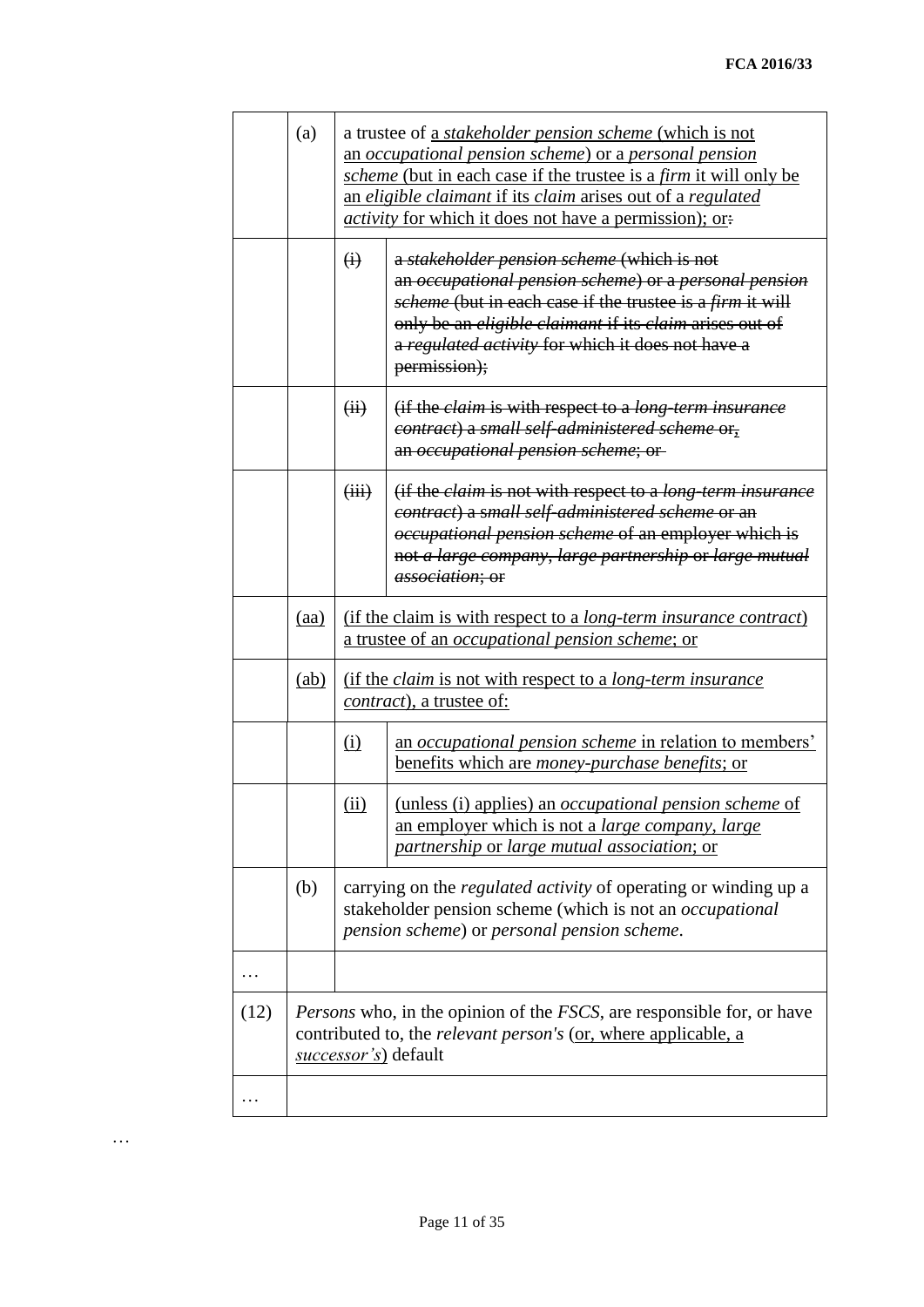|      | (a)  | a trustee of a <i>stakeholder pension scheme</i> (which is not<br>an occupational pension scheme) or a personal pension<br><i>scheme</i> (but in each case if the trustee is a <i>firm</i> it will only be<br>an eligible claimant if its claim arises out of a regulated<br><i>activity</i> for which it does not have a permission); or: |                                                                                                                                                                                                                                                                                                                |  |  |
|------|------|--------------------------------------------------------------------------------------------------------------------------------------------------------------------------------------------------------------------------------------------------------------------------------------------------------------------------------------------|----------------------------------------------------------------------------------------------------------------------------------------------------------------------------------------------------------------------------------------------------------------------------------------------------------------|--|--|
|      |      | $\ddot{\theta}$                                                                                                                                                                                                                                                                                                                            | a stakeholder pension scheme (which is not<br>an occupational pension scheme) or a personal pension<br>scheme (but in each case if the trustee is a firm it will<br>only be an <i>eligible claimant</i> if its <i>claim</i> arises out of<br>a regulated activity for which it does not have a<br>permission); |  |  |
|      |      | (ii)                                                                                                                                                                                                                                                                                                                                       | (if the <i>claim</i> is with respect to a <i>long-term insurance</i><br>contract) a small self-administered scheme or,<br>an occupational pension scheme; or                                                                                                                                                   |  |  |
|      |      | (iii)                                                                                                                                                                                                                                                                                                                                      | (if the <i>claim</i> is not with respect to a <i>long-term insurance</i><br>contract) a small self-administered scheme or an<br><i>occupational pension scheme</i> of an employer which is<br>not a large company, large partnership or large mutual<br><i>association</i> ; or                                |  |  |
|      | (aa) |                                                                                                                                                                                                                                                                                                                                            | (if the claim is with respect to a long-term insurance contract)<br>a trustee of an <i>occupational pension scheme</i> ; or                                                                                                                                                                                    |  |  |
|      | (ab) |                                                                                                                                                                                                                                                                                                                                            | (if the <i>claim</i> is not with respect to a <i>long-term insurance</i><br>contract), a trustee of:                                                                                                                                                                                                           |  |  |
|      |      | (i)                                                                                                                                                                                                                                                                                                                                        | an occupational pension scheme in relation to members'<br>benefits which are <i>money-purchase benefits</i> ; or                                                                                                                                                                                               |  |  |
|      |      | (ii)                                                                                                                                                                                                                                                                                                                                       | (unless (i) applies) an <i>occupational pension scheme</i> of<br>an employer which is not a <i>large company</i> , <i>large</i><br>partnership or large mutual association; or                                                                                                                                 |  |  |
|      | (b)  | carrying on the <i>regulated activity</i> of operating or winding up a<br>stakeholder pension scheme (which is not an <i>occupational</i><br>pension scheme) or personal pension scheme.                                                                                                                                                   |                                                                                                                                                                                                                                                                                                                |  |  |
| .    |      |                                                                                                                                                                                                                                                                                                                                            |                                                                                                                                                                                                                                                                                                                |  |  |
| (12) |      | <i>Persons</i> who, in the opinion of the <i>FSCS</i> , are responsible for, or have<br>contributed to, the <i>relevant person's</i> (or, where applicable, a<br>successor's) default                                                                                                                                                      |                                                                                                                                                                                                                                                                                                                |  |  |
| .    |      |                                                                                                                                                                                                                                                                                                                                            |                                                                                                                                                                                                                                                                                                                |  |  |

…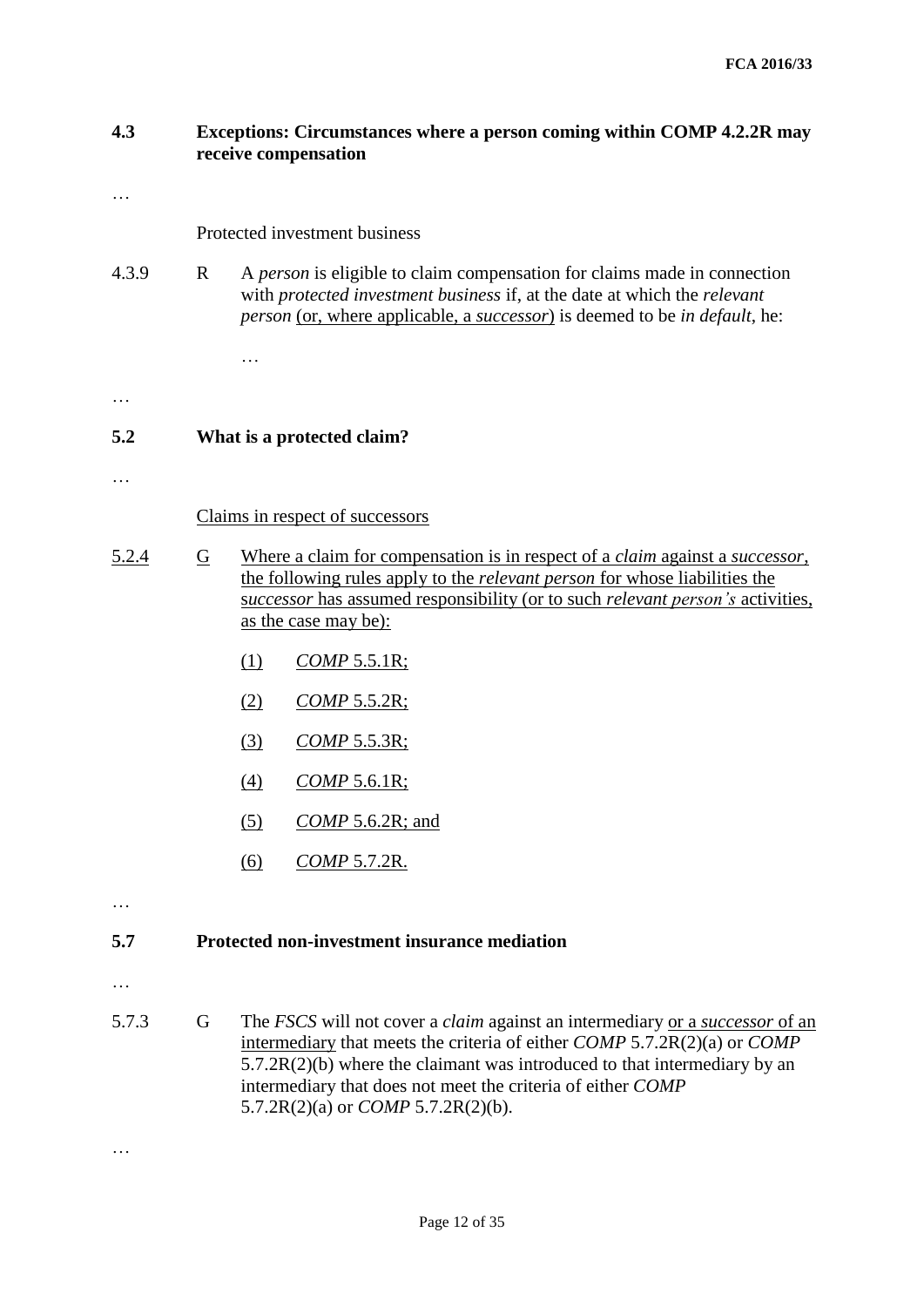## **4.3 Exceptions: Circumstances where a person coming within COMP 4.2.2R may receive compensation**

…

Protected investment business

4.3.9 R A *person* is eligible to claim compensation for claims made in connection with *protected investment business* if, at the date at which the *relevant person* (or, where applicable, a *successor*) is deemed to be *in default*, he:

## **5.2 What is a protected claim?**

…

…

…

Claims in respect of successors

- 5.2.4 G Where a claim for compensation is in respect of a *claim* against a *successor*, the following rules apply to the *relevant person* for whose liabilities the s*uccessor* has assumed responsibility (or to such *relevant person's* activities, as the case may be):
	- (1) *COMP* 5.5.1R;
	- (2) *COMP* 5.5.2R;
	- (3) *COMP* 5.5.3R;
	- (4) *COMP* 5.6.1R;
	- (5) *COMP* 5.6.2R; and
	- (6) *COMP* 5.7.2R.

…

## **5.7 Protected non-investment insurance mediation**

…

…

5.7.3 G The *FSCS* will not cover a *claim* against an intermediary or a *successor* of an intermediary that meets the criteria of either *COMP* 5.7.2R(2)(a) or *COMP*  $5.7.2R(2)(b)$  where the claimant was introduced to that intermediary by an intermediary that does not meet the criteria of either *COMP* 5.7.2R(2)(a) or *COMP* 5.7.2R(2)(b).

Page 12 of 35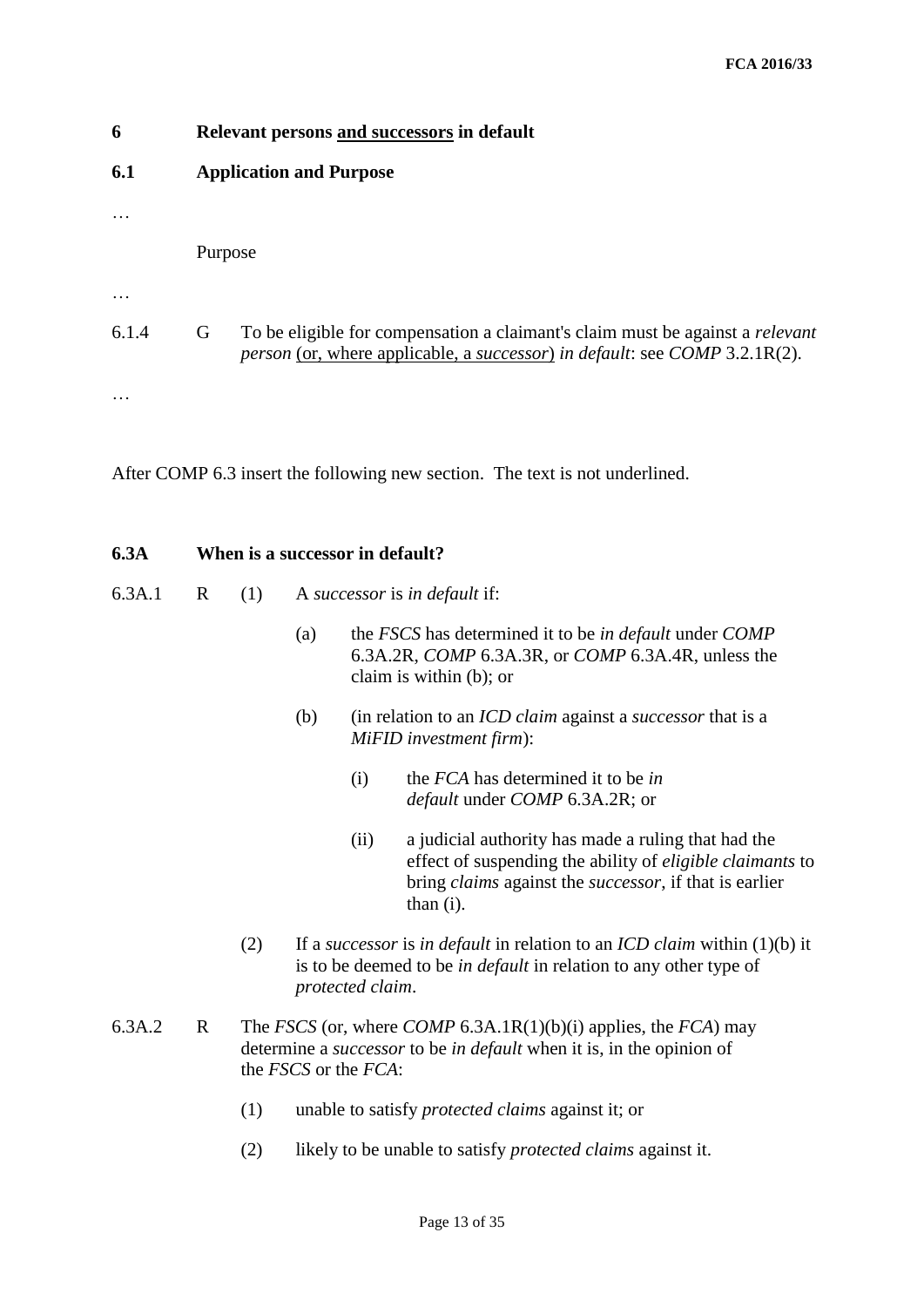| 6     | Relevant persons and successors in default                                                                                                                              |  |  |  |  |  |  |  |  |
|-------|-------------------------------------------------------------------------------------------------------------------------------------------------------------------------|--|--|--|--|--|--|--|--|
| 6.1   | <b>Application and Purpose</b>                                                                                                                                          |  |  |  |  |  |  |  |  |
|       |                                                                                                                                                                         |  |  |  |  |  |  |  |  |
|       | Purpose                                                                                                                                                                 |  |  |  |  |  |  |  |  |
|       |                                                                                                                                                                         |  |  |  |  |  |  |  |  |
| 6.1.4 | To be eligible for compensation a claimant's claim must be against a <i>relevant</i><br>G<br>person (or, where applicable, a successor) in default: see COMP 3.2.1R(2). |  |  |  |  |  |  |  |  |
|       |                                                                                                                                                                         |  |  |  |  |  |  |  |  |

After COMP 6.3 insert the following new section. The text is not underlined.

## **6.3A When is a successor in default?**

- 6.3A.1 R (1) A *successor* is *in default* if:
	- (a) the *FSCS* has determined it to be *in default* under *COMP* 6.3A.2R, *COMP* 6.3A.3R, or *COMP* 6.3A.4R, unless the claim is within (b); or
	- (b) (in relation to an *ICD claim* against a *successor* that is a *MiFID investment firm*):
		- (i) the *FCA* has determined it to be *in default* under *COMP* 6.3A.2R; or
		- (ii) a judicial authority has made a ruling that had the effect of suspending the ability of *eligible claimants* to bring *claims* against the *successor*, if that is earlier than (i).
	- (2) If a *successor* is *in default* in relation to an *ICD claim* within (1)(b) it is to be deemed to be *in default* in relation to any other type of *protected claim*.
- 6.3A.2 R The *FSCS* (or, where *COMP* 6.3A.1R(1)(b)(i) applies, the *FCA*) may determine a *successor* to be *in default* when it is, in the opinion of the *FSCS* or the *FCA*:
	- (1) unable to satisfy *protected claims* against it; or
	- (2) likely to be unable to satisfy *protected claims* against it.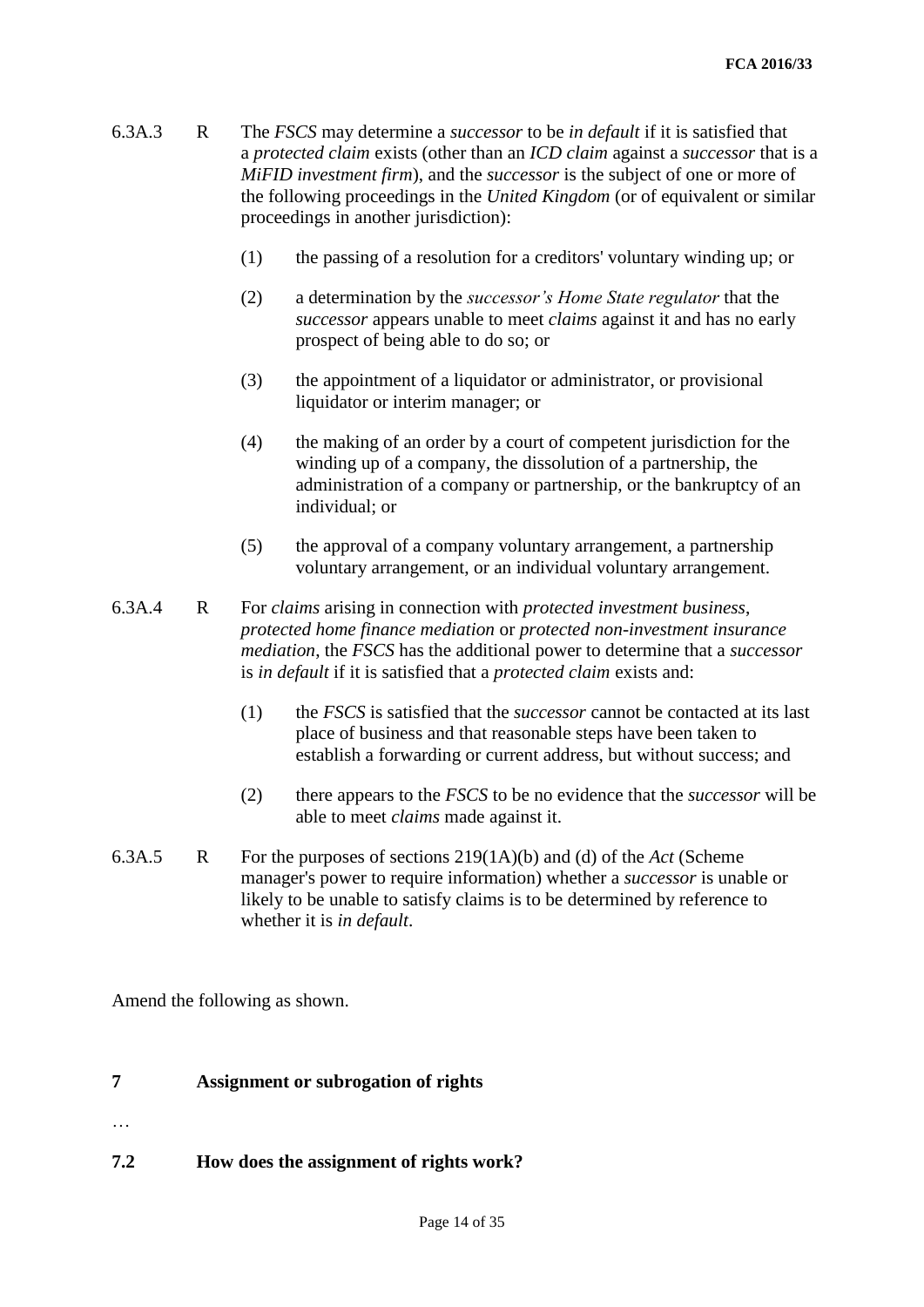- 6.3A.3 R The *FSCS* may determine a *successor* to be *in default* if it is satisfied that a *protected claim* exists (other than an *ICD claim* against a *successor* that is a *MiFID investment firm*), and the *successor* is the subject of one or more of the following proceedings in the *United Kingdom* (or of equivalent or similar proceedings in another jurisdiction):
	- (1) the passing of a resolution for a creditors' voluntary winding up; or
	- (2) a determination by the *successor's Home State regulator* that the *successor* appears unable to meet *claims* against it and has no early prospect of being able to do so; or
	- (3) the appointment of a liquidator or administrator, or provisional liquidator or interim manager; or
	- (4) the making of an order by a court of competent jurisdiction for the winding up of a company, the dissolution of a partnership, the administration of a company or partnership, or the bankruptcy of an individual; or
	- (5) the approval of a company voluntary arrangement, a partnership voluntary arrangement, or an individual voluntary arrangement.
- 6.3A.4 R For *claims* arising in connection with *protected investment business*, *protected home finance mediation* or *protected non-investment insurance mediation*, the *FSCS* has the additional power to determine that a *successor*  is *in default* if it is satisfied that a *protected claim* exists and:
	- (1) the *FSCS* is satisfied that the *successor* cannot be contacted at its last place of business and that reasonable steps have been taken to establish a forwarding or current address, but without success; and
	- (2) there appears to the *FSCS* to be no evidence that the *successor* will be able to meet *claims* made against it.
- 6.3A.5 R For the purposes of sections 219(1A)(b) and (d) of the *Act* (Scheme manager's power to require information) whether a *successor* is unable or likely to be unable to satisfy claims is to be determined by reference to whether it is *in default*.

Amend the following as shown.

## **7 Assignment or subrogation of rights**

…

**7.2 How does the assignment of rights work?**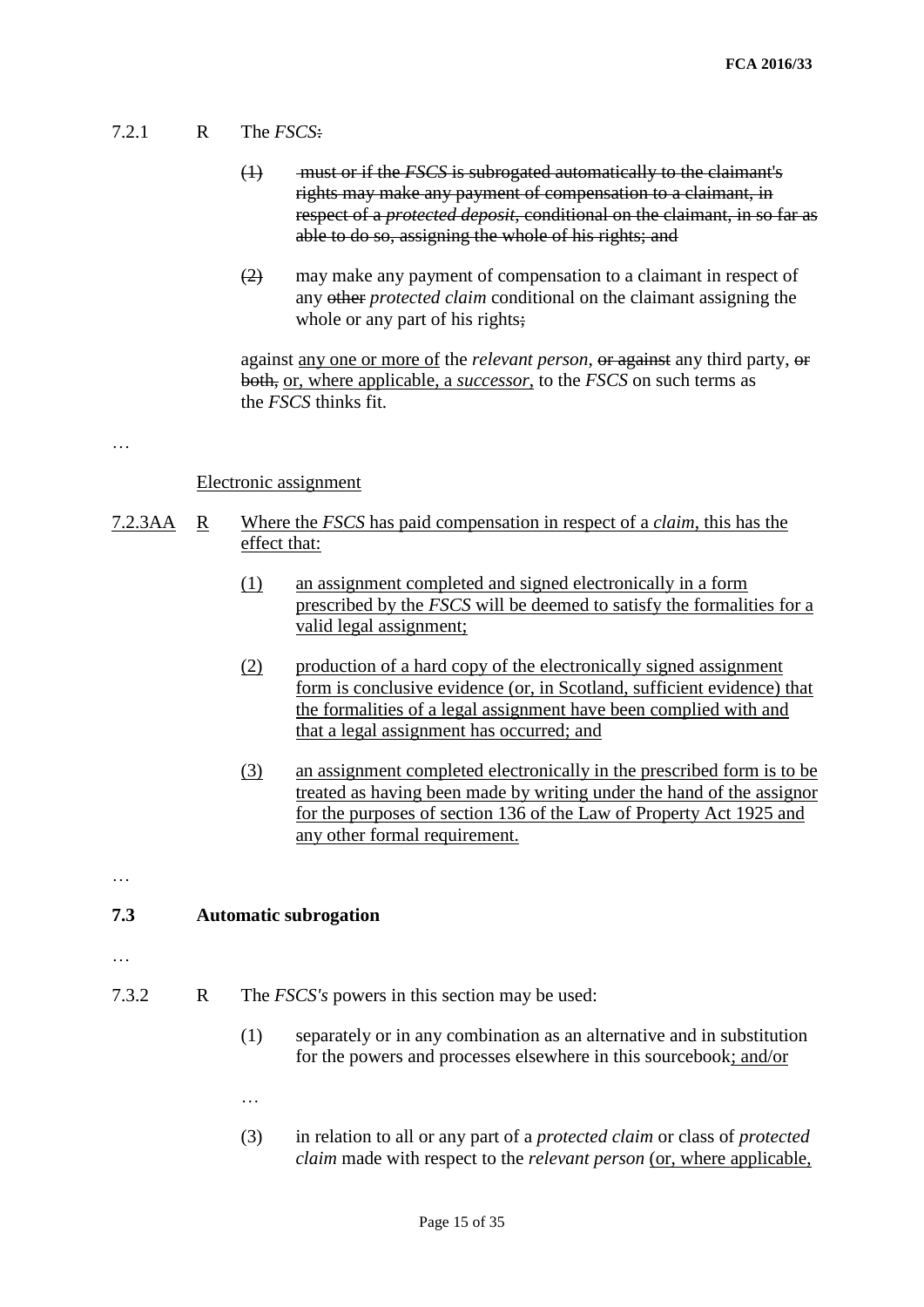## 7.2.1 R The *FSCS*:

- (1) must or if the *FSCS* is subrogated automatically to the claimant's rights may make any payment of compensation to a claimant, in respect of a *protected deposit*, conditional on the claimant, in so far as able to do so, assigning the whole of his rights; and
- (2) may make any payment of compensation to a claimant in respect of any other *protected claim* conditional on the claimant assigning the whole or any part of his rights;

against any one or more of the *relevant person*, or against any third party, or both, or, where applicable, a *successor*, to the *FSCS* on such terms as the *FSCS* thinks fit.

#### …

## Electronic assignment

- 7.2.3AA R Where the *FSCS* has paid compensation in respect of a *claim*, this has the effect that:
	- (1) an assignment completed and signed electronically in a form prescribed by the *FSCS* will be deemed to satisfy the formalities for a valid legal assignment;
	- (2) production of a hard copy of the electronically signed assignment form is conclusive evidence (or, in Scotland, sufficient evidence) that the formalities of a legal assignment have been complied with and that a legal assignment has occurred; and
	- (3) an assignment completed electronically in the prescribed form is to be treated as having been made by writing under the hand of the assignor for the purposes of section 136 of the Law of Property Act 1925 and any other formal requirement.

…

## **7.3 Automatic subrogation**

- …
- 7.3.2 R The *FSCS's* powers in this section may be used:
	- (1) separately or in any combination as an alternative and in substitution for the powers and processes elsewhere in this sourcebook; and/or
	- …
	- (3) in relation to all or any part of a *protected claim* or class of *protected claim* made with respect to the *relevant person* (or, where applicable,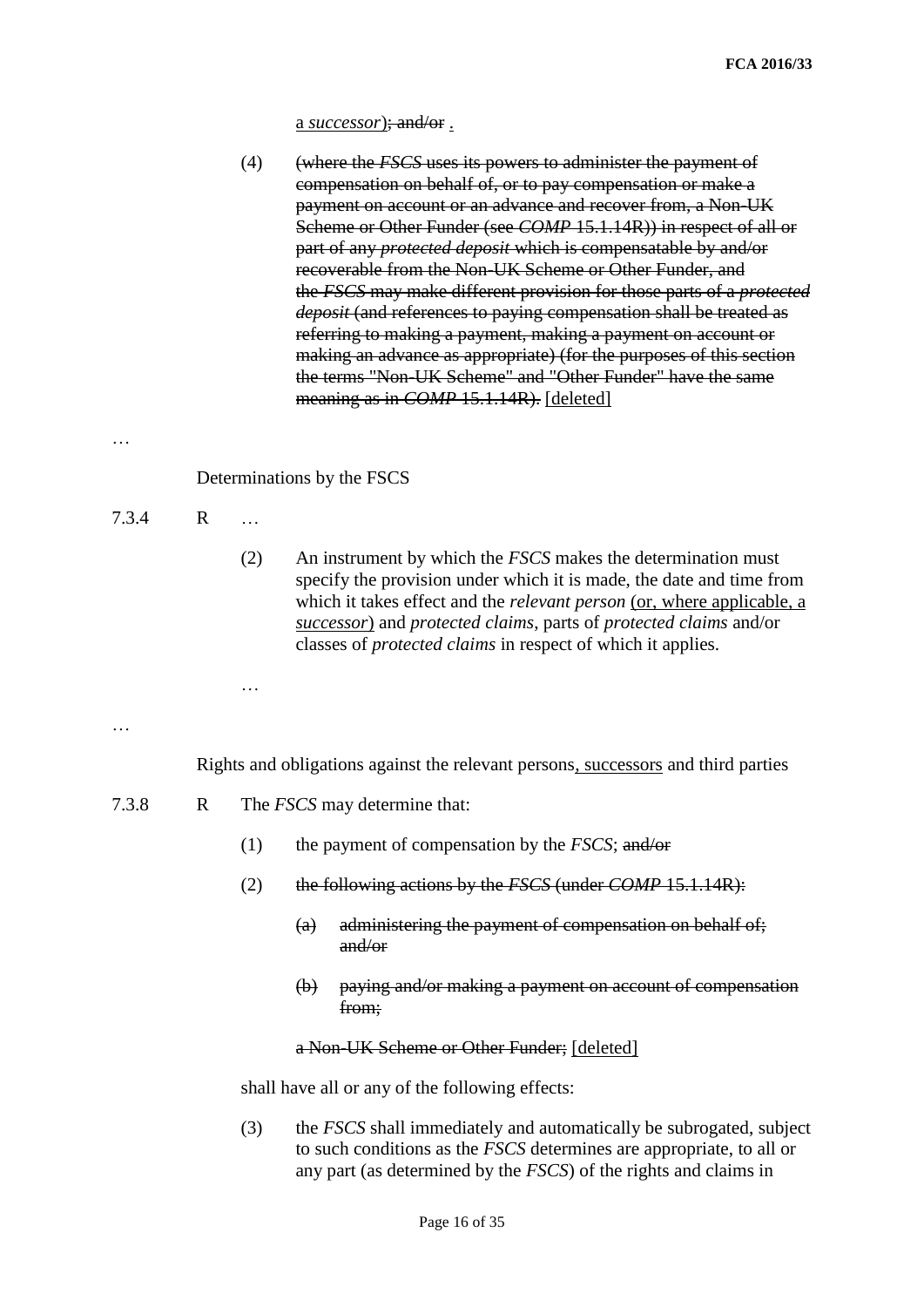a *successor*); and/or .

…

 $7.3.4$ 

…

7.3.8

|              | (4)       | (where the <i>FSCS</i> uses its powers to administer the payment of<br>compensation on behalf of, or to pay compensation or make a<br>payment on account or an advance and recover from, a Non-UK<br>Scheme or Other Funder (see COMP 15.1.14R)) in respect of all or<br>part of any <i>protected deposit</i> which is compensatable by and/or<br>recoverable from the Non-UK Scheme or Other Funder, and<br>the FSCS may make different provision for those parts of a protected<br>deposit (and references to paying compensation shall be treated as<br>referring to making a payment, making a payment on account or<br>making an advance as appropriate) (for the purposes of this section<br>the terms "Non-UK Scheme" and "Other Funder" have the same<br>meaning as in <i>COMP</i> 15.1.14R). [deleted] |
|--------------|-----------|-----------------------------------------------------------------------------------------------------------------------------------------------------------------------------------------------------------------------------------------------------------------------------------------------------------------------------------------------------------------------------------------------------------------------------------------------------------------------------------------------------------------------------------------------------------------------------------------------------------------------------------------------------------------------------------------------------------------------------------------------------------------------------------------------------------------|
|              |           | Determinations by the FSCS                                                                                                                                                                                                                                                                                                                                                                                                                                                                                                                                                                                                                                                                                                                                                                                      |
| $\mathbf{R}$ | $\ddotsc$ |                                                                                                                                                                                                                                                                                                                                                                                                                                                                                                                                                                                                                                                                                                                                                                                                                 |
|              | (2)       | An instrument by which the <i>FSCS</i> makes the determination must<br>specify the provision under which it is made, the date and time from<br>which it takes effect and the <i>relevant person</i> (or, where applicable, a<br>successor) and protected claims, parts of protected claims and/or<br>classes of <i>protected claims</i> in respect of which it applies.                                                                                                                                                                                                                                                                                                                                                                                                                                         |
|              |           |                                                                                                                                                                                                                                                                                                                                                                                                                                                                                                                                                                                                                                                                                                                                                                                                                 |
|              |           | Rights and obligations against the relevant persons, successors and third parties                                                                                                                                                                                                                                                                                                                                                                                                                                                                                                                                                                                                                                                                                                                               |
| $\mathbf{R}$ |           | The <i>FSCS</i> may determine that:                                                                                                                                                                                                                                                                                                                                                                                                                                                                                                                                                                                                                                                                                                                                                                             |
|              | (1)       | the payment of compensation by the FSCS; and/or                                                                                                                                                                                                                                                                                                                                                                                                                                                                                                                                                                                                                                                                                                                                                                 |
|              | (2)       | the following actions by the <i>FSCS</i> (under <i>COMP</i> 15.1.14R):                                                                                                                                                                                                                                                                                                                                                                                                                                                                                                                                                                                                                                                                                                                                          |
|              |           | administering the payment of compensation on behalf of;<br>$\left( a\right)$<br>and/or                                                                                                                                                                                                                                                                                                                                                                                                                                                                                                                                                                                                                                                                                                                          |
|              |           | paying and/or making a payment on account of compensation<br>$\Theta$<br>from;                                                                                                                                                                                                                                                                                                                                                                                                                                                                                                                                                                                                                                                                                                                                  |
|              |           | a Non-UK Scheme or Other Funder; [deleted]                                                                                                                                                                                                                                                                                                                                                                                                                                                                                                                                                                                                                                                                                                                                                                      |

shall have all or any of the following effects:

(3) the *FSCS* shall immediately and automatically be subrogated, subject to such conditions as the *FSCS* determines are appropriate, to all or any part (as determined by the *FSCS*) of the rights and claims in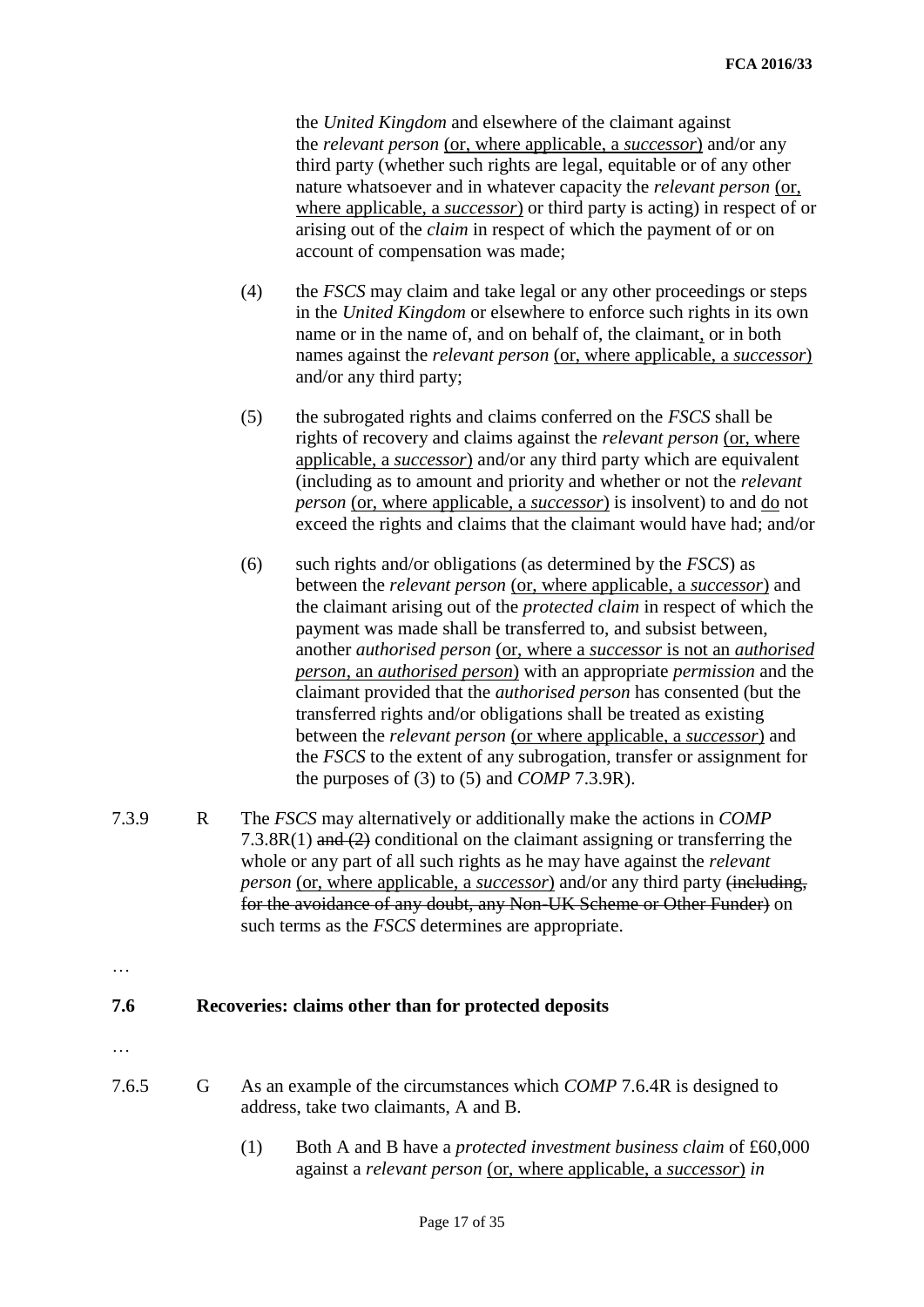the *United Kingdom* and elsewhere of the claimant against the *relevant person* (or, where applicable, a *successor*) and/or any third party (whether such rights are legal, equitable or of any other nature whatsoever and in whatever capacity the *relevant person* (or, where applicable, a *successor*) or third party is acting) in respect of or arising out of the *claim* in respect of which the payment of or on account of compensation was made;

- (4) the *FSCS* may claim and take legal or any other proceedings or steps in the *United Kingdom* or elsewhere to enforce such rights in its own name or in the name of, and on behalf of, the claimant, or in both names against the *relevant person* (or, where applicable, a *successor*) and/or any third party;
- (5) the subrogated rights and claims conferred on the *FSCS* shall be rights of recovery and claims against the *relevant person* (or, where applicable, a *successor*) and/or any third party which are equivalent (including as to amount and priority and whether or not the *relevant person* (or, where applicable, a *successor*) is insolvent) to and do not exceed the rights and claims that the claimant would have had; and/or
- (6) such rights and/or obligations (as determined by the *FSCS*) as between the *relevant person* (or, where applicable, a *successor*) and the claimant arising out of the *protected claim* in respect of which the payment was made shall be transferred to, and subsist between, another *authorised person* (or, where a *successor* is not an *authorised person*, an *authorised person*) with an appropriate *permission* and the claimant provided that the *authorised person* has consented (but the transferred rights and/or obligations shall be treated as existing between the *relevant person* (or where applicable, a *successor*) and the *FSCS* to the extent of any subrogation, transfer or assignment for the purposes of (3) to (5) and *COMP* 7.3.9R).
- 7.3.9 R The *FSCS* may alternatively or additionally make the actions in *COMP* 7.3.8R(1) and  $(2)$  conditional on the claimant assigning or transferring the whole or any part of all such rights as he may have against the *relevant person* (or, where applicable, a *successor*) and/or any third party (including, for the avoidance of any doubt, any Non-UK Scheme or Other Funder) on such terms as the *FSCS* determines are appropriate.
- …

## **7.6 Recoveries: claims other than for protected deposits**

- …
- 7.6.5 G As an example of the circumstances which *COMP* 7.6.4R is designed to address, take two claimants, A and B.
	- (1) Both A and B have a *protected investment business claim* of £60,000 against a *relevant person* (or, where applicable, a *successor*) *in*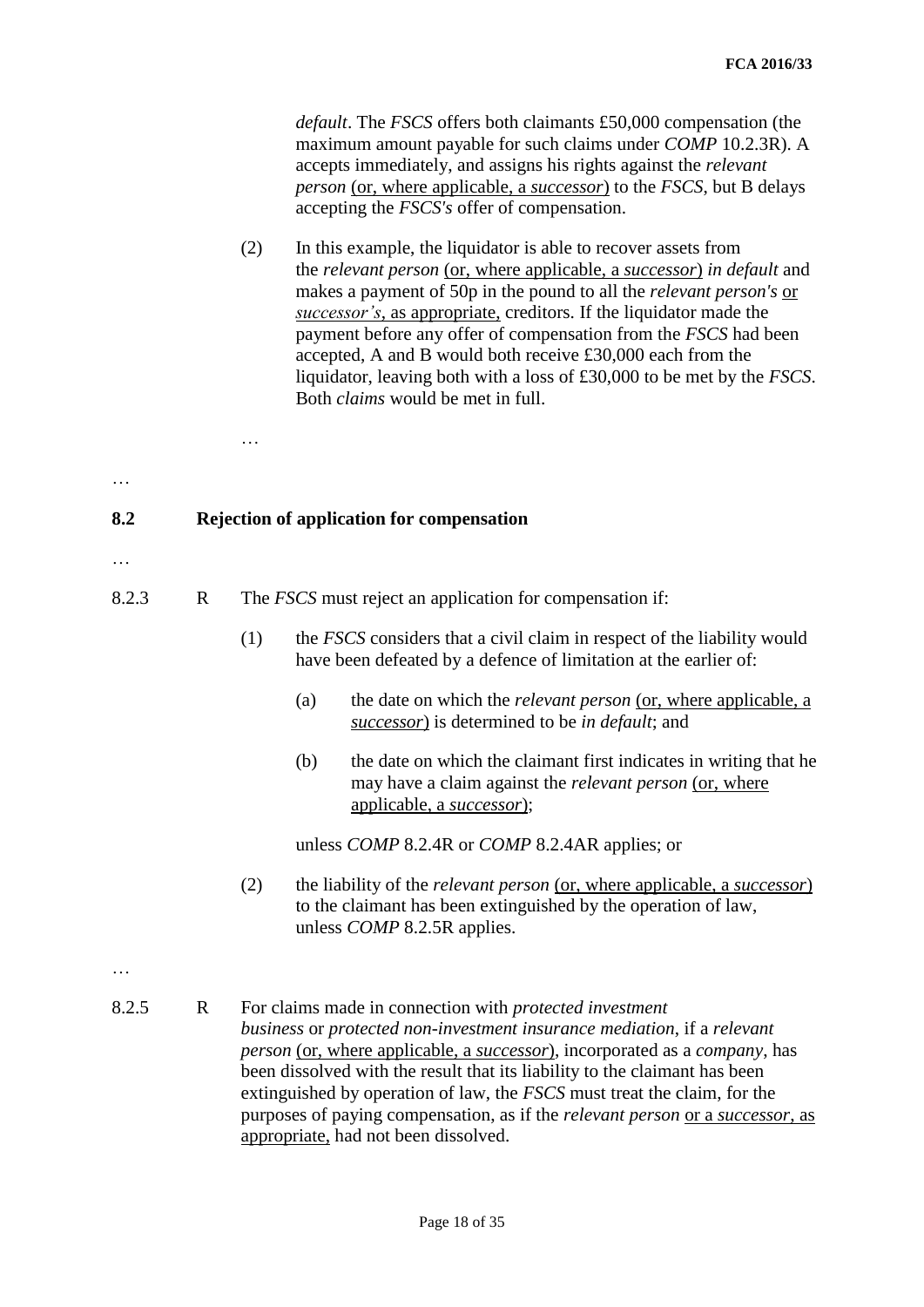*default*. The *FSCS* offers both claimants £50,000 compensation (the maximum amount payable for such claims under *COMP* 10.2.3R). A accepts immediately, and assigns his rights against the *relevant person* (or, where applicable, a *successor*) to the *FSCS*, but B delays accepting the *FSCS's* offer of compensation.

(2) In this example, the liquidator is able to recover assets from the *relevant person* (or, where applicable, a *successor*) *in default* and makes a payment of 50p in the pound to all the *relevant person's* or *successor's*, as appropriate, creditors. If the liquidator made the payment before any offer of compensation from the *FSCS* had been accepted, A and B would both receive £30,000 each from the liquidator, leaving both with a loss of £30,000 to be met by the *FSCS*. Both *claims* would be met in full.

## **8.2 Rejection of application for compensation**

…

…

…

- 8.2.3 R The *FSCS* must reject an application for compensation if:
	- (1) the *FSCS* considers that a civil claim in respect of the liability would have been defeated by a defence of limitation at the earlier of:
		- (a) the date on which the *relevant person* (or, where applicable, a *successor*) is determined to be *in default*; and
		- (b) the date on which the claimant first indicates in writing that he may have a claim against the *relevant person* (or, where applicable, a *successor*);

unless *COMP* 8.2.4R or *COMP* 8.2.4AR applies; or

- (2) the liability of the *relevant person* (or, where applicable, a *successor*) to the claimant has been extinguished by the operation of law, unless *COMP* 8.2.5R applies.
- …
- 8.2.5 R For claims made in connection with *protected investment business* or *protected non-investment insurance mediation*, if a *relevant person* (or, where applicable, a *successor*), incorporated as a *company*, has been dissolved with the result that its liability to the claimant has been extinguished by operation of law, the *FSCS* must treat the claim, for the purposes of paying compensation, as if the *relevant person* or a *successor*, as appropriate, had not been dissolved.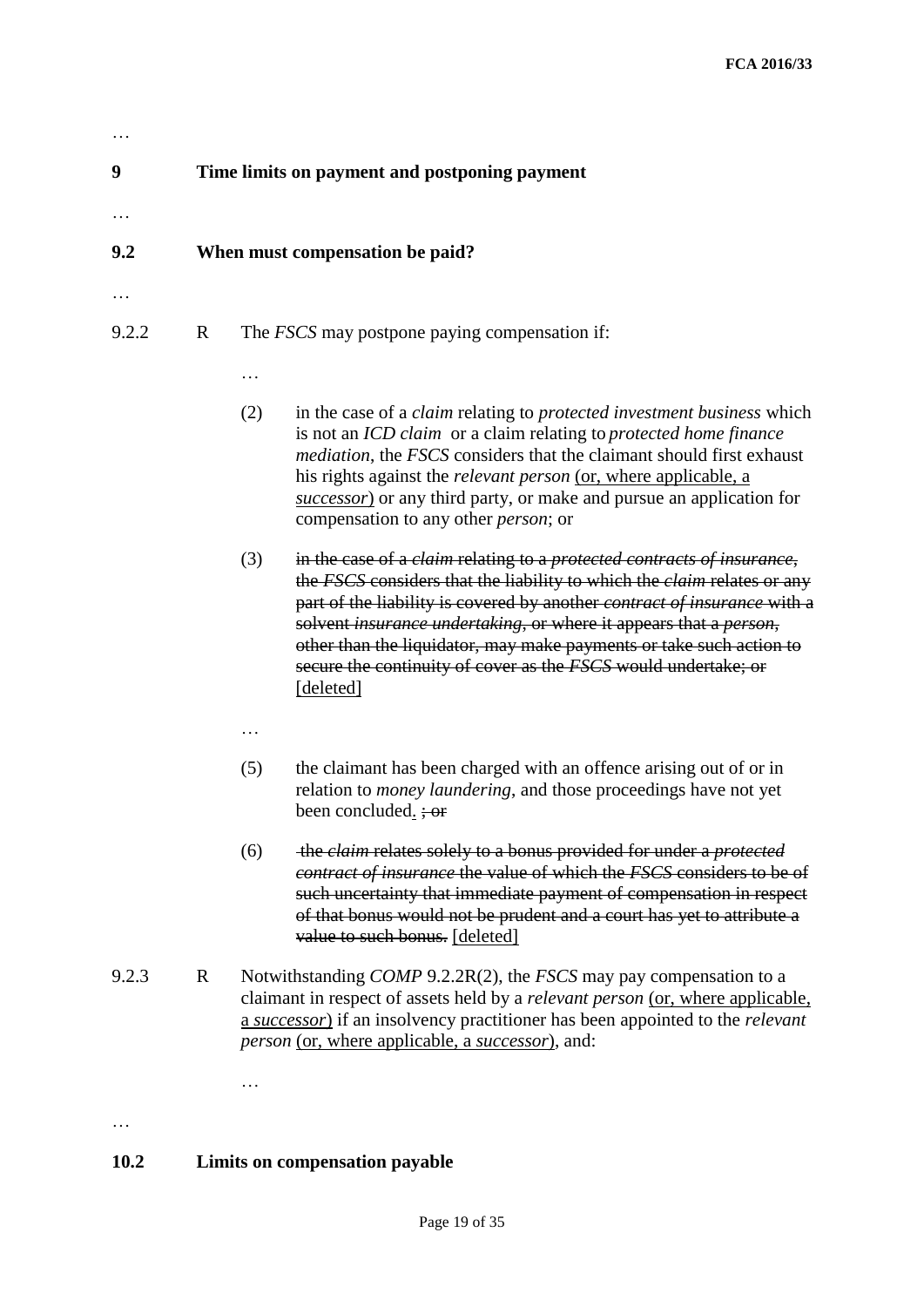## **9 Time limits on payment and postponing payment**

## **9.2 When must compensation be paid?**

…

…

…

## 9.2.2 R The *FSCS* may postpone paying compensation if:

- (2) in the case of a *claim* relating to *protected investment business* which is not an *ICD claim* or a claim relating to *protected home finance mediation*, the *FSCS* considers that the claimant should first exhaust his rights against the *relevant person* (or, where applicable, a *successor*) or any third party, or make and pursue an application for compensation to any other *person*; or
- (3) in the case of a *claim* relating to a *protected contracts of insurance*, the *FSCS* considers that the liability to which the *claim* relates or any part of the liability is covered by another *contract of insurance* with a solvent *insurance undertaking*, or where it appears that a *person*, other than the liquidator, may make payments or take such action to secure the continuity of cover as the *FSCS* would undertake; or [deleted]
- …
- (5) the claimant has been charged with an offence arising out of or in relation to *money laundering*, and those proceedings have not yet been concluded.  $\div$  or
- (6) the *claim* relates solely to a bonus provided for under a *protected contract of insurance* the value of which the *FSCS* considers to be of such uncertainty that immediate payment of compensation in respect of that bonus would not be prudent and a court has yet to attribute a value to such bonus. [deleted]
- 9.2.3 R Notwithstanding *COMP* 9.2.2R(2), the *FSCS* may pay compensation to a claimant in respect of assets held by a *relevant person* (or, where applicable, a *successor*) if an insolvency practitioner has been appointed to the *relevant person* (or, where applicable, a *successor*), and:

…

## **10.2 Limits on compensation payable**

…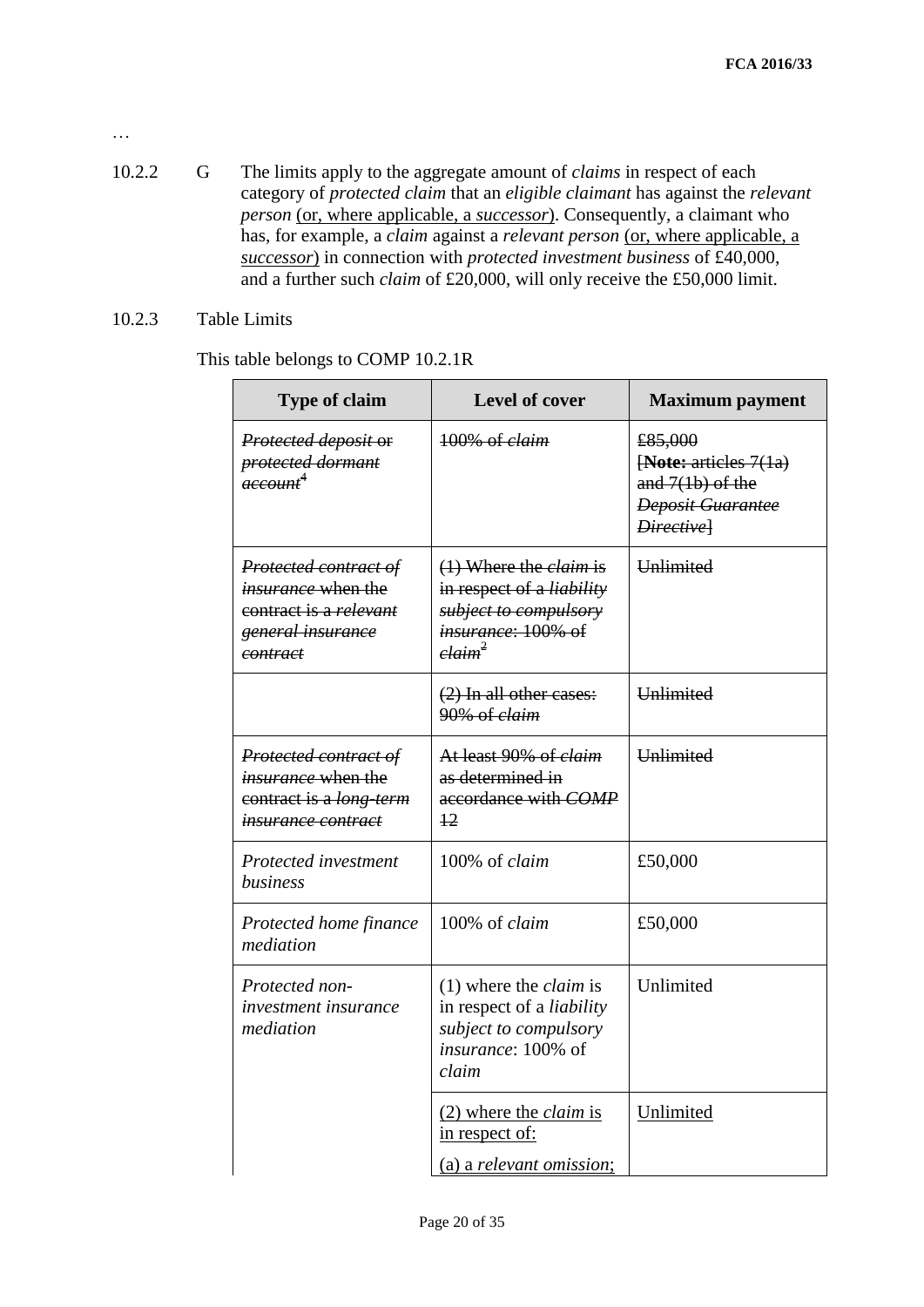- 10.2.2 G The limits apply to the aggregate amount of *claims* in respect of each category of *protected claim* that an *eligible claimant* has against the *relevant person* (or, where applicable, a *successor*). Consequently, a claimant who has, for example, a *claim* against a *relevant person* (or, where applicable, a *successor*) in connection with *protected investment business* of £40,000, and a further such *claim* of £20,000, will only receive the £50,000 limit.
- 10.2.3 Table Limits

…

This table belongs to COMP 10.2.1R

| <b>Type of claim</b>                                                                                           | <b>Level of cover</b>                                                                                                               | <b>Maximum</b> payment                                                                           |  |  |
|----------------------------------------------------------------------------------------------------------------|-------------------------------------------------------------------------------------------------------------------------------------|--------------------------------------------------------------------------------------------------|--|--|
| Protected deposit or<br>protected dormant<br><del>account<sup>4</sup></del>                                    | 100% of claim                                                                                                                       | £85,000<br>[Note: articles 7(1a)<br>and $7(1b)$ of the<br><b>Deposit Guarantee</b><br>Directivel |  |  |
| Protected contract of<br><i>insurance</i> when the<br>contract is a relevant<br>general insurance<br>contract  | $(1)$ Where the <i>claim</i> is<br>in respect of a liability<br>subject to compulsory<br>insurance: 100% of<br>$elaim^2$            | Unlimited                                                                                        |  |  |
|                                                                                                                | $(2)$ In all other cases:<br>90% of claim                                                                                           | <b>Unlimited</b>                                                                                 |  |  |
| Protected contract of<br><i>insurance</i> when the<br>contract is a long term<br><del>insurance contract</del> | At least 90% of <i>claim</i><br>as determined in<br>accordance with COMP<br>$\frac{12}{2}$                                          | <b>Unlimited</b>                                                                                 |  |  |
| Protected investment<br>business                                                                               | 100% of claim                                                                                                                       | £50,000                                                                                          |  |  |
| Protected home finance<br>mediation                                                                            | 100% of claim                                                                                                                       | £50,000                                                                                          |  |  |
| Protected non-<br><i>investment insurance</i><br>mediation                                                     | $(1)$ where the <i>claim</i> is<br>in respect of a <i>liability</i><br>subject to compulsory<br><i>insurance</i> : 100% of<br>claim | Unlimited                                                                                        |  |  |
|                                                                                                                | $(2)$ where the <i>claim</i> is<br>in respect of:<br>(a) a relevant omission;                                                       | Unlimited                                                                                        |  |  |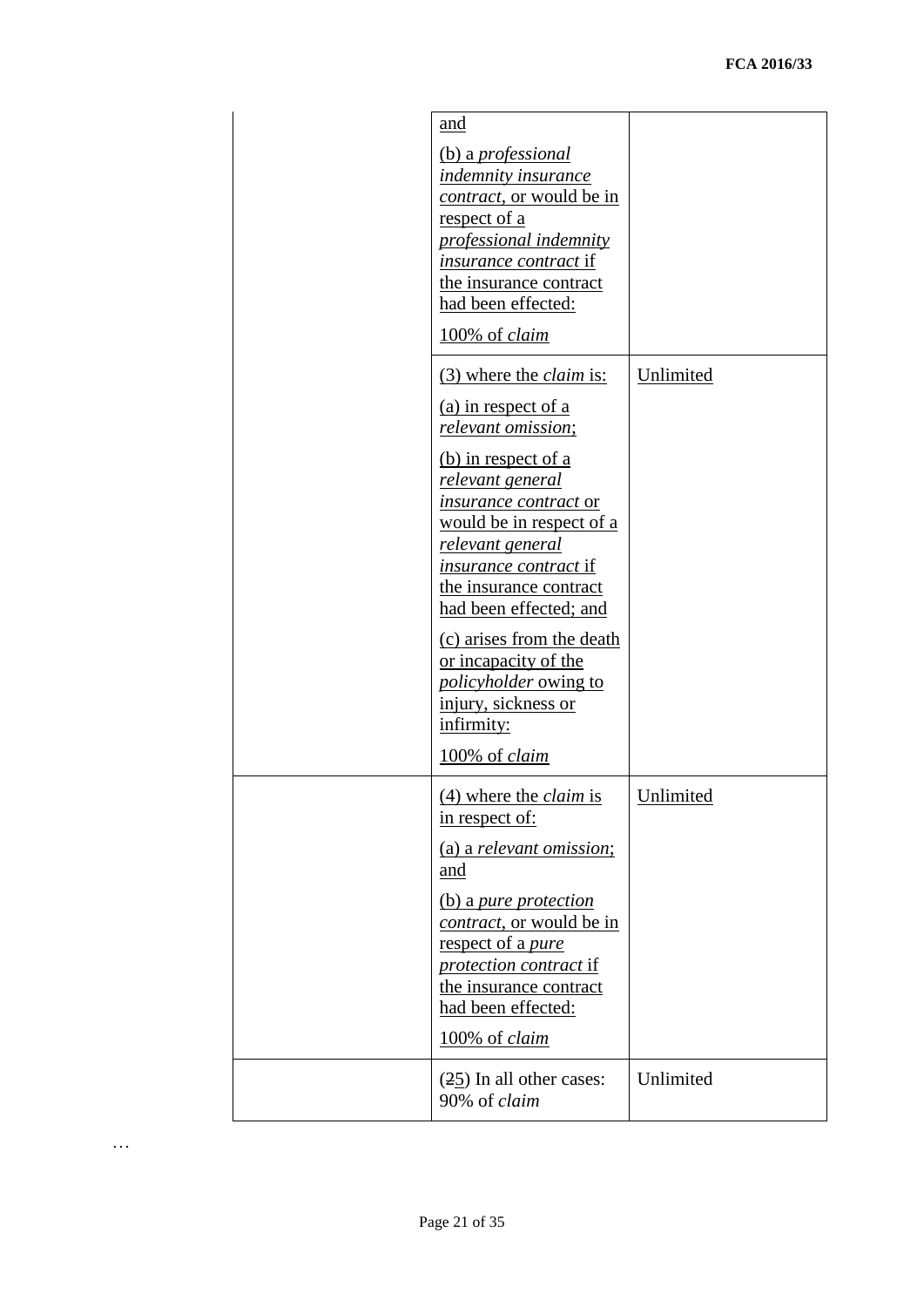| and<br>(b) a <i>professional</i><br>indemnity insurance<br><i>contract</i> , or would be in<br>respect of a<br>professional indemnity<br><i>insurance contract</i> if<br>the insurance contract<br>had been effected:<br>100% of claim                                                                                                                                                                                                                     |           |
|------------------------------------------------------------------------------------------------------------------------------------------------------------------------------------------------------------------------------------------------------------------------------------------------------------------------------------------------------------------------------------------------------------------------------------------------------------|-----------|
| (3) where the <i>claim</i> is:<br>(a) in respect of a<br>relevant omission;<br>(b) in respect of a<br><u>relevant general</u><br><i>insurance contract</i> or<br><u>would be in respect of a</u><br>relevant general<br><i>insurance contract</i> if<br>the insurance contract<br>had been effected; and<br>(c) arises from the death<br>or incapacity of the<br><i>policyholder</i> owing to<br>injury, sickness or<br>infirmity:<br>100% of <i>claim</i> | Unlimited |
| $(4)$ where the <i>claim</i> is<br>in respect of:<br>(a) a relevant omission;<br>and<br>(b) a pure protection<br><i>contract</i> , or would be in<br>respect of a pure<br><i>protection contract if</i><br>the insurance contract<br>had been effected:<br>100% of <i>claim</i>                                                                                                                                                                            | Unlimited |
| $(25)$ In all other cases:<br>90% of claim                                                                                                                                                                                                                                                                                                                                                                                                                 | Unlimited |

…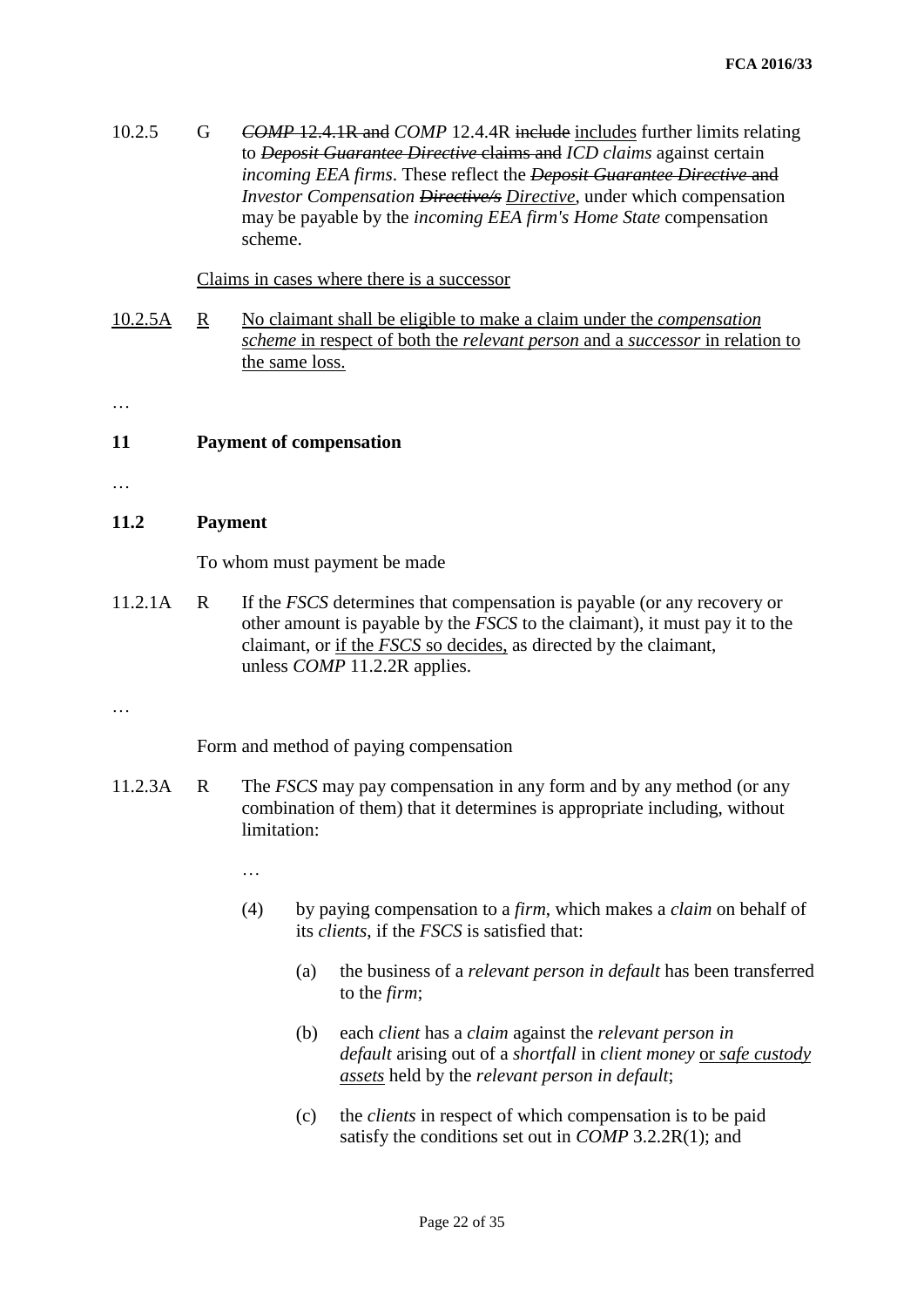10.2.5 G *COMP* [12.4.1R](http://fshandbook.info/FS/html/FCA/COMP/12/4#D28) and *COMP* [12.4.4R](http://fshandbook.info/FS/html/FCA/COMP/12/4#D36) include includes further limits relating to *[Deposit Guarantee Directive](http://fshandbook.info/FS/glossary-html/handbook/Glossary/D?definition=G276)* claims and *[ICD claims](http://fshandbook.info/FS/glossary-html/handbook/Glossary/I?definition=G510)* against certain *[incoming EEA firms](http://fshandbook.info/FS/glossary-html/handbook/Glossary/I?definition=G526)*. These reflect the *[Deposit Guarantee Directive](http://fshandbook.info/FS/glossary-html/handbook/Glossary/D?definition=G276)* and *[Investor Compensation Directive/s](http://fshandbook.info/FS/glossary-html/handbook/Glossary/I?definition=G608) Directive*, under which compensation may be payable by the *[incoming EEA firm's Home State](http://fshandbook.info/FS/glossary-html/handbook/Glossary/I?definition=G526)* compensation scheme.

### Claims in cases where there is a successor

- 10.2.5A R No claimant shall be eligible to make a claim under the *compensation scheme* in respect of both the *relevant person* and a *successor* in relation to the same loss.
- …

## **11 Payment of compensation**

…

## **11.2 Payment**

To whom must payment be made

11.2.1A R If the *FSCS* determines that compensation is payable (or any recovery or other amount is payable by the *FSCS* to the claimant), it must pay it to the claimant, or if the *FSCS* so decides, as directed by the claimant, unless *COMP* 11.2.2R applies.

…

Form and method of paying compensation

11.2.3A R The *FSCS* may pay compensation in any form and by any method (or any combination of them) that it determines is appropriate including, without limitation:

…

- (4) by paying compensation to a *firm*, which makes a *claim* on behalf of its *clients*, if the *FSCS* is satisfied that:
	- (a) the business of a *relevant person in default* has been transferred to the *firm*;
	- (b) each *client* has a *claim* against the *relevant person in default* arising out of a *shortfall* in *client money* or *safe custody assets* held by the *relevant person in default*;
	- (c) the *clients* in respect of which compensation is to be paid satisfy the conditions set out in *COMP* 3.2.2R(1); and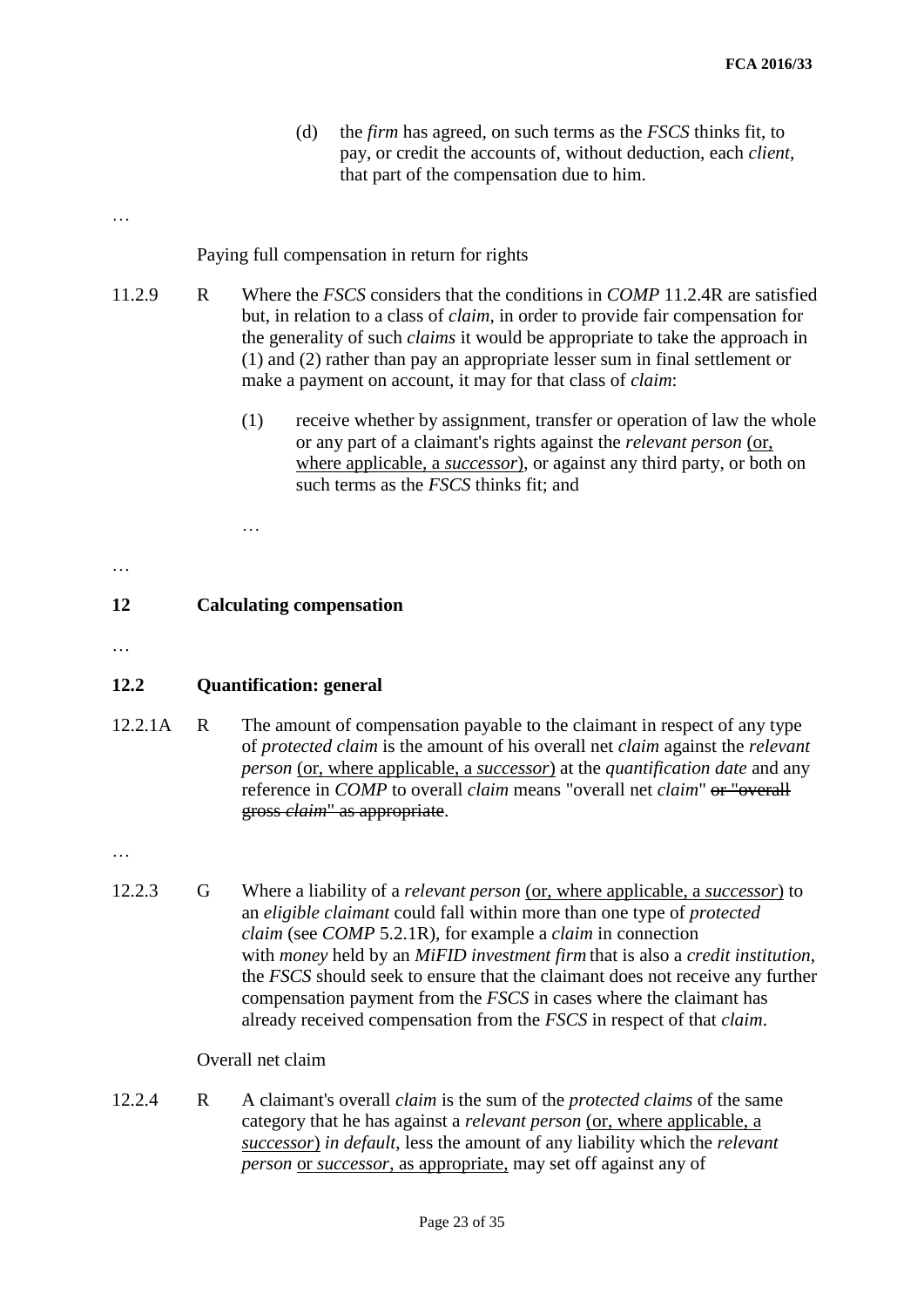(d) the *firm* has agreed, on such terms as the *FSCS* thinks fit, to pay, or credit the accounts of, without deduction, each *client*, that part of the compensation due to him.

…

Paying full compensation in return for rights

- 11.2.9 R Where the *FSCS* considers that the conditions in *COMP* 11.2.4R are satisfied but, in relation to a class of *claim*, in order to provide fair compensation for the generality of such *claims* it would be appropriate to take the approach in (1) and (2) rather than pay an appropriate lesser sum in final settlement or make a payment on account, it may for that class of *claim*:
	- (1) receive whether by assignment, transfer or operation of law the whole or any part of a claimant's rights against the *relevant person* (or, where applicable, a *successor*), or against any third party, or both on such terms as the *FSCS* thinks fit; and

…

## **12 Calculating compensation**

…

…

## **12.2 Quantification: general**

12.2.1A R The amount of compensation payable to the claimant in respect of any type of *protected claim* is the amount of his overall net *claim* against the *relevant person* (or, where applicable, a *successor*) at the *quantification date* and any reference in *COMP* to overall *claim* means "overall net *claim*" or "overall gross *claim*" as appropriate.

…

12.2.3 G Where a liability of a *relevant person* (or, where applicable, a *successor*) to an *eligible claimant* could fall within more than one type of *protected claim* (see *COMP* 5.2.1R), for example a *claim* in connection with *money* held by an *MiFID investment firm* that is also a *credit institution*, the *FSCS* should seek to ensure that the claimant does not receive any further compensation payment from the *FSCS* in cases where the claimant has already received compensation from the *FSCS* in respect of that *claim*.

### Overall net claim

12.2.4 R A claimant's overall *claim* is the sum of the *protected claims* of the same category that he has against a *relevant person* (or, where applicable, a *successor*) *in default*, less the amount of any liability which the *relevant person* or *successor*, as appropriate, may set off against any of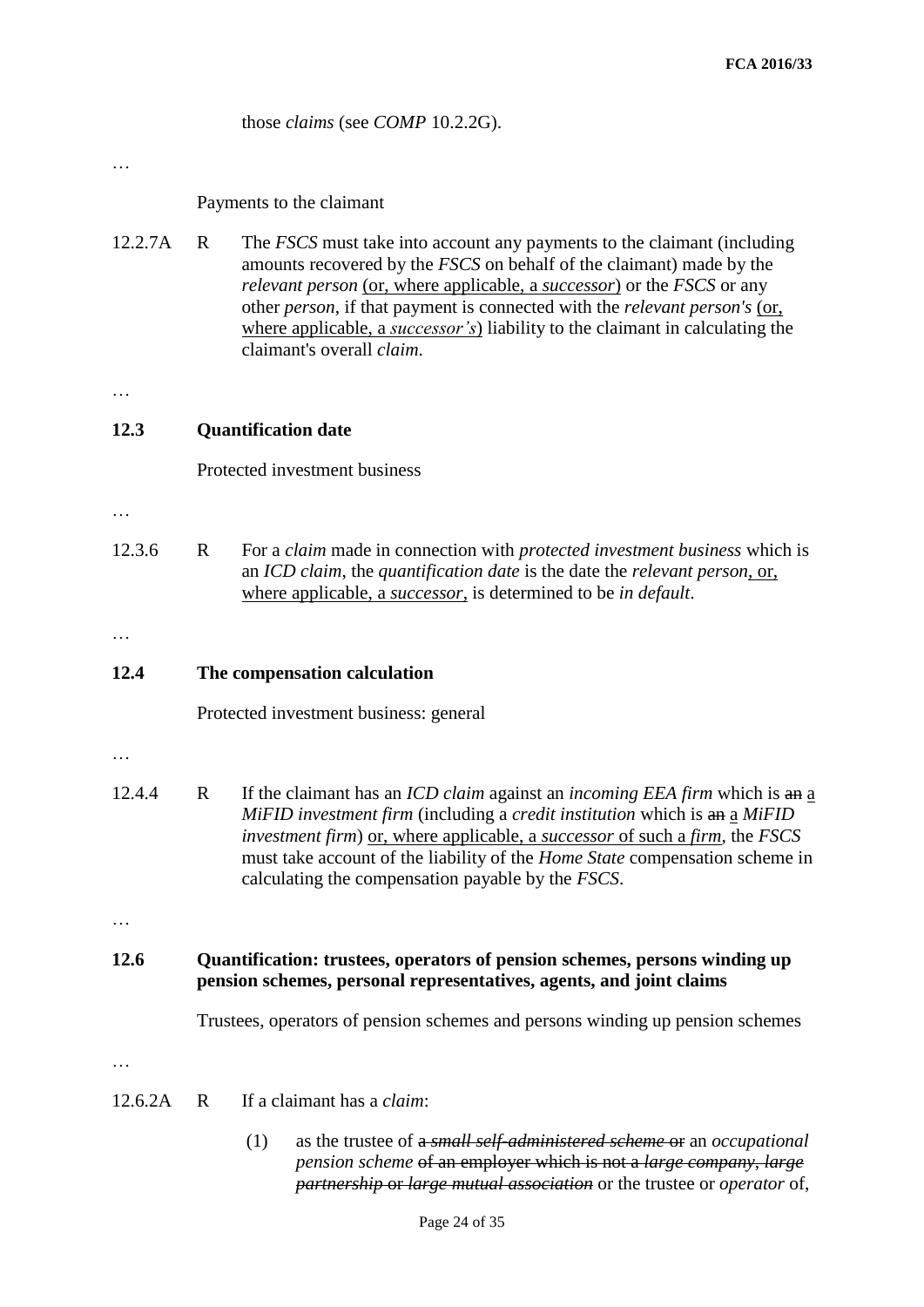those *claims* (see *COMP* 10.2.2G).

…

## Payments to the claimant

12.2.7A R The *FSCS* must take into account any payments to the claimant (including amounts recovered by the *FSCS* on behalf of the claimant) made by the *relevant person* (or, where applicable, a *successor*) or the *FSCS* or any other *person*, if that payment is connected with the *relevant person's* (or, where applicable, a *successor's*) liability to the claimant in calculating the claimant's overall *claim*.

…

## **12.3 Quantification date**

Protected investment business

…

12.3.6 R For a *claim* made in connection with *protected investment business* which is an *ICD claim*, the *quantification date* is the date the *relevant person*, or, where applicable, a *successor*, is determined to be *in default*.

…

## **12.4 The compensation calculation**

Protected investment business: general

…

12.4.4 R If the claimant has an *ICD claim* against an *incoming EEA firm* which is an a *MiFID investment firm* (including a *credit institution* which is an a *MiFID investment firm*) or, where applicable, a *successor* of such a *firm*, the *FSCS*  must take account of the liability of the *Home State* compensation scheme in calculating the compensation payable by the *FSCS*.

…

## **12.6 Quantification: trustees, operators of pension schemes, persons winding up pension schemes, personal representatives, agents, and joint claims**

Trustees, operators of pension schemes and persons winding up pension schemes

…

- 12.6.2A R If a claimant has a *claim*:
	- (1) as the trustee of a *small self-administered scheme* or an *occupational pension scheme* of an employer which is not a *large company*, *large partnership* or *large mutual association* or the trustee or *operator* of,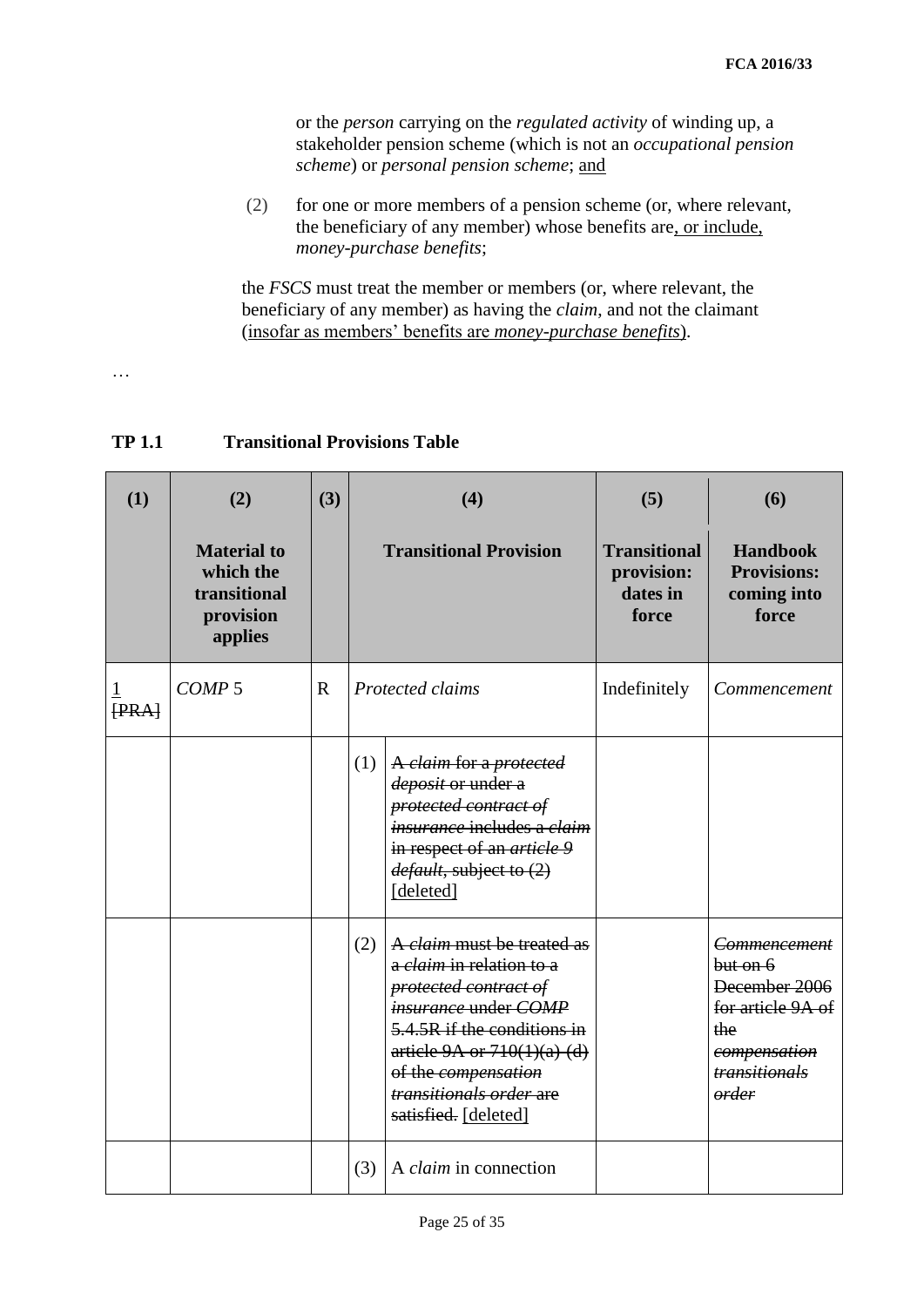or the *person* carrying on the *regulated activity* of winding up, a stakeholder pension scheme (which is not an *occupational pension scheme*) or *personal pension scheme*; and

(2) for one or more members of a pension scheme (or, where relevant, the beneficiary of any member) whose benefits are, or include, *money-purchase benefits*;

the *FSCS* must treat the member or members (or, where relevant, the beneficiary of any member) as having the *claim*, and not the claimant (insofar as members' benefits are *money-purchase benefits*).

…

| (1)   | (2)                                                                     | (3)         |     | (4)                                                                                                                                                                                                                                                      | (5)                                                    | (6)                                                                                                             |
|-------|-------------------------------------------------------------------------|-------------|-----|----------------------------------------------------------------------------------------------------------------------------------------------------------------------------------------------------------------------------------------------------------|--------------------------------------------------------|-----------------------------------------------------------------------------------------------------------------|
|       | <b>Material to</b><br>which the<br>transitional<br>provision<br>applies |             |     | <b>Transitional Provision</b>                                                                                                                                                                                                                            | <b>Transitional</b><br>provision:<br>dates in<br>force | <b>Handbook</b><br><b>Provisions:</b><br>coming into<br>force                                                   |
| [PRA] | COMP <sub>5</sub>                                                       | $\mathbf R$ |     | Protected claims                                                                                                                                                                                                                                         | Indefinitely                                           | Commencement                                                                                                    |
|       |                                                                         |             | (1) | A claim for a protected<br>deposit or under a<br>protected contract of<br><i>insurance</i> includes a <i>claim</i><br>in respect of an <i>article</i> 9<br>default, subject to (2)<br>[deleted]                                                          |                                                        |                                                                                                                 |
|       |                                                                         |             | (2) | A claim must be treated as<br>a <i>claim</i> in relation to a<br>protected contract of<br>insurance under COMP<br>5.4.5R if the conditions in<br>article 9A or $710(1)(a)$ (d)<br>of the compensation<br>transitionals order are<br>satisfied. [deleted] |                                                        | Commencement<br>but on 6<br>December 2006<br>for article 9A of<br>the<br>compensation<br>transitionals<br>order |
|       |                                                                         |             | (3) | A <i>claim</i> in connection                                                                                                                                                                                                                             |                                                        |                                                                                                                 |

## **TP 1.1 Transitional Provisions Table**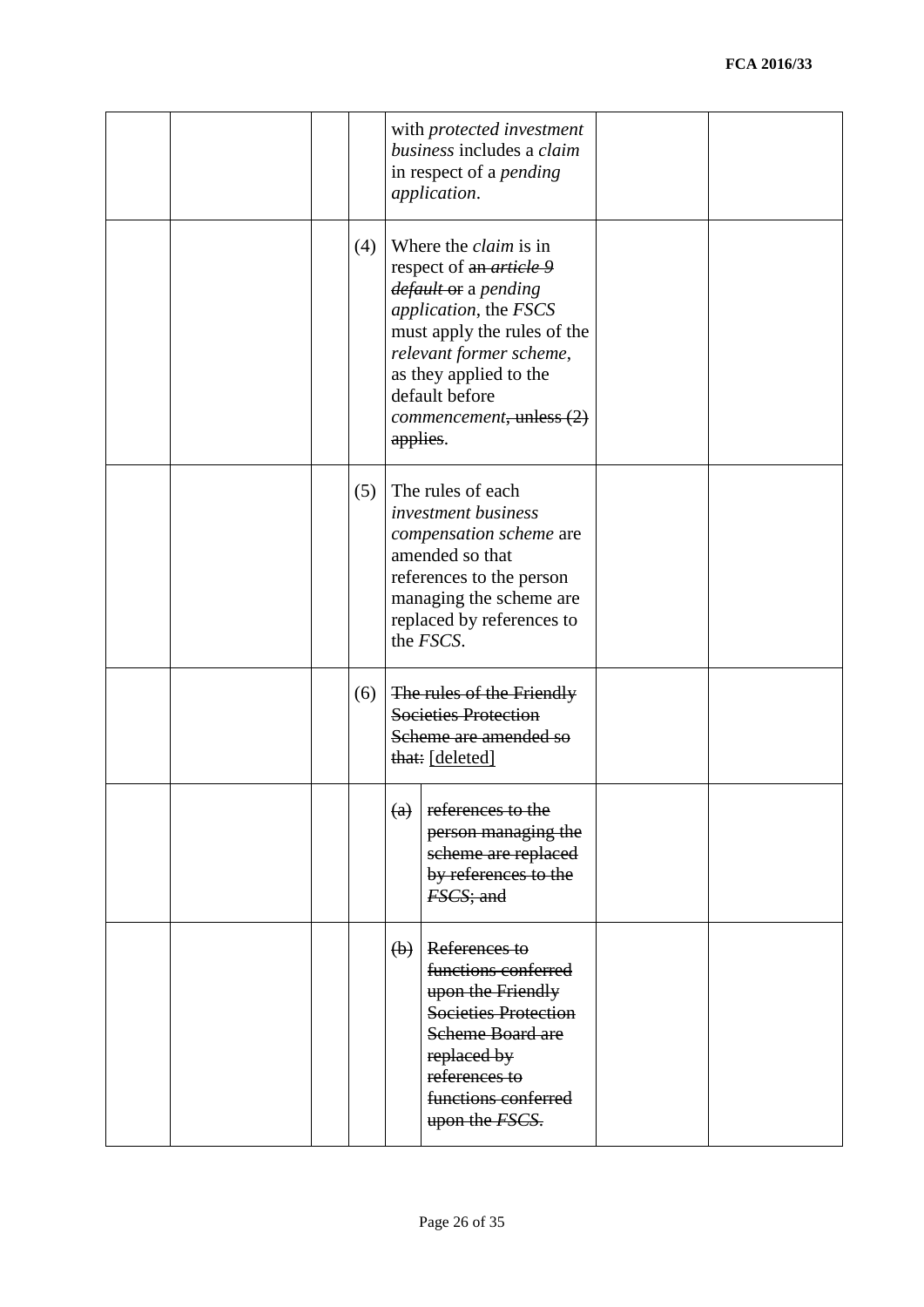|  |     |             | with protected investment<br>business includes a claim<br>in respect of a <i>pending</i><br>application.                                                                                                                                          |  |
|--|-----|-------------|---------------------------------------------------------------------------------------------------------------------------------------------------------------------------------------------------------------------------------------------------|--|
|  | (4) | applies.    | Where the <i>claim</i> is in<br>respect of an <i>article</i> 9<br>default or a pending<br>application, the FSCS<br>must apply the rules of the<br>relevant former scheme,<br>as they applied to the<br>default before<br>commencement, unless (2) |  |
|  | (5) |             | The rules of each<br><i>investment business</i><br>compensation scheme are<br>amended so that<br>references to the person<br>managing the scheme are<br>replaced by references to<br>the <i>FSCS</i> .                                            |  |
|  | (6) |             | The rules of the Friendly<br><b>Societies Protection</b><br>Scheme are amended so<br>that: [deleted]                                                                                                                                              |  |
|  |     | (a)         | references to the<br>person managing the<br>scheme are replaced<br>by references to the<br>FSCS; and                                                                                                                                              |  |
|  |     | $\biguplus$ | References to<br>functions conferred<br>upon the Friendly<br><b>Societies Protection</b><br><b>Scheme Board are</b><br>replaced by<br>references to<br>functions conferred<br>upon the FSCS.                                                      |  |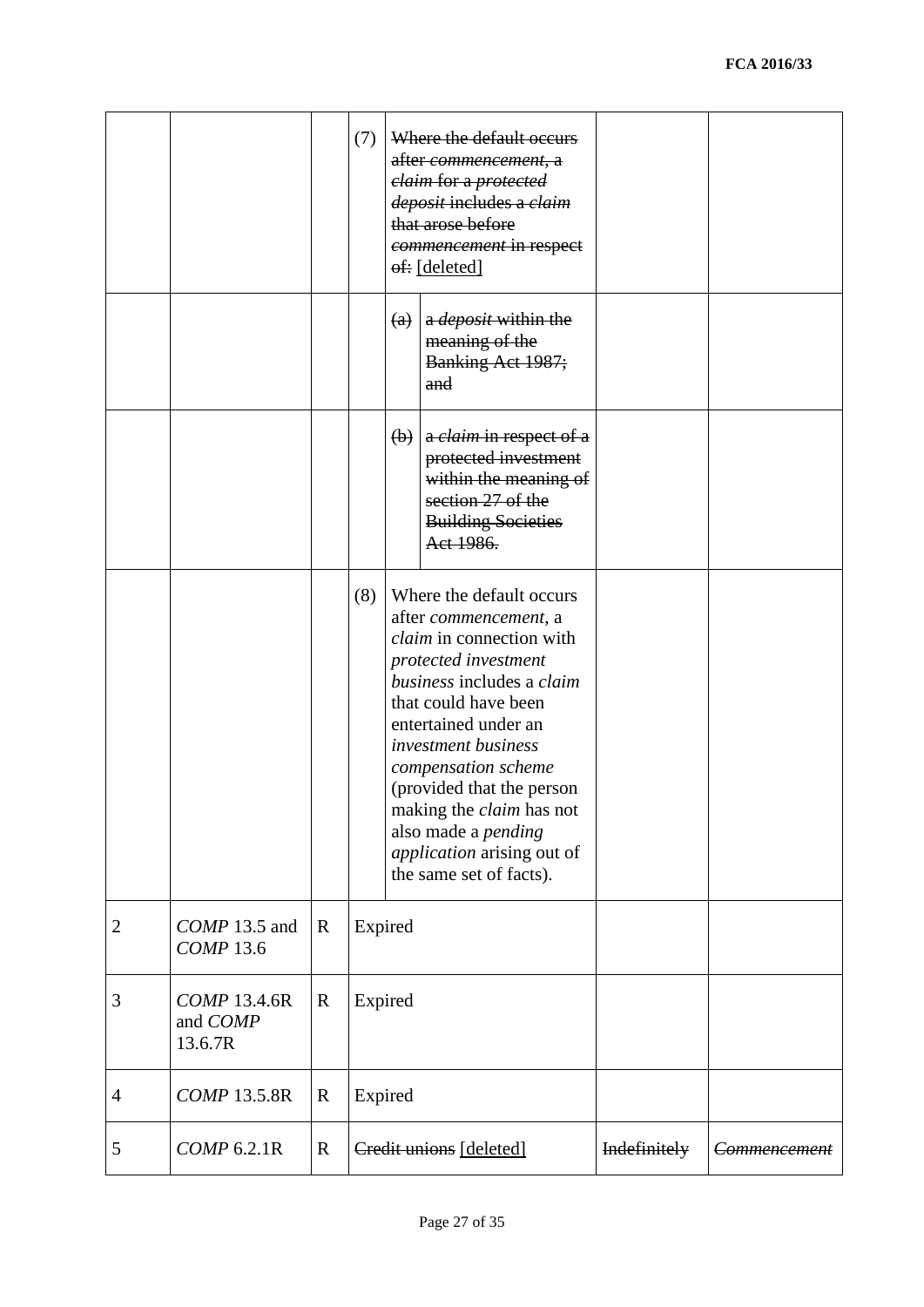|                |                                     |             | (7)     |                           | Where the default occurs<br><del>after <i>commencement</i>, a</del><br>elaim for a protected<br>deposit includes a claim<br>that arose before<br>commencement in respect<br>of: [deleted]                                                                                                                                                                                        |              |                     |
|----------------|-------------------------------------|-------------|---------|---------------------------|----------------------------------------------------------------------------------------------------------------------------------------------------------------------------------------------------------------------------------------------------------------------------------------------------------------------------------------------------------------------------------|--------------|---------------------|
|                |                                     |             |         | $\left(\mathrm{a}\right)$ | a <i>deposit</i> within the<br>meaning of the<br>Banking Act 1987;<br>and                                                                                                                                                                                                                                                                                                        |              |                     |
|                |                                     |             |         |                           | $\left(\mathbf{b}\right)$ a <i>claim</i> in respect of a<br>protected investment<br>within the meaning of<br>section 27 of the<br><b>Building Societies</b><br>Act 1986.                                                                                                                                                                                                         |              |                     |
|                |                                     |             | (8)     |                           | Where the default occurs<br>after commencement, a<br>claim in connection with<br>protected investment<br>business includes a claim<br>that could have been<br>entertained under an<br>investment business<br>compensation scheme<br>(provided that the person<br>making the <i>claim</i> has not<br>also made a pending<br>application arising out of<br>the same set of facts). |              |                     |
| $\overline{2}$ | COMP 13.5 and<br><b>COMP</b> 13.6   | $\mathbf R$ | Expired |                           |                                                                                                                                                                                                                                                                                                                                                                                  |              |                     |
| 3              | COMP 13.4.6R<br>and COMP<br>13.6.7R | $\mathbf R$ | Expired |                           |                                                                                                                                                                                                                                                                                                                                                                                  |              |                     |
| $\overline{4}$ | <b>COMP 13.5.8R</b>                 | $\mathbf R$ | Expired |                           |                                                                                                                                                                                                                                                                                                                                                                                  |              |                     |
| 5              | COMP 6.2.1R                         | $\mathbf R$ |         |                           | Credit unions [deleted]                                                                                                                                                                                                                                                                                                                                                          | Indefinitely | <b>Commencement</b> |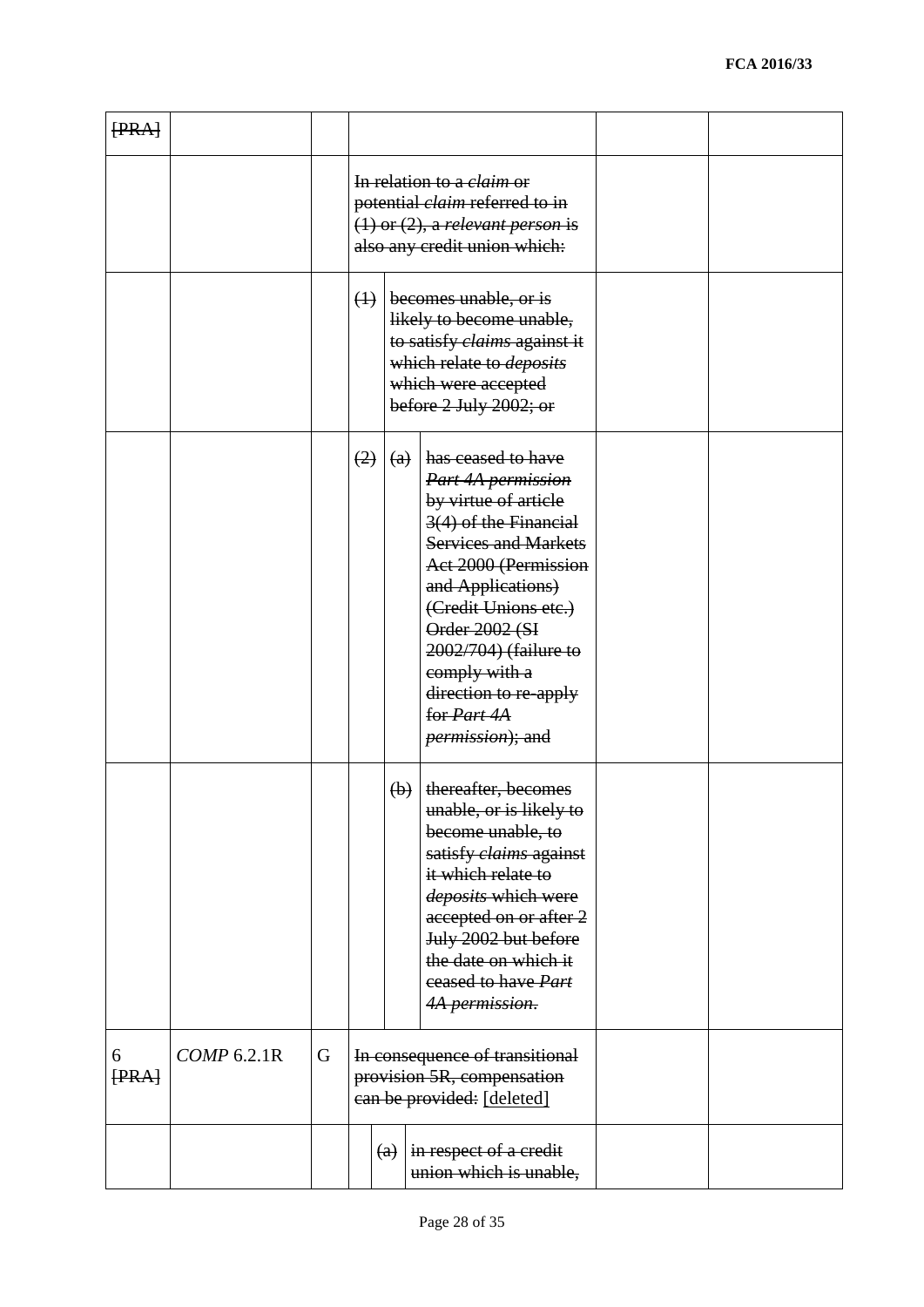| [PRA]      |             |   |             |                           |                                                                                                                                                                                                                                                                                                                               |  |
|------------|-------------|---|-------------|---------------------------|-------------------------------------------------------------------------------------------------------------------------------------------------------------------------------------------------------------------------------------------------------------------------------------------------------------------------------|--|
|            |             |   |             |                           | In relation to a <i>claim</i> or<br>potential <i>claim</i> referred to in<br>$(1)$ or $(2)$ , a relevant person is<br>also any credit union which:                                                                                                                                                                            |  |
|            |             |   | $\bigoplus$ |                           | becomes unable, or is<br>likely to become unable,<br>to satisfy claims against it<br>which relate to <i>deposits</i><br>which were accepted<br>before $2$ July $2002$ ; or                                                                                                                                                    |  |
|            |             |   | (2)         | $\left(\mathrm{a}\right)$ | has ceased to have<br>Part 4A permission<br>by virtue of article<br>3(4) of the Financial<br><b>Services and Markets</b><br>Act 2000 (Permission<br>and Applications)<br>(Credit Unions etc.)<br>Order 2002 (SI<br>2002/704) (failure to<br>comply with a<br>direction to re-apply<br>for Part 4A<br><i>permission</i> ); and |  |
|            |             |   |             | $\left(\mathbf{b}\right)$ | thereafter, becomes<br>unable, or is likely to<br>become unable, to<br>satisfy <i>claims</i> against<br>it which relate to<br>deposits which were<br>accepted on or after 2<br>July 2002 but before<br>the date on which it<br>eeased to have Part<br>4A permission.                                                          |  |
| 6<br>[PRA] | COMP 6.2.1R | G |             |                           | In consequence of transitional<br>provision 5R, compensation<br>can be provided: [deleted]                                                                                                                                                                                                                                    |  |
|            |             |   |             | (a)                       | in respect of a credit<br>union which is unable,                                                                                                                                                                                                                                                                              |  |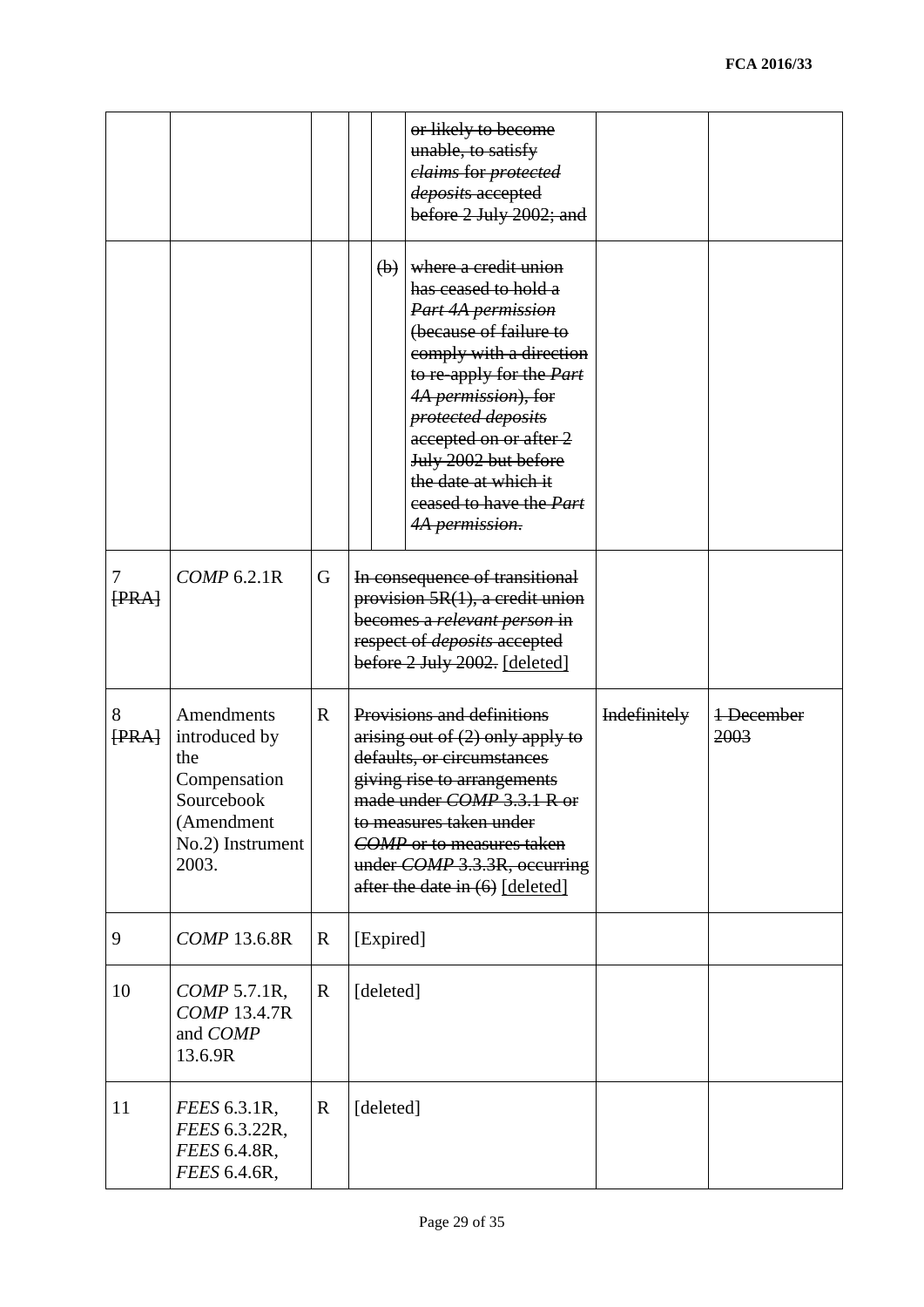|            |                                                                                                             |             |           |                           | or likely to become<br>unable, to satisfy<br>elaims for protected<br>deposits accepted<br>before 2 July 2002; and                                                                                                                                                                                                                         |              |                    |
|------------|-------------------------------------------------------------------------------------------------------------|-------------|-----------|---------------------------|-------------------------------------------------------------------------------------------------------------------------------------------------------------------------------------------------------------------------------------------------------------------------------------------------------------------------------------------|--------------|--------------------|
|            |                                                                                                             |             |           | $\left(\mathbf{b}\right)$ | where a credit union<br>has ceased to hold a<br>Part 4A permission<br>(because of failure to<br>comply with a direction<br>to re-apply for the <i>Part</i><br>4A permission), for<br>protected deposits<br>accepted on or after 2<br>July 2002 but before<br>the date at which it<br>eeased to have the Part<br><del>4A permission.</del> |              |                    |
| 7<br>[PRA] | COMP 6.2.1R                                                                                                 | G           |           |                           | In consequence of transitional<br>provision $5R(1)$ , a credit union<br>becomes a relevant person in<br>respect of <i>deposits</i> accepted<br>before 2 July 2002. [deleted]                                                                                                                                                              |              |                    |
| 8<br>[PRA] | Amendments<br>introduced by<br>the<br>Compensation<br>Sourcebook<br>(Amendment<br>No.2) Instrument<br>2003. | $\mathbf R$ |           |                           | Provisions and definitions<br>arising out of (2) only apply to<br>defaults, or circumstances<br>giving rise to arrangements<br>made under COMP 3.3.1 R or<br>to measures taken under<br><b>COMP</b> or to measures taken<br>under COMP 3.3.3R, occurring<br>after the date in $(6)$ [deleted]                                             | Indefinitely | 1-December<br>2003 |
| 9          | <b>COMP 13.6.8R</b>                                                                                         | $\mathbf R$ | [Expired] |                           |                                                                                                                                                                                                                                                                                                                                           |              |                    |
| 10         | <i>COMP</i> 5.7.1R,<br><b>COMP 13.4.7R</b><br>and COMP<br>13.6.9R                                           | $\mathbf R$ | [deleted] |                           |                                                                                                                                                                                                                                                                                                                                           |              |                    |
| 11         | <i>FEES</i> 6.3.1R,<br>FEES 6.3.22R,<br>FEES 6.4.8R,<br>FEES 6.4.6R,                                        | $\mathbf R$ | [deleted] |                           |                                                                                                                                                                                                                                                                                                                                           |              |                    |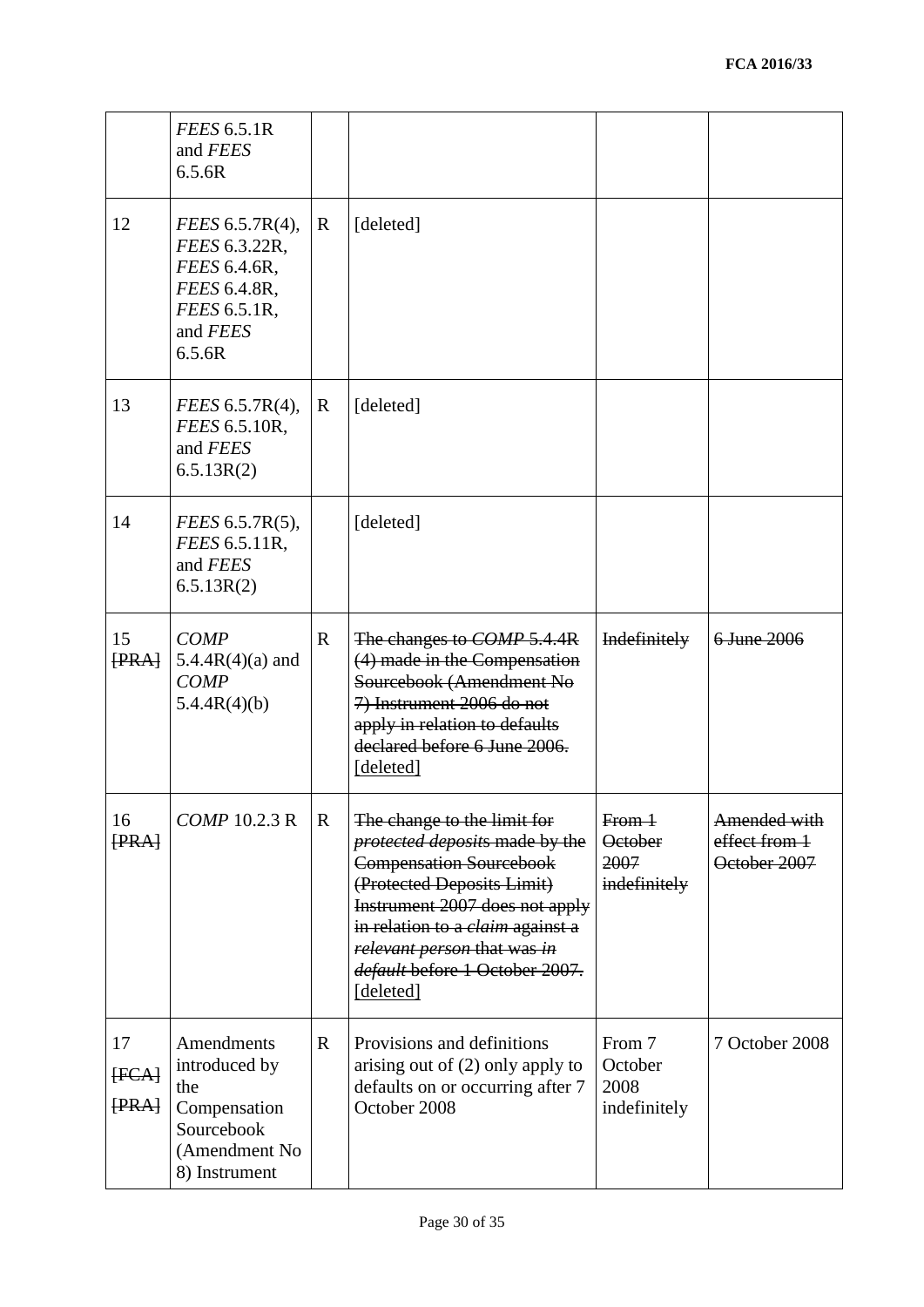|                      | <b>FEES 6.5.1R</b><br>and FEES<br>6.5.6R                                                               |              |                                                                                                                                                                                                                                                                                          |                                                   |                                               |
|----------------------|--------------------------------------------------------------------------------------------------------|--------------|------------------------------------------------------------------------------------------------------------------------------------------------------------------------------------------------------------------------------------------------------------------------------------------|---------------------------------------------------|-----------------------------------------------|
| 12                   | FEES 6.5.7R(4),<br>FEES 6.3.22R,<br>FEES 6.4.6R,<br>FEES 6.4.8R,<br>FEES 6.5.1R,<br>and FEES<br>6.5.6R | $\mathbf{R}$ | [deleted]                                                                                                                                                                                                                                                                                |                                                   |                                               |
| 13                   | <i>FEES</i> 6.5.7R(4),<br>FEES 6.5.10R,<br>and FEES<br>6.5.13R(2)                                      | $\mathbf{R}$ | [deleted]                                                                                                                                                                                                                                                                                |                                                   |                                               |
| 14                   | FEES 6.5.7R(5),<br>FEES 6.5.11R,<br>and FEES<br>6.5.13R(2)                                             |              | [deleted]                                                                                                                                                                                                                                                                                |                                                   |                                               |
| 15<br>FRA            | <b>COMP</b><br>$5.4.4R(4)(a)$ and<br><b>COMP</b><br>5.4.4R(4)(b)                                       | $\mathbf{R}$ | The changes to <i>COMP</i> 5.4.4R<br>(4) made in the Compensation<br>Sourcebook (Amendment No<br>7) Instrument 2006 do not<br>apply in relation to defaults<br>declared before 6 June 2006.<br>[deleted]                                                                                 | Indefinitely                                      | 6 June 2006                                   |
| 16<br>[PRA]          | COMP 10.2.3 R                                                                                          | $\mathbf R$  | The change to the limit for<br>protected deposits made by the<br><b>Compensation Sourcebook</b><br>(Protected Deposits Limit)<br>Instrument 2007 does not apply<br>in relation to a <i>claim</i> against a<br>relevant person that was in<br>default before 1 October 2007.<br>[deleted] | $From+$<br><b>October</b><br>2007<br>indefinitely | Amended with<br>effect from 1<br>October 2007 |
| 17<br>[FCA]<br>[PRA] | Amendments<br>introduced by<br>the<br>Compensation<br>Sourcebook<br>(Amendment No<br>8) Instrument     | $\mathbf R$  | Provisions and definitions<br>arising out of (2) only apply to<br>defaults on or occurring after 7<br>October 2008                                                                                                                                                                       | From 7<br>October<br>2008<br>indefinitely         | 7 October 2008                                |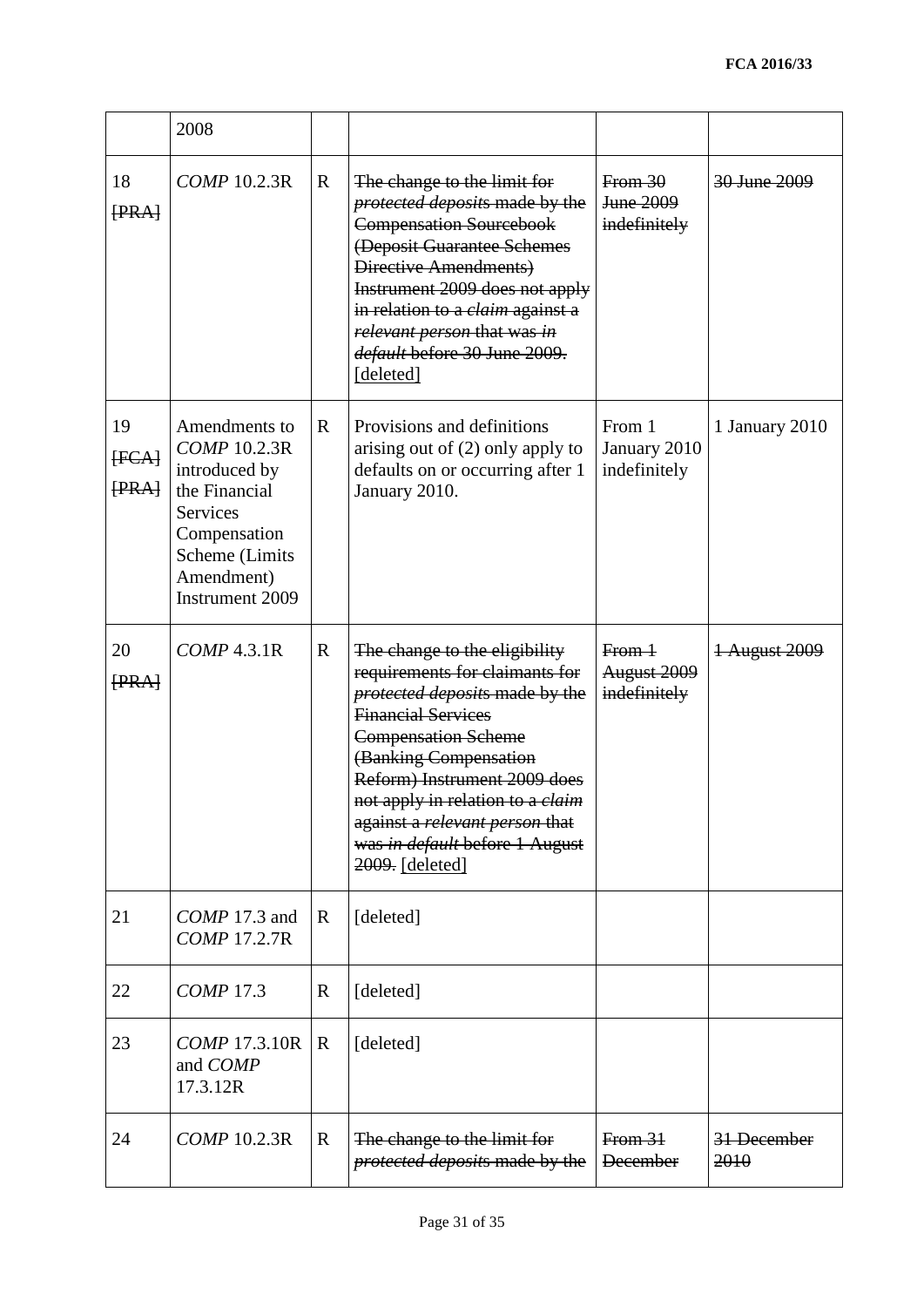|                      | 2008                                                                                                                                                  |             |                                                                                                                                                                                                                                                                                                                                                         |                                              |                         |
|----------------------|-------------------------------------------------------------------------------------------------------------------------------------------------------|-------------|---------------------------------------------------------------------------------------------------------------------------------------------------------------------------------------------------------------------------------------------------------------------------------------------------------------------------------------------------------|----------------------------------------------|-------------------------|
| 18<br>[PRA]          | <b>COMP 10.2.3R</b>                                                                                                                                   | $\mathbf R$ | The change to the limit for<br>protected deposits made by the<br><b>Compensation Sourcebook</b><br>(Deposit Guarantee Schemes<br>Directive Amendments)<br>Instrument 2009 does not apply<br>in relation to a <i>claim</i> against a<br>relevant person that was in<br>default before 30 June 2009.<br>[deleted]                                         | From 30<br>June 2009<br>indefinitely         | <del>30 June 2009</del> |
| 19<br>[FCA]<br>[PRA] | Amendments to<br><b>COMP 10.2.3R</b><br>introduced by<br>the Financial<br>Services<br>Compensation<br>Scheme (Limits<br>Amendment)<br>Instrument 2009 | $\mathbf R$ | Provisions and definitions<br>arising out of (2) only apply to<br>defaults on or occurring after 1<br>January 2010.                                                                                                                                                                                                                                     | From 1<br>January 2010<br>indefinitely       | 1 January 2010          |
| 20<br>[PRA]          | $COMP$ 4.3.1 $R$                                                                                                                                      | $\mathbf R$ | The change to the eligibility<br>requirements for claimants for<br>protected deposits made by the<br><b>Financial Services</b><br><b>Compensation Scheme</b><br>(Banking Compensation<br>Reform) Instrument 2009 does<br>not apply in relation to a <i>claim</i><br>against a relevant person that<br>was in default before 1 August<br>2009. [deleted] | From 1<br><b>August 2009</b><br>indefinitely | 1 August 2009           |
| 21                   | COMP 17.3 and<br>COMP 17.2.7R                                                                                                                         | $\mathbf R$ | [deleted]                                                                                                                                                                                                                                                                                                                                               |                                              |                         |
| 22                   | <b>COMP</b> 17.3                                                                                                                                      | R           | [deleted]                                                                                                                                                                                                                                                                                                                                               |                                              |                         |
| 23                   | <i>COMP</i> 17.3.10R<br>and COMP<br>17.3.12R                                                                                                          | $\mathbf R$ | [deleted]                                                                                                                                                                                                                                                                                                                                               |                                              |                         |
| 24                   | COMP 10.2.3R                                                                                                                                          | $\mathbf R$ | The change to the limit for<br>protected deposits made by the                                                                                                                                                                                                                                                                                           | From 31<br><b>December</b>                   | 31 December<br>2010     |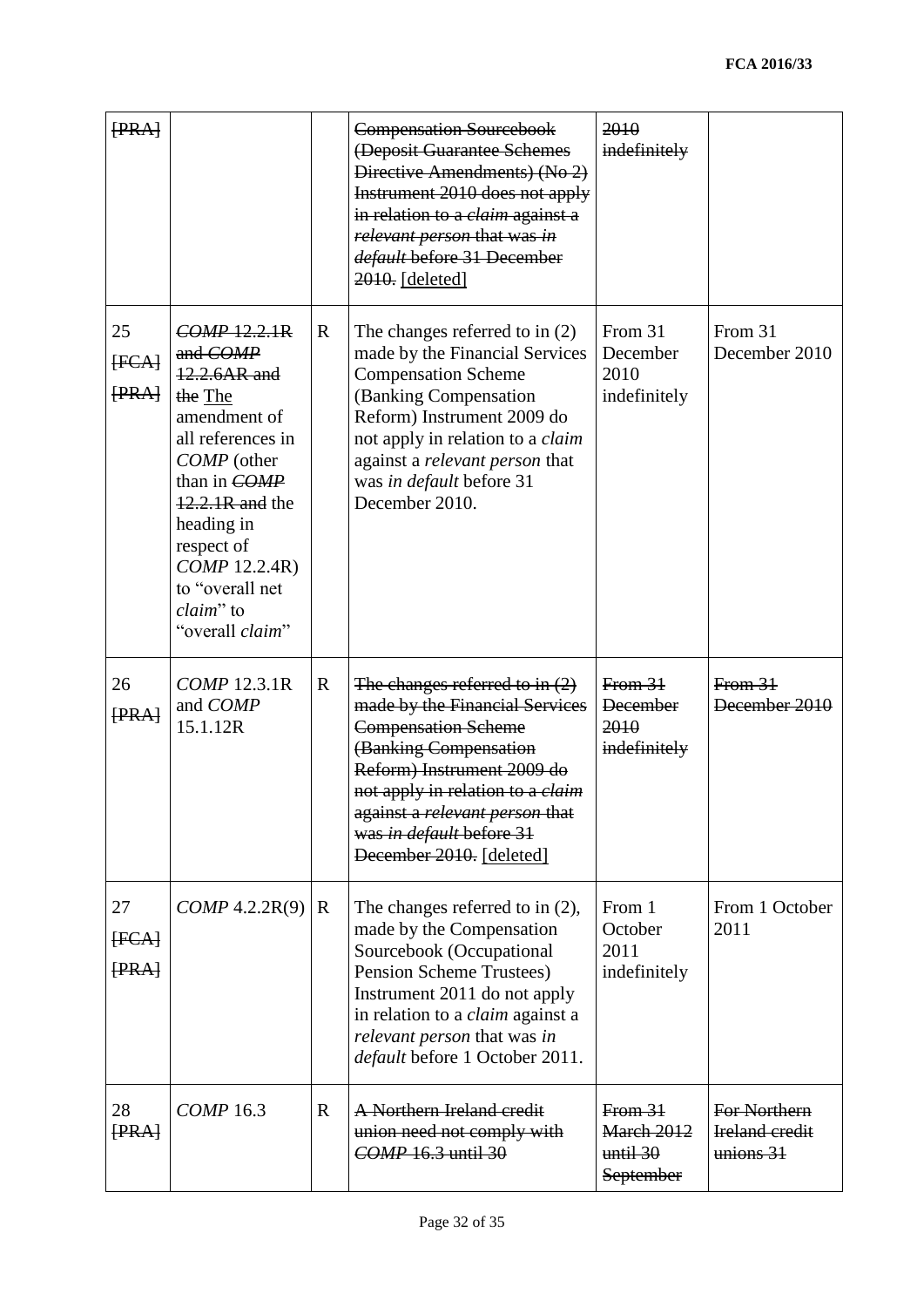| [PRA]                |                                                                                                                                                                                                                                            |             | <b>Compensation Sourcebook</b><br>(Deposit Guarantee Schemes<br>Directive Amendments) (No 2)<br>Instrument 2010 does not apply<br>in relation to a <i>claim</i> against a<br>relevant person that was in<br>default before 31 December<br>$2010.$ [deleted]                                         | 2010<br>indefinitely                               |                                                      |
|----------------------|--------------------------------------------------------------------------------------------------------------------------------------------------------------------------------------------------------------------------------------------|-------------|-----------------------------------------------------------------------------------------------------------------------------------------------------------------------------------------------------------------------------------------------------------------------------------------------------|----------------------------------------------------|------------------------------------------------------|
| 25<br>[FCA]<br>[PRA] | COMP 12.2.1R<br>and COMP<br>12.2.6AR and<br>the The<br>amendment of<br>all references in<br>COMP (other<br>than in COMP<br>12.2.1R and the<br>heading in<br>respect of<br>COMP 12.2.4R)<br>to "overall net<br>claim" to<br>"overall claim" | $\mathbf R$ | The changes referred to in $(2)$<br>made by the Financial Services<br><b>Compensation Scheme</b><br>(Banking Compensation<br>Reform) Instrument 2009 do<br>not apply in relation to a <i>claim</i><br>against a relevant person that<br>was in default before 31<br>December 2010.                  | From 31<br>December<br>2010<br>indefinitely        | From 31<br>December 2010                             |
| 26<br>[PRA]          | COMP 12.3.1R<br>and COMP<br>15.1.12R                                                                                                                                                                                                       | $\mathbf R$ | The changes referred to in $(2)$<br>made by the Financial Services<br><b>Compensation Scheme</b><br>(Banking Compensation<br>Reform) Instrument 2009 do<br>not apply in relation to a <i>claim</i><br>against a <i>relevant person</i> that<br>was in default before 31<br>December 2010. [deleted] | From 31<br><b>December</b><br>2010<br>indefinitely | From 31<br>December 2010                             |
| 27<br>[FCA]<br>[PRA] | COMP 4.2.2R(9)                                                                                                                                                                                                                             | $\mathbf R$ | The changes referred to in $(2)$ ,<br>made by the Compensation<br>Sourcebook (Occupational<br><b>Pension Scheme Trustees)</b><br>Instrument 2011 do not apply<br>in relation to a <i>claim</i> against a<br>relevant person that was in<br><i>default</i> before 1 October 2011.                    | From 1<br>October<br>2011<br>indefinitely          | From 1 October<br>2011                               |
| 28<br>[PRA]          | <b>COMP</b> 16.3                                                                                                                                                                                                                           | $\mathbf R$ | A Northern Ireland credit<br>union need not comply with<br>COMP 16.3 until 30                                                                                                                                                                                                                       | From 31<br>March 2012<br>until 30<br>September     | For Northern<br><b>Ireland credit</b><br>$unions 31$ |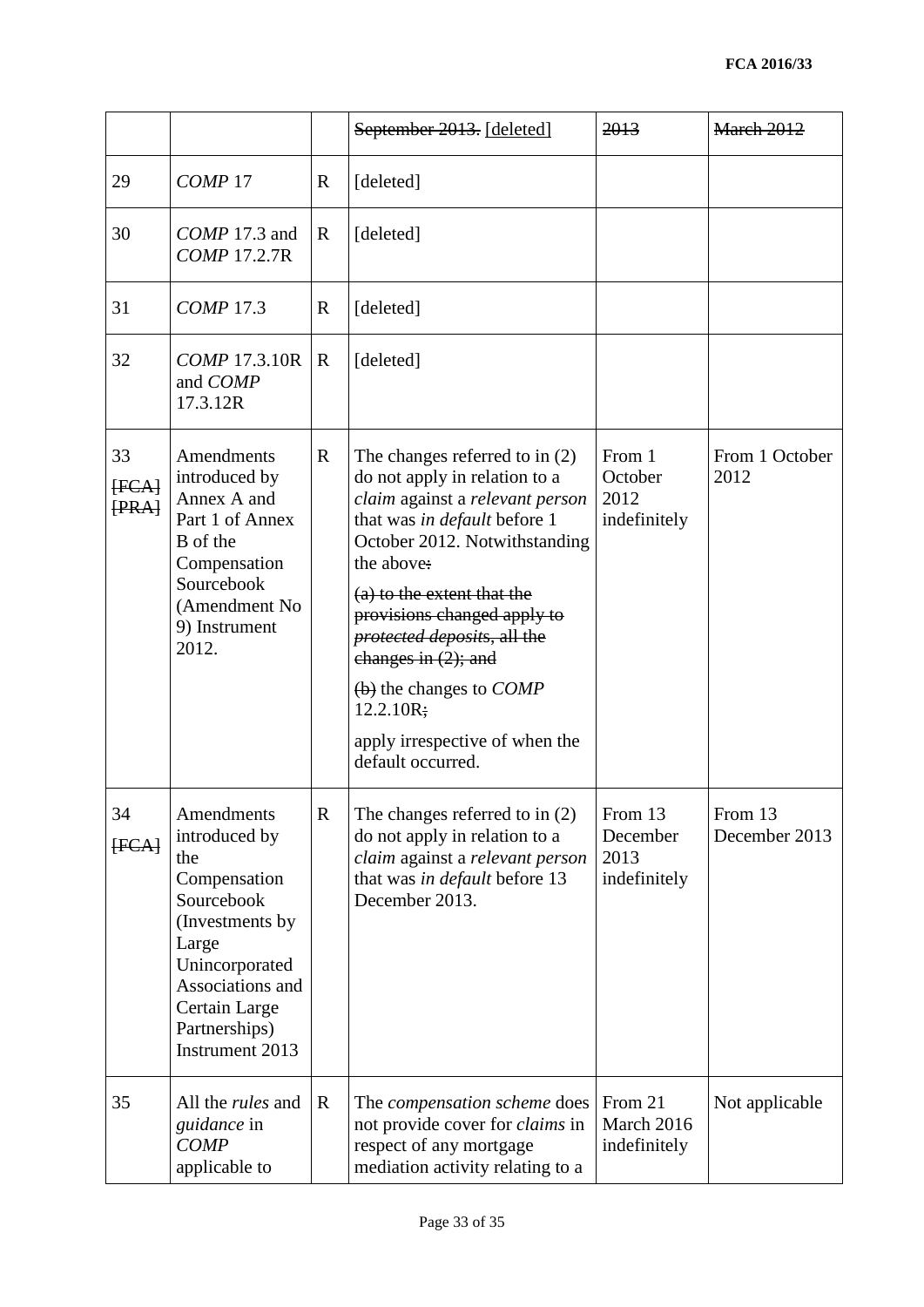|                      |                                                                                                                                                                                          |              | September 2013. [deleted]                                                                                                                                                                                                                                                                                                                                                                                | 2013                                        | March 2012               |
|----------------------|------------------------------------------------------------------------------------------------------------------------------------------------------------------------------------------|--------------|----------------------------------------------------------------------------------------------------------------------------------------------------------------------------------------------------------------------------------------------------------------------------------------------------------------------------------------------------------------------------------------------------------|---------------------------------------------|--------------------------|
| 29                   | COMP <sub>17</sub>                                                                                                                                                                       | $\mathbf R$  | [deleted]                                                                                                                                                                                                                                                                                                                                                                                                |                                             |                          |
| 30                   | COMP 17.3 and<br><b>COMP 17.2.7R</b>                                                                                                                                                     | $\mathbb{R}$ | [deleted]                                                                                                                                                                                                                                                                                                                                                                                                |                                             |                          |
| 31                   | <b>COMP 17.3</b>                                                                                                                                                                         | $\mathbf R$  | [deleted]                                                                                                                                                                                                                                                                                                                                                                                                |                                             |                          |
| 32                   | <b>COMP 17.3.10R</b><br>and COMP<br>17.3.12R                                                                                                                                             | $\mathbf R$  | [deleted]                                                                                                                                                                                                                                                                                                                                                                                                |                                             |                          |
| 33<br>[FCA]<br>[PRA] | Amendments<br>introduced by<br>Annex A and<br>Part 1 of Annex<br>B of the<br>Compensation<br>Sourcebook<br>(Amendment No<br>9) Instrument<br>2012.                                       | $\mathbf R$  | The changes referred to in $(2)$<br>do not apply in relation to a<br>claim against a relevant person<br>that was in default before 1<br>October 2012. Notwithstanding<br>the above:<br>(a) to the extent that the<br>provisions changed apply to<br>protected deposits, all the<br>changes in $(2)$ ; and<br>(b) the changes to COMP<br>12.2.10R;<br>apply irrespective of when the<br>default occurred. | From 1<br>October<br>2012<br>indefinitely   | From 1 October<br>2012   |
| 34<br>[FCA]          | Amendments<br>introduced by<br>the<br>Compensation<br>Sourcebook<br>(Investments by)<br>Large<br>Unincorporated<br>Associations and<br>Certain Large<br>Partnerships)<br>Instrument 2013 | R            | The changes referred to in (2)<br>do not apply in relation to a<br>claim against a relevant person<br>that was in default before 13<br>December 2013.                                                                                                                                                                                                                                                    | From 13<br>December<br>2013<br>indefinitely | From 13<br>December 2013 |
| 35                   | All the <i>rules</i> and<br><i>guidance</i> in<br><b>COMP</b><br>applicable to                                                                                                           | $\mathbf R$  | The compensation scheme does<br>not provide cover for <i>claims</i> in<br>respect of any mortgage<br>mediation activity relating to a                                                                                                                                                                                                                                                                    | From 21<br>March 2016<br>indefinitely       | Not applicable           |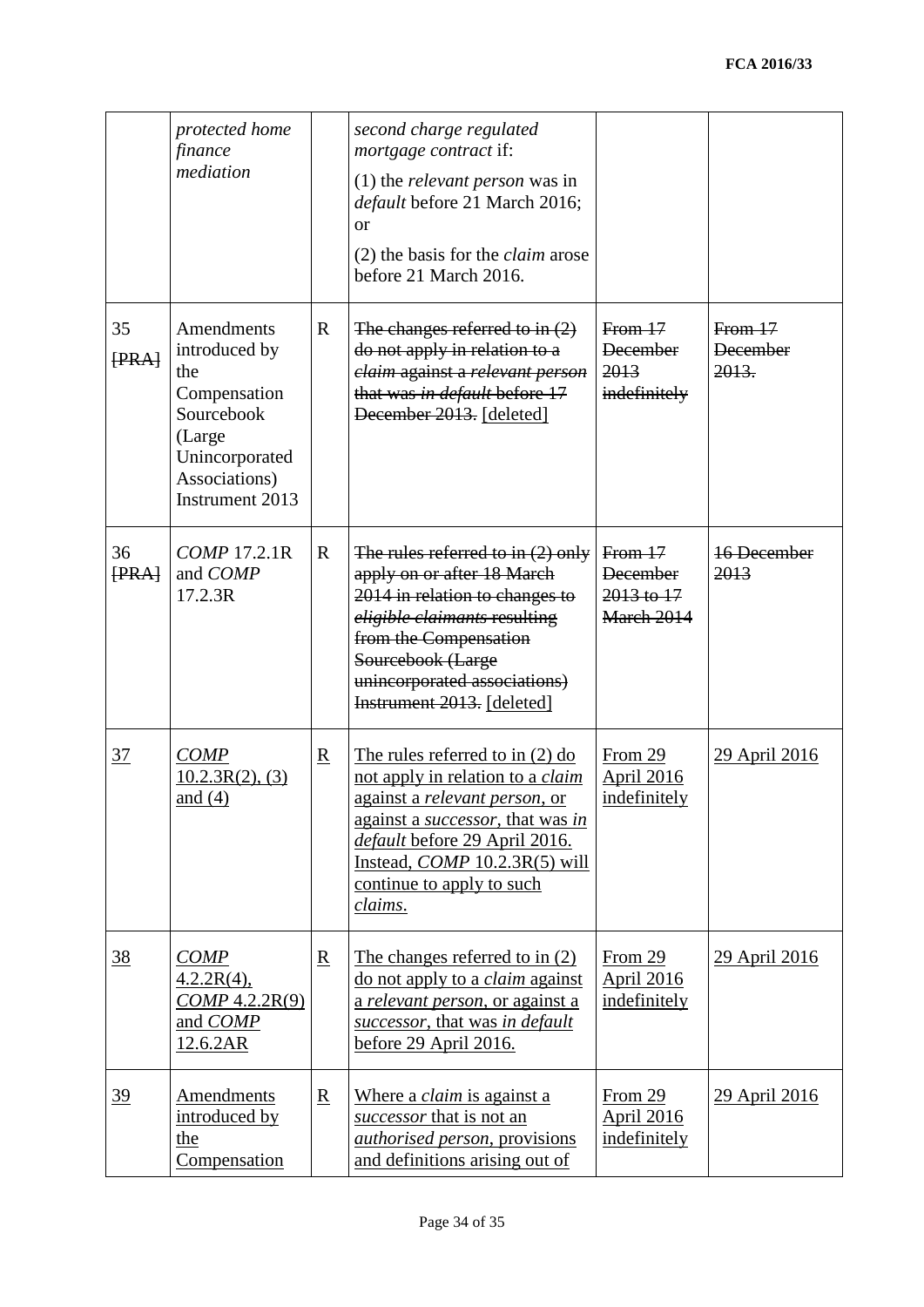|                 | protected home<br>finance<br>mediation                                                                                           |                          | second charge regulated<br><i>mortgage contract</i> if:<br>$(1)$ the <i>relevant person</i> was in<br>default before 21 March 2016;<br>$\alpha$<br>$(2)$ the basis for the <i>claim</i> arose<br>before 21 March 2016.                                                |                                                       |                                    |
|-----------------|----------------------------------------------------------------------------------------------------------------------------------|--------------------------|-----------------------------------------------------------------------------------------------------------------------------------------------------------------------------------------------------------------------------------------------------------------------|-------------------------------------------------------|------------------------------------|
| 35<br>[PRA]     | Amendments<br>introduced by<br>the<br>Compensation<br>Sourcebook<br>(Large<br>Unincorporated<br>Associations)<br>Instrument 2013 | $\mathbb{R}$             | The changes referred to in $(2)$<br>do not apply in relation to a<br>claim against a relevant person<br>that was in default before 17<br>December 2013. [deleted]                                                                                                     | From 17<br><b>December</b><br>2013<br>indefinitely    | From17<br><b>December</b><br>2013. |
| 36<br>$F F F$   | COMP 17.2.1R<br>and COMP<br>17.2.3R                                                                                              | $\mathbf R$              | The rules referred to in $(2)$ only<br>apply on or after 18 March<br>2014 in relation to changes to<br>eligible claimants resulting<br>from the Compensation<br>Sourcebook (Large<br>unincorporated associations)<br>Instrument 2013. [deleted]                       | From17<br><b>December</b><br>2013 to 17<br>March 2014 | 16 December<br>2013                |
| $\overline{37}$ | COMP<br>10.2.3R(2), (3)<br>and $(4)$                                                                                             | $\underline{\mathbf{R}}$ | The rules referred to in $(2)$ do<br>not apply in relation to a <i>claim</i><br>against a relevant person, or<br>against a <i>successor</i> , that was in<br>default before 29 April 2016.<br>Instead, $COMP$ 10.2.3R(5) will<br>continue to apply to such<br>claims. | From 29<br><b>April 2016</b><br>indefinitely          | 29 April 2016                      |
| <u>38</u>       | COMP<br>$4.2.2R(4)$ ,<br>COMP 4.2.2R(9)<br>and COMP<br>12.6.2AR                                                                  | $\underline{\mathbf{R}}$ | The changes referred to in (2)<br>do not apply to a <i>claim</i> against<br>a relevant person, or against a<br>successor, that was in default<br>before 29 April 2016.                                                                                                | From 29<br><b>April 2016</b><br>indefinitely          | 29 April 2016                      |
| $\frac{39}{2}$  | <b>Amendments</b><br>introduced by<br>the<br>Compensation                                                                        | $\underline{\mathbf{R}}$ | Where a <i>claim</i> is against a<br>successor that is not an<br><i>authorised person</i> , provisions<br>and definitions arising out of                                                                                                                              | From 29<br><b>April 2016</b><br>indefinitely          | 29 April 2016                      |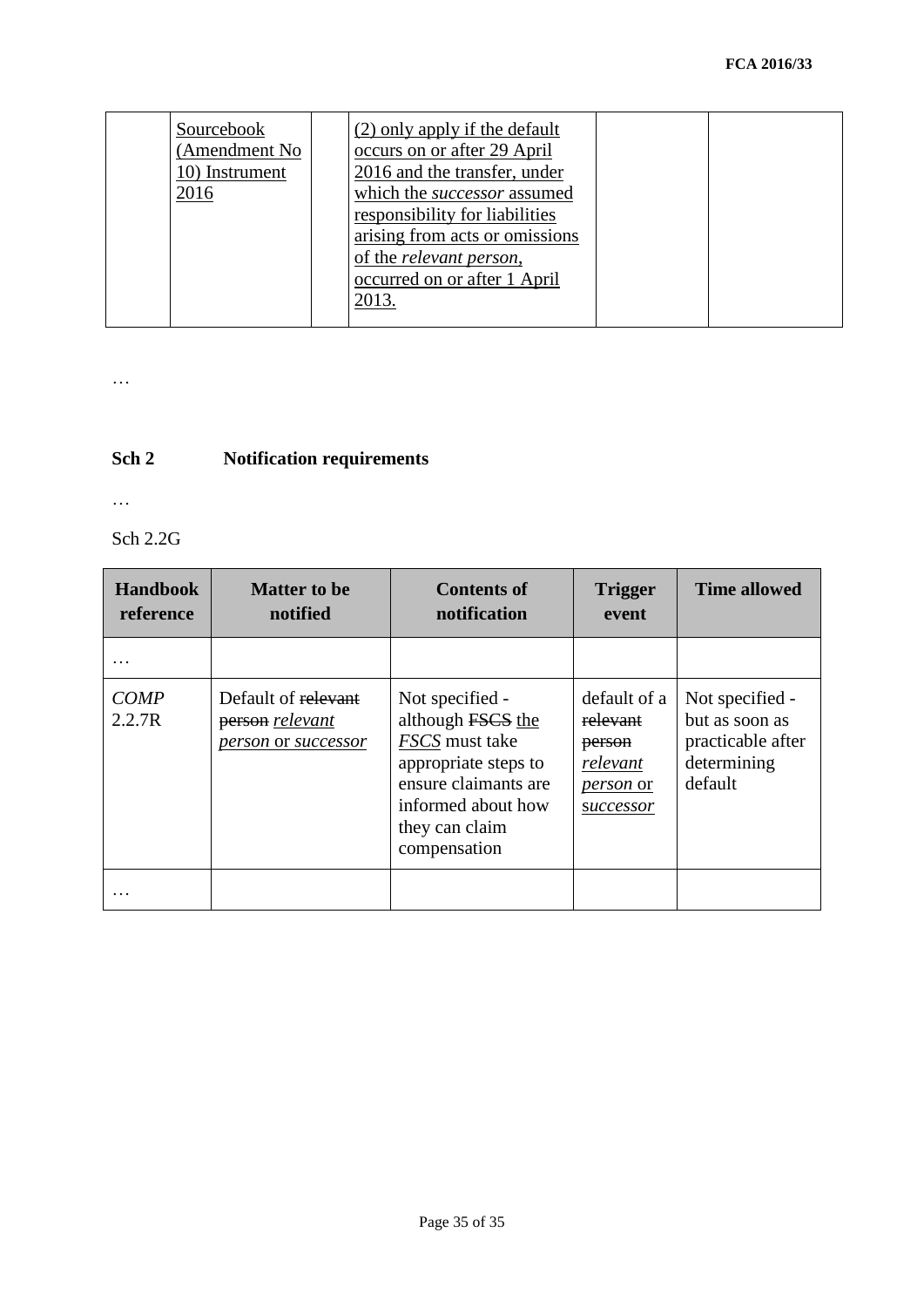| Sourcebook<br>(Amendment No<br>10) Instrument<br>2016 | (2) only apply if the default<br>occurs on or after 29 April<br>2016 and the transfer, under<br>which the successor assumed<br>responsibility for liabilities<br>arising from acts or omissions<br>of the <i>relevant</i> person,<br>occurred on or after 1 April<br>2013. |  |  |
|-------------------------------------------------------|----------------------------------------------------------------------------------------------------------------------------------------------------------------------------------------------------------------------------------------------------------------------------|--|--|
|-------------------------------------------------------|----------------------------------------------------------------------------------------------------------------------------------------------------------------------------------------------------------------------------------------------------------------------------|--|--|

…

## **Sch 2 Notification requirements**

…

Sch 2.2G

| <b>Handbook</b><br>reference | <b>Matter to be</b><br>notified                               | <b>Contents of</b><br>notification                                                                                                                             | <b>Trigger</b><br>event                                                         | <b>Time allowed</b>                                                              |
|------------------------------|---------------------------------------------------------------|----------------------------------------------------------------------------------------------------------------------------------------------------------------|---------------------------------------------------------------------------------|----------------------------------------------------------------------------------|
|                              |                                                               |                                                                                                                                                                |                                                                                 |                                                                                  |
| <b>COMP</b><br>2.2.7R        | Default of relevant<br>person relevant<br>person or successor | Not specified -<br>although FSCS the<br>FSCS must take<br>appropriate steps to<br>ensure claimants are<br>informed about how<br>they can claim<br>compensation | default of a<br>relevant<br>person<br>relevant<br><i>person</i> or<br>successor | Not specified -<br>but as soon as<br>practicable after<br>determining<br>default |
|                              |                                                               |                                                                                                                                                                |                                                                                 |                                                                                  |